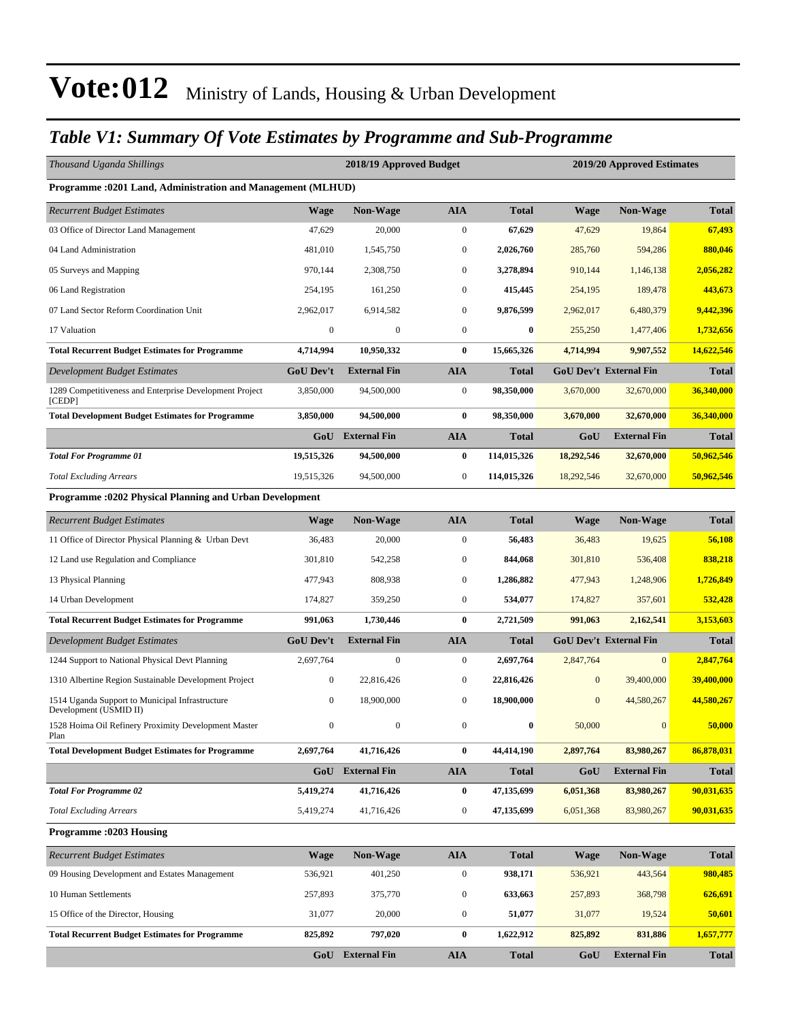#### *Table V1: Summary Of Vote Estimates by Programme and Sub-Programme*

| Thousand Uganda Shillings                                                 |                  | 2018/19 Approved Budget |                  |              |              | 2019/20 Approved Estimates    |              |
|---------------------------------------------------------------------------|------------------|-------------------------|------------------|--------------|--------------|-------------------------------|--------------|
| <b>Programme: 0201 Land, Administration and Management (MLHUD)</b>        |                  |                         |                  |              |              |                               |              |
| <b>Recurrent Budget Estimates</b>                                         | <b>Wage</b>      | Non-Wage                | <b>AIA</b>       | <b>Total</b> | Wage         | Non-Wage                      | <b>Total</b> |
| 03 Office of Director Land Management                                     | 47,629           | 20,000                  | $\boldsymbol{0}$ | 67,629       | 47,629       | 19,864                        | 67,493       |
| 04 Land Administration                                                    | 481,010          | 1,545,750               | $\boldsymbol{0}$ | 2,026,760    | 285,760      | 594,286                       | 880,046      |
| 05 Surveys and Mapping                                                    | 970,144          | 2,308,750               | $\mathbf{0}$     | 3,278,894    | 910,144      | 1,146,138                     | 2,056,282    |
| 06 Land Registration                                                      | 254,195          | 161,250                 | $\mathbf{0}$     | 415,445      | 254,195      | 189,478                       | 443,673      |
| 07 Land Sector Reform Coordination Unit                                   | 2,962,017        | 6,914,582               | $\mathbf{0}$     | 9,876,599    | 2,962,017    | 6,480,379                     | 9,442,396    |
| 17 Valuation                                                              | $\boldsymbol{0}$ | $\boldsymbol{0}$        | $\boldsymbol{0}$ | $\bf{0}$     | 255,250      | 1,477,406                     | 1,732,656    |
| <b>Total Recurrent Budget Estimates for Programme</b>                     | 4,714,994        | 10,950,332              | $\bf{0}$         | 15,665,326   | 4,714,994    | 9,907,552                     | 14,622,546   |
| Development Budget Estimates                                              | <b>GoU</b> Dev't | <b>External Fin</b>     | <b>AIA</b>       | <b>Total</b> |              | <b>GoU Dev't External Fin</b> | <b>Total</b> |
| 1289 Competitiveness and Enterprise Development Project<br>[CEDP]         | 3,850,000        | 94,500,000              | $\boldsymbol{0}$ | 98,350,000   | 3,670,000    | 32,670,000                    | 36,340,000   |
| <b>Total Development Budget Estimates for Programme</b>                   | 3,850,000        | 94,500,000              | $\bf{0}$         | 98,350,000   | 3,670,000    | 32,670,000                    | 36,340,000   |
|                                                                           |                  | GoU External Fin        | <b>AIA</b>       | <b>Total</b> | GoU          | <b>External Fin</b>           | <b>Total</b> |
| <b>Total For Programme 01</b>                                             | 19,515,326       | 94,500,000              | $\bf{0}$         | 114,015,326  | 18,292,546   | 32,670,000                    | 50,962,546   |
| <b>Total Excluding Arrears</b>                                            | 19,515,326       | 94,500,000              | $\boldsymbol{0}$ | 114,015,326  | 18,292,546   | 32,670,000                    | 50,962,546   |
| Programme :0202 Physical Planning and Urban Development                   |                  |                         |                  |              |              |                               |              |
| <b>Recurrent Budget Estimates</b>                                         | <b>Wage</b>      | Non-Wage                | <b>AIA</b>       | <b>Total</b> | Wage         | Non-Wage                      | <b>Total</b> |
| 11 Office of Director Physical Planning & Urban Devt                      | 36,483           | 20,000                  | $\boldsymbol{0}$ | 56,483       | 36,483       | 19,625                        | 56,108       |
| 12 Land use Regulation and Compliance                                     | 301,810          | 542,258                 | $\boldsymbol{0}$ | 844,068      | 301,810      | 536,408                       | 838,218      |
| 13 Physical Planning                                                      | 477,943          | 808,938                 | $\mathbf{0}$     | 1,286,882    | 477,943      | 1,248,906                     | 1,726,849    |
| 14 Urban Development                                                      | 174,827          | 359,250                 | $\mathbf{0}$     | 534,077      | 174,827      | 357,601                       | 532,428      |
| <b>Total Recurrent Budget Estimates for Programme</b>                     | 991,063          | 1,730,446               | $\bf{0}$         | 2,721,509    | 991,063      | 2,162,541                     | 3,153,603    |
| Development Budget Estimates                                              | GoU Dev't        | <b>External Fin</b>     | <b>AIA</b>       | <b>Total</b> |              | <b>GoU Dev't External Fin</b> | <b>Total</b> |
| 1244 Support to National Physical Devt Planning                           | 2,697,764        | $\boldsymbol{0}$        | $\boldsymbol{0}$ | 2,697,764    | 2,847,764    | $\overline{0}$                | 2,847,764    |
| 1310 Albertine Region Sustainable Development Project                     | 0                | 22,816,426              | $\mathbf{0}$     | 22,816,426   | $\mathbf{0}$ | 39,400,000                    | 39,400,000   |
| 1514 Uganda Support to Municipal Infrastructure<br>Development (USMID II) | 0                | 18,900,000              | $\boldsymbol{0}$ | 18,900,000   | $\mathbf{0}$ | 44,580,267                    | 44,580,267   |
| 1528 Hoima Oil Refinery Proximity Development Master<br>Plan              | $\boldsymbol{0}$ | $\boldsymbol{0}$        | $\mathbf{0}$     | $\bf{0}$     | 50,000       | $\mathbf{0}$                  | 50,000       |
| <b>Total Development Budget Estimates for Programme</b>                   | 2,697,764        | 41,716,426              | $\bf{0}$         | 44,414,190   | 2,897,764    | 83,980,267                    | 86,878,031   |
|                                                                           | GoU              | <b>External Fin</b>     | ${\bf A I A}$    | <b>Total</b> | GoU          | <b>External Fin</b>           | <b>Total</b> |
| <b>Total For Programme 02</b>                                             | 5,419,274        | 41,716,426              | $\bf{0}$         | 47,135,699   | 6,051,368    | 83,980,267                    | 90,031,635   |
| <b>Total Excluding Arrears</b>                                            | 5,419,274        | 41,716,426              | $\boldsymbol{0}$ | 47,135,699   | 6,051,368    | 83,980,267                    | 90,031,635   |
| <b>Programme:0203 Housing</b>                                             |                  |                         |                  |              |              |                               |              |
| <b>Recurrent Budget Estimates</b>                                         | <b>Wage</b>      | Non-Wage                | <b>AIA</b>       | <b>Total</b> | <b>Wage</b>  | Non-Wage                      | <b>Total</b> |
| 09 Housing Development and Estates Management                             | 536,921          | 401,250                 | $\boldsymbol{0}$ | 938,171      | 536,921      | 443,564                       | 980,485      |
| 10 Human Settlements                                                      | 257,893          | 375,770                 | $\boldsymbol{0}$ | 633,663      | 257,893      | 368,798                       | 626,691      |
| 15 Office of the Director, Housing                                        | 31,077           | 20,000                  | $\boldsymbol{0}$ | 51,077       | 31,077       | 19,524                        | 50,601       |
| <b>Total Recurrent Budget Estimates for Programme</b>                     | 825,892          | 797,020                 | $\bf{0}$         | 1,622,912    | 825,892      | 831,886                       | 1,657,777    |
|                                                                           |                  | GoU External Fin        | <b>AIA</b>       | <b>Total</b> | GoU          | <b>External Fin</b>           | <b>Total</b> |
|                                                                           |                  |                         |                  |              |              |                               |              |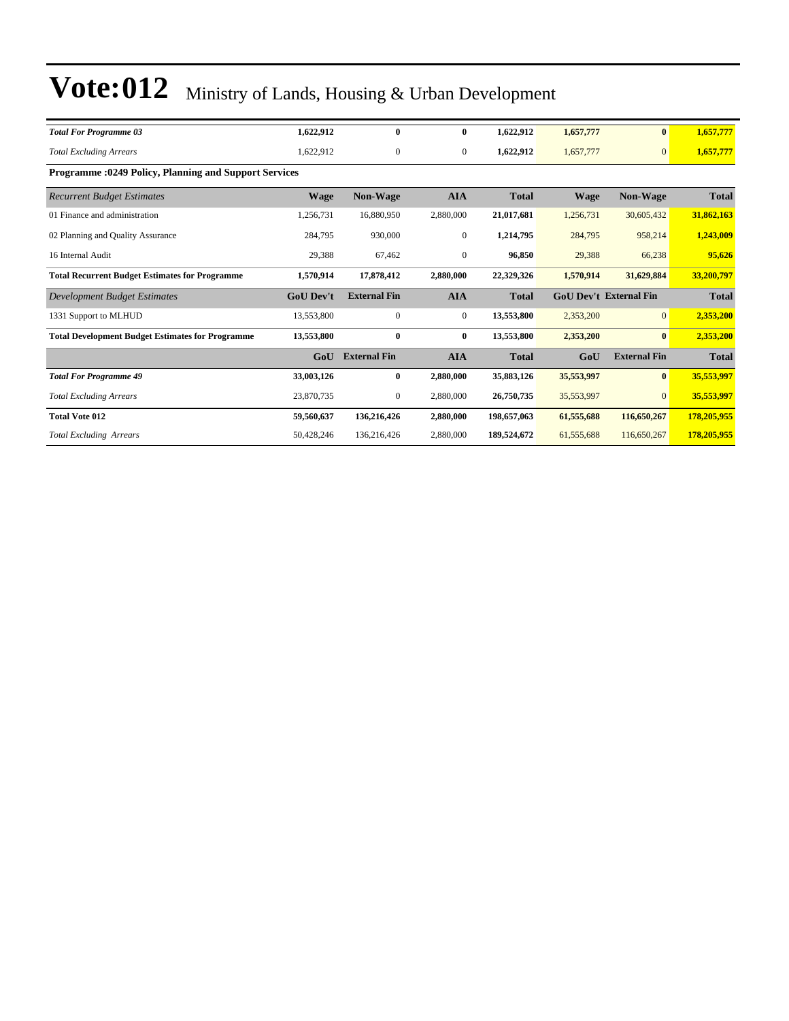| <b>Total For Programme 03</b>                                | 1,622,912        | $\bf{0}$            | $\bf{0}$         | 1,622,912    | 1,657,777   |                               | 1,657,777    |
|--------------------------------------------------------------|------------------|---------------------|------------------|--------------|-------------|-------------------------------|--------------|
| <b>Total Excluding Arrears</b>                               | 1,622,912        | $\boldsymbol{0}$    | $\boldsymbol{0}$ | 1,622,912    | 1,657,777   | $\overline{0}$                | 1,657,777    |
| <b>Programme: 0249 Policy, Planning and Support Services</b> |                  |                     |                  |              |             |                               |              |
| <b>Recurrent Budget Estimates</b>                            | Wage             | Non-Wage            | <b>AIA</b>       | <b>Total</b> | <b>Wage</b> | Non-Wage                      | <b>Total</b> |
| 01 Finance and administration                                | 1,256,731        | 16,880,950          | 2,880,000        | 21,017,681   | 1,256,731   | 30,605,432                    | 31,862,163   |
| 02 Planning and Quality Assurance                            | 284,795          | 930,000             | $\boldsymbol{0}$ | 1,214,795    | 284,795     | 958,214                       | 1,243,009    |
| 16 Internal Audit                                            | 29,388           | 67,462              | $\boldsymbol{0}$ | 96,850       | 29,388      | 66,238                        | 95,626       |
| <b>Total Recurrent Budget Estimates for Programme</b>        | 1,570,914        | 17,878,412          | 2,880,000        | 22,329,326   | 1,570,914   | 31,629,884                    | 33,200,797   |
| Development Budget Estimates                                 | <b>GoU Dev't</b> | <b>External Fin</b> | <b>AIA</b>       | <b>Total</b> |             | <b>GoU Dev't External Fin</b> | <b>Total</b> |
| 1331 Support to MLHUD                                        | 13,553,800       | $\mathbf{0}$        | $\boldsymbol{0}$ | 13,553,800   | 2,353,200   | $\overline{0}$                | 2,353,200    |
| <b>Total Development Budget Estimates for Programme</b>      | 13,553,800       | $\bf{0}$            | $\bf{0}$         | 13,553,800   | 2,353,200   | $\mathbf{0}$                  | 2,353,200    |
|                                                              | GoU              | <b>External Fin</b> | <b>AIA</b>       | <b>Total</b> | GoU         | <b>External Fin</b>           | <b>Total</b> |
| <b>Total For Programme 49</b>                                | 33,003,126       | $\bf{0}$            | 2,880,000        | 35,883,126   | 35,553,997  | $\bf{0}$                      | 35,553,997   |
| <b>Total Excluding Arrears</b>                               | 23,870,735       | $\mathbf{0}$        | 2,880,000        | 26,750,735   | 35,553,997  | $\Omega$                      | 35,553,997   |
| <b>Total Vote 012</b>                                        | 59,560,637       | 136,216,426         | 2,880,000        | 198,657,063  | 61,555,688  | 116,650,267                   | 178,205,955  |
| <b>Total Excluding Arrears</b>                               | 50,428,246       | 136,216,426         | 2,880,000        | 189,524,672  | 61,555,688  | 116,650,267                   | 178,205,955  |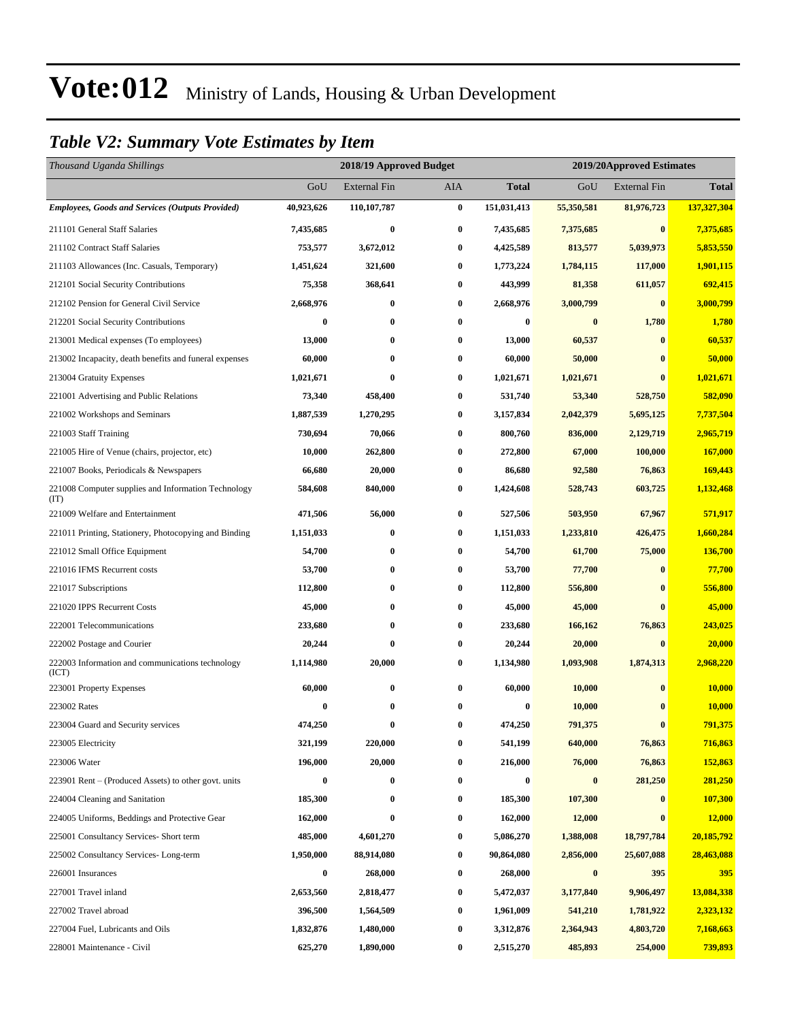#### *Table V2: Summary Vote Estimates by Item*

| Thousand Uganda Shillings                                   |            | 2018/19 Approved Budget |                  |              | 2019/20Approved Estimates |                     |              |  |  |
|-------------------------------------------------------------|------------|-------------------------|------------------|--------------|---------------------------|---------------------|--------------|--|--|
|                                                             | GoU        | <b>External Fin</b>     | <b>AIA</b>       | <b>Total</b> | GoU                       | <b>External Fin</b> | <b>Total</b> |  |  |
| <b>Employees, Goods and Services (Outputs Provided)</b>     | 40,923,626 | 110,107,787             | $\bf{0}$         | 151,031,413  | 55,350,581                | 81,976,723          | 137,327,304  |  |  |
| 211101 General Staff Salaries                               | 7,435,685  | $\bf{0}$                | $\bf{0}$         | 7,435,685    | 7,375,685                 | $\bf{0}$            | 7,375,685    |  |  |
| 211102 Contract Staff Salaries                              | 753,577    | 3,672,012               | $\bf{0}$         | 4,425,589    | 813,577                   | 5,039,973           | 5,853,550    |  |  |
| 211103 Allowances (Inc. Casuals, Temporary)                 | 1,451,624  | 321,600                 | $\bf{0}$         | 1,773,224    | 1,784,115                 | 117,000             | 1,901,115    |  |  |
| 212101 Social Security Contributions                        | 75,358     | 368,641                 | $\bf{0}$         | 443,999      | 81,358                    | 611,057             | 692,415      |  |  |
| 212102 Pension for General Civil Service                    | 2,668,976  | $\bf{0}$                | $\bf{0}$         | 2,668,976    | 3,000,799                 | $\bf{0}$            | 3.000.799    |  |  |
| 212201 Social Security Contributions                        | $\bf{0}$   | $\bf{0}$                | 0                | 0            | $\bf{0}$                  | 1,780               | 1,780        |  |  |
| 213001 Medical expenses (To employees)                      | 13,000     | $\bf{0}$                | $\bf{0}$         | 13,000       | 60,537                    | $\bf{0}$            | 60,537       |  |  |
| 213002 Incapacity, death benefits and funeral expenses      | 60,000     | $\bf{0}$                | $\bf{0}$         | 60,000       | 50,000                    | $\bf{0}$            | 50,000       |  |  |
| 213004 Gratuity Expenses                                    | 1,021,671  | $\bf{0}$                | $\bf{0}$         | 1,021,671    | 1,021,671                 | $\bf{0}$            | 1,021,671    |  |  |
| 221001 Advertising and Public Relations                     | 73,340     | 458,400                 | $\bf{0}$         | 531,740      | 53,340                    | 528,750             | 582,090      |  |  |
| 221002 Workshops and Seminars                               | 1,887,539  | 1,270,295               | $\bf{0}$         | 3,157,834    | 2,042,379                 | 5,695,125           | 7,737,504    |  |  |
| 221003 Staff Training                                       | 730,694    | 70,066                  | $\bf{0}$         | 800,760      | 836,000                   | 2,129,719           | 2,965,719    |  |  |
| 221005 Hire of Venue (chairs, projector, etc)               | 10,000     | 262,800                 | $\bf{0}$         | 272,800      | 67,000                    | 100,000             | 167,000      |  |  |
| 221007 Books, Periodicals & Newspapers                      | 66,680     | 20,000                  | 0                | 86,680       | 92,580                    | 76,863              | 169,443      |  |  |
| 221008 Computer supplies and Information Technology<br>(TT) | 584,608    | 840,000                 | $\bf{0}$         | 1,424,608    | 528,743                   | 603,725             | 1,132,468    |  |  |
| 221009 Welfare and Entertainment                            | 471,506    | 56,000                  | $\bf{0}$         | 527,506      | 503,950                   | 67,967              | 571,917      |  |  |
| 221011 Printing, Stationery, Photocopying and Binding       | 1,151,033  | $\bf{0}$                | $\bf{0}$         | 1,151,033    | 1,233,810                 | 426,475             | 1,660,284    |  |  |
| 221012 Small Office Equipment                               | 54,700     | $\bf{0}$                | $\bf{0}$         | 54,700       | 61,700                    | 75,000              | 136,700      |  |  |
| 221016 IFMS Recurrent costs                                 | 53,700     | $\bf{0}$                | $\bf{0}$         | 53,700       | 77,700                    | $\bf{0}$            | 77,700       |  |  |
| 221017 Subscriptions                                        | 112,800    | $\bf{0}$                | $\bf{0}$         | 112,800      | 556,800                   | $\bf{0}$            | 556,800      |  |  |
| 221020 IPPS Recurrent Costs                                 | 45,000     | $\bf{0}$                | $\bf{0}$         | 45,000       | 45,000                    | $\bf{0}$            | 45,000       |  |  |
| 222001 Telecommunications                                   | 233,680    | $\bf{0}$                | $\bf{0}$         | 233,680      | 166,162                   | 76,863              | 243,025      |  |  |
| 222002 Postage and Courier                                  | 20,244     | $\bf{0}$                | $\bf{0}$         | 20,244       | 20,000                    | $\bf{0}$            | 20,000       |  |  |
| 222003 Information and communications technology<br>(ICT)   | 1,114,980  | 20,000                  | 0                | 1,134,980    | 1,093,908                 | 1,874,313           | 2,968,220    |  |  |
| 223001 Property Expenses                                    | 60,000     | $\bf{0}$                | $\bf{0}$         | 60,000       | 10,000                    | $\bf{0}$            | 10,000       |  |  |
| 223002 Rates                                                | 0          | $\bf{0}$                | $\bf{0}$         | 0            | 10,000                    | $\bf{0}$            | 10,000       |  |  |
| 223004 Guard and Security services                          | 474,250    | $\bf{0}$                | $\bf{0}$         | 474,250      | 791,375                   | $\bf{0}$            | 791,375      |  |  |
| 223005 Electricity                                          | 321,199    | 220,000                 | $\bf{0}$         | 541,199      | 640,000                   | 76,863              | 716,863      |  |  |
| 223006 Water                                                | 196,000    | 20,000                  | $\bf{0}$         | 216,000      | 76,000                    | 76,863              | 152,863      |  |  |
| 223901 Rent – (Produced Assets) to other govt. units        | 0          | $\bf{0}$                | $\bf{0}$         | 0            | $\pmb{0}$                 | 281,250             | 281,250      |  |  |
| 224004 Cleaning and Sanitation                              | 185,300    | $\bf{0}$                | $\bf{0}$         | 185,300      | 107,300                   | $\bf{0}$            | 107,300      |  |  |
| 224005 Uniforms, Beddings and Protective Gear               | 162,000    | $\bf{0}$                | $\bf{0}$         | 162,000      | 12,000                    | $\bf{0}$            | 12,000       |  |  |
| 225001 Consultancy Services- Short term                     | 485,000    | 4,601,270               | $\bf{0}$         | 5,086,270    | 1,388,008                 | 18,797,784          | 20,185,792   |  |  |
| 225002 Consultancy Services-Long-term                       | 1,950,000  | 88,914,080              | $\bf{0}$         | 90,864,080   | 2,856,000                 | 25,607,088          | 28,463,088   |  |  |
| 226001 Insurances                                           | 0          | 268,000                 | $\bf{0}$         | 268,000      | $\bf{0}$                  | 395                 | 395          |  |  |
| 227001 Travel inland                                        | 2,653,560  | 2,818,477               | $\bf{0}$         | 5,472,037    | 3,177,840                 | 9,906,497           | 13,084,338   |  |  |
| 227002 Travel abroad                                        | 396,500    | 1,564,509               | $\bf{0}$         | 1,961,009    | 541,210                   | 1,781,922           | 2,323,132    |  |  |
| 227004 Fuel, Lubricants and Oils                            | 1,832,876  | 1,480,000               | $\bf{0}$         | 3,312,876    | 2,364,943                 | 4,803,720           | 7,168,663    |  |  |
| 228001 Maintenance - Civil                                  | 625,270    | 1,890,000               | $\boldsymbol{0}$ | 2,515,270    | 485,893                   | 254,000             | 739,893      |  |  |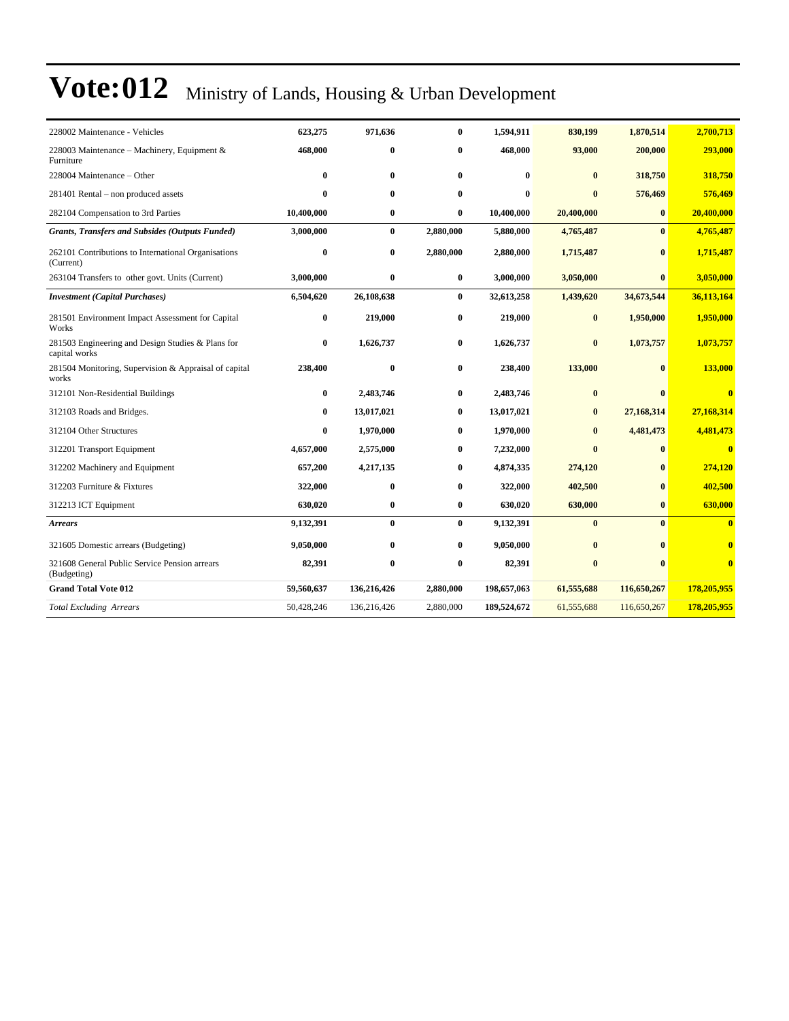| 228002 Maintenance - Vehicles                                      | 623,275    | 971,636     | $\bf{0}$  | 1,594,911   | 830,199      | 1,870,514    | 2,700,713               |
|--------------------------------------------------------------------|------------|-------------|-----------|-------------|--------------|--------------|-------------------------|
| 228003 Maintenance - Machinery, Equipment &<br>Furniture           | 468,000    | $\bf{0}$    | $\bf{0}$  | 468,000     | 93,000       | 200,000      | 293,000                 |
| 228004 Maintenance – Other                                         | $\bf{0}$   | $\bf{0}$    | $\bf{0}$  | $\bf{0}$    | $\bf{0}$     | 318,750      | 318,750                 |
| 281401 Rental – non produced assets                                | 0          | $\bf{0}$    | 0         | $\bf{0}$    | $\bf{0}$     | 576,469      | 576,469                 |
| 282104 Compensation to 3rd Parties                                 | 10,400,000 | $\bf{0}$    | $\bf{0}$  | 10,400,000  | 20,400,000   | $\bf{0}$     | 20,400,000              |
| <b>Grants, Transfers and Subsides (Outputs Funded)</b>             | 3,000,000  | $\bf{0}$    | 2,880,000 | 5,880,000   | 4,765,487    | $\mathbf{0}$ | 4,765,487               |
| 262101 Contributions to International Organisations<br>(Current)   | $\bf{0}$   | $\bf{0}$    | 2,880,000 | 2,880,000   | 1,715,487    | $\bf{0}$     | 1,715,487               |
| 263104 Transfers to other govt. Units (Current)                    | 3,000,000  | $\bf{0}$    | $\bf{0}$  | 3,000,000   | 3,050,000    | $\bf{0}$     | 3,050,000               |
| <b>Investment</b> (Capital Purchases)                              | 6,504,620  | 26,108,638  | $\bf{0}$  | 32,613,258  | 1,439,620    | 34,673,544   | 36,113,164              |
| 281501 Environment Impact Assessment for Capital<br>Works          | 0          | 219,000     | 0         | 219,000     | $\bf{0}$     | 1,950,000    | 1,950,000               |
| 281503 Engineering and Design Studies & Plans for<br>capital works | $\bf{0}$   | 1,626,737   | 0         | 1,626,737   | $\bf{0}$     | 1,073,757    | 1,073,757               |
| 281504 Monitoring, Supervision & Appraisal of capital<br>works     | 238,400    | $\bf{0}$    | $\bf{0}$  | 238,400     | 133,000      | $\bf{0}$     | 133,000                 |
| 312101 Non-Residential Buildings                                   | 0          | 2,483,746   | 0         | 2,483,746   | $\bf{0}$     | $\mathbf{0}$ | $\overline{\mathbf{0}}$ |
| 312103 Roads and Bridges.                                          | 0          | 13,017,021  | 0         | 13,017,021  | $\bf{0}$     | 27,168,314   | 27,168,314              |
| 312104 Other Structures                                            | $\bf{0}$   | 1,970,000   | 0         | 1,970,000   | $\bf{0}$     | 4,481,473    | 4,481,473               |
| 312201 Transport Equipment                                         | 4,657,000  | 2,575,000   | 0         | 7,232,000   | $\mathbf{0}$ | $\bf{0}$     | $\bf{0}$                |
| 312202 Machinery and Equipment                                     | 657,200    | 4,217,135   | 0         | 4,874,335   | 274,120      | $\bf{0}$     | 274,120                 |
| 312203 Furniture & Fixtures                                        | 322,000    | $\bf{0}$    | $\bf{0}$  | 322,000     | 402,500      | $\bf{0}$     | 402,500                 |
| 312213 ICT Equipment                                               | 630,020    | $\bf{0}$    | $\bf{0}$  | 630,020     | 630,000      | $\bf{0}$     | 630,000                 |
| <b>Arrears</b>                                                     | 9,132,391  | $\bf{0}$    | $\bf{0}$  | 9,132,391   | $\bf{0}$     | $\mathbf{0}$ | $\overline{\mathbf{0}}$ |
| 321605 Domestic arrears (Budgeting)                                | 9,050,000  | $\bf{0}$    | 0         | 9,050,000   | $\bf{0}$     | $\mathbf{0}$ | $\overline{\mathbf{0}}$ |
| 321608 General Public Service Pension arrears<br>(Budgeting)       | 82,391     | $\bf{0}$    | 0         | 82,391      | $\bf{0}$     | $\mathbf{0}$ | $\bf{0}$                |
| <b>Grand Total Vote 012</b>                                        | 59,560,637 | 136,216,426 | 2,880,000 | 198,657,063 | 61,555,688   | 116,650,267  | 178,205,955             |
| <b>Total Excluding Arrears</b>                                     | 50,428,246 | 136,216,426 | 2,880,000 | 189,524,672 | 61,555,688   | 116,650,267  | 178,205,955             |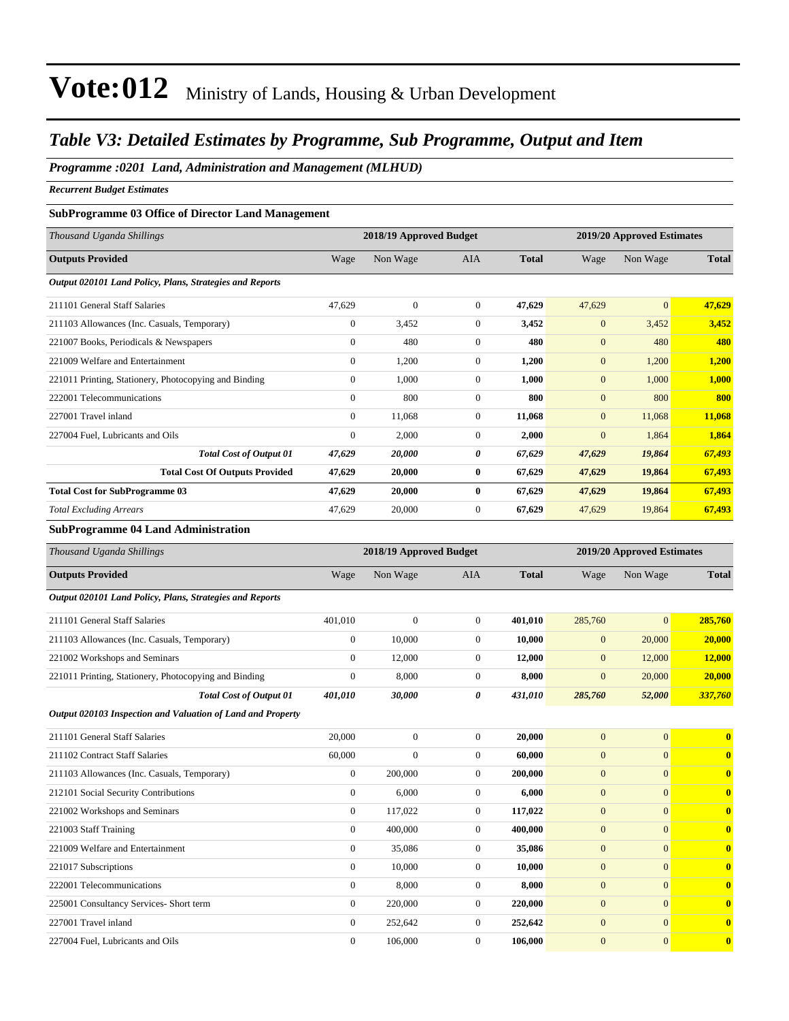#### *Table V3: Detailed Estimates by Programme, Sub Programme, Output and Item*

#### *Programme :0201 Land, Administration and Management (MLHUD)*

*Recurrent Budget Estimates*

#### **SubProgramme 03 Office of Director Land Management**

| Thousand Uganda Shillings                                |                | 2018/19 Approved Budget |                |              |                | 2019/20 Approved Estimates |              |
|----------------------------------------------------------|----------------|-------------------------|----------------|--------------|----------------|----------------------------|--------------|
| <b>Outputs Provided</b>                                  | Wage           | Non Wage                | <b>AIA</b>     | <b>Total</b> | Wage           | Non Wage                   | <b>Total</b> |
| Output 020101 Land Policy, Plans, Strategies and Reports |                |                         |                |              |                |                            |              |
| 211101 General Staff Salaries                            | 47,629         | $\mathbf{0}$            | $\overline{0}$ | 47,629       | 47,629         | $\mathbf{0}$               | 47,629       |
| 211103 Allowances (Inc. Casuals, Temporary)              | $\overline{0}$ | 3,452                   | $\overline{0}$ | 3,452        | $\mathbf{0}$   | 3,452                      | 3,452        |
| 221007 Books, Periodicals & Newspapers                   | $\overline{0}$ | 480                     | $\Omega$       | 480          | $\mathbf{0}$   | 480                        | 480          |
| 221009 Welfare and Entertainment                         | $\overline{0}$ | 1,200                   | $\overline{0}$ | 1,200        | $\mathbf{0}$   | 1,200                      | 1,200        |
| 221011 Printing, Stationery, Photocopying and Binding    | $\overline{0}$ | 1,000                   | $\overline{0}$ | 1,000        | $\mathbf{0}$   | 1,000                      | 1,000        |
| 222001 Telecommunications                                | $\Omega$       | 800                     | $\Omega$       | 800          | $\overline{0}$ | 800                        | 800          |
| 227001 Travel inland                                     | $\overline{0}$ | 11,068                  | $\overline{0}$ | 11,068       | $\mathbf{0}$   | 11,068                     | 11,068       |
| 227004 Fuel, Lubricants and Oils                         | $\overline{0}$ | 2,000                   | $\overline{0}$ | 2,000        | $\mathbf{0}$   | 1,864                      | 1,864        |
| <b>Total Cost of Output 01</b>                           | 47,629         | 20,000                  | 0              | 67,629       | 47,629         | 19,864                     | 67,493       |
| <b>Total Cost Of Outputs Provided</b>                    | 47,629         | 20,000                  | $\bf{0}$       | 67,629       | 47,629         | 19,864                     | 67,493       |
| <b>Total Cost for SubProgramme 03</b>                    | 47,629         | 20,000                  | $\bf{0}$       | 67,629       | 47,629         | 19,864                     | 67,493       |
| <b>Total Excluding Arrears</b>                           | 47,629         | 20,000                  | $\overline{0}$ | 67,629       | 47,629         | 19,864                     | 67,493       |

#### **SubProgramme 04 Land Administration**

| Thousand Uganda Shillings                                   |                  | 2018/19 Approved Budget |                |              |                  | 2019/20 Approved Estimates |              |
|-------------------------------------------------------------|------------------|-------------------------|----------------|--------------|------------------|----------------------------|--------------|
| <b>Outputs Provided</b>                                     | Wage             | Non Wage                | <b>AIA</b>     | <b>Total</b> | Wage             | Non Wage                   | <b>Total</b> |
| Output 020101 Land Policy, Plans, Strategies and Reports    |                  |                         |                |              |                  |                            |              |
| 211101 General Staff Salaries                               | 401,010          | $\mathbf{0}$            | $\overline{0}$ | 401.010      | 285,760          | $\overline{0}$             | 285,760      |
| 211103 Allowances (Inc. Casuals, Temporary)                 | $\boldsymbol{0}$ | 10,000                  | $\overline{0}$ | 10,000       | $\boldsymbol{0}$ | 20,000                     | 20,000       |
| 221002 Workshops and Seminars                               | $\overline{0}$   | 12,000                  | $\overline{0}$ | 12,000       | $\mathbf{0}$     | 12,000                     | 12,000       |
| 221011 Printing, Stationery, Photocopying and Binding       | $\overline{0}$   | 8,000                   | $\overline{0}$ | 8,000        | $\overline{0}$   | 20,000                     | 20,000       |
| <b>Total Cost of Output 01</b>                              | 401,010          | 30,000                  | 0              | 431,010      | 285,760          | 52,000                     | 337,760      |
| Output 020103 Inspection and Valuation of Land and Property |                  |                         |                |              |                  |                            |              |
| 211101 General Staff Salaries                               | 20,000           | $\overline{0}$          | $\overline{0}$ | 20,000       | $\mathbf{0}$     | $\overline{0}$             | $\bf{0}$     |
| 211102 Contract Staff Salaries                              | 60,000           | $\Omega$                | $\Omega$       | 60,000       | $\overline{0}$   | $\Omega$                   | $\bf{0}$     |
| 211103 Allowances (Inc. Casuals, Temporary)                 | $\overline{0}$   | 200,000                 | $\overline{0}$ | 200,000      | $\overline{0}$   | $\mathbf{0}$               | $\bf{0}$     |
| 212101 Social Security Contributions                        | $\overline{0}$   | 6,000                   | $\overline{0}$ | 6,000        | $\boldsymbol{0}$ | $\mathbf{0}$               | $\bf{0}$     |
| 221002 Workshops and Seminars                               | $\overline{0}$   | 117,022                 | $\overline{0}$ | 117,022      | $\overline{0}$   | $\Omega$                   | $\bf{0}$     |
| 221003 Staff Training                                       | $\Omega$         | 400,000                 | $\Omega$       | 400,000      | $\overline{0}$   | $\mathbf{0}$               | $\mathbf{0}$ |
| 221009 Welfare and Entertainment                            | $\overline{0}$   | 35,086                  | $\overline{0}$ | 35,086       | $\overline{0}$   | $\mathbf{0}$               | $\bf{0}$     |
| 221017 Subscriptions                                        | $\overline{0}$   | 10,000                  | $\Omega$       | 10,000       | $\overline{0}$   | $\Omega$                   | $\bf{0}$     |
| 222001 Telecommunications                                   | $\overline{0}$   | 8,000                   | $\overline{0}$ | 8,000        | $\overline{0}$   | $\mathbf{0}$               | $\bf{0}$     |
| 225001 Consultancy Services- Short term                     | $\overline{0}$   | 220,000                 | $\Omega$       | 220,000      | $\overline{0}$   | $\Omega$                   | $\bf{0}$     |
| 227001 Travel inland                                        | $\overline{0}$   | 252,642                 | $\overline{0}$ | 252,642      | $\overline{0}$   | $\overline{0}$             | $\bf{0}$     |
| 227004 Fuel. Lubricants and Oils                            | $\mathbf{0}$     | 106,000                 | $\overline{0}$ | 106,000      | $\overline{0}$   | $\mathbf{0}$               | $\mathbf{0}$ |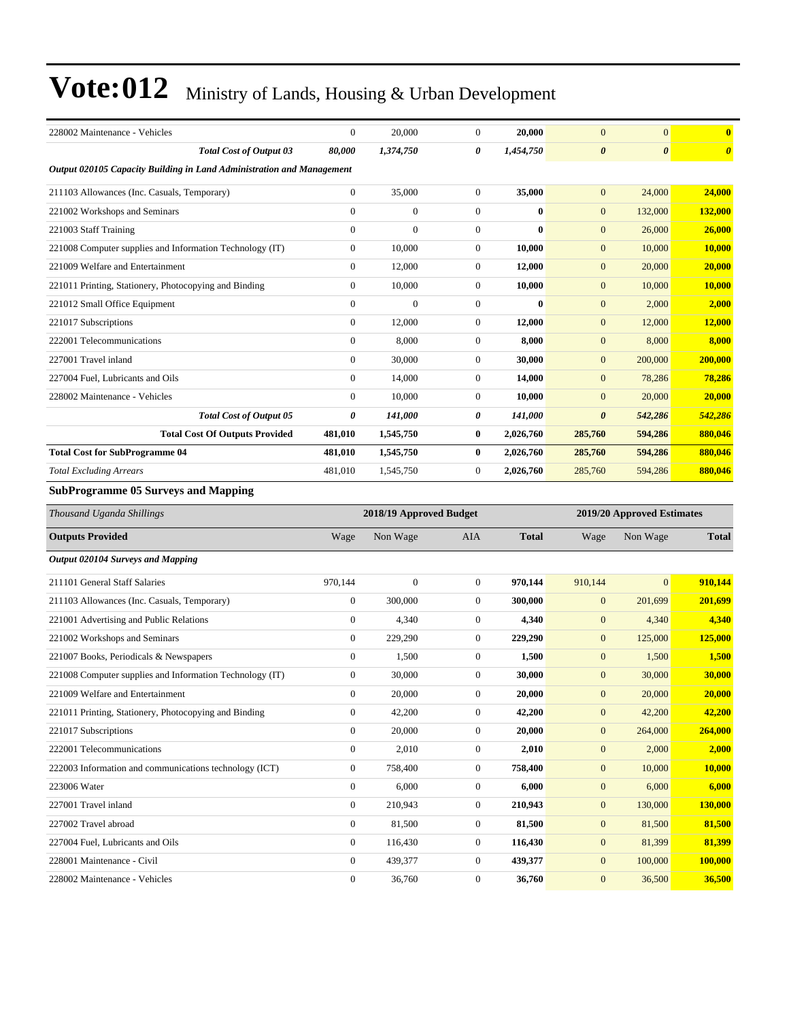| 228002 Maintenance - Vehicles                                         | $\boldsymbol{0}$ | 20,000                  | $\boldsymbol{0}$ | 20,000       | $\mathbf{0}$          | $\boldsymbol{0}$           | $\bf{0}$              |
|-----------------------------------------------------------------------|------------------|-------------------------|------------------|--------------|-----------------------|----------------------------|-----------------------|
| <b>Total Cost of Output 03</b>                                        | 80,000           | 1,374,750               | 0                | 1,454,750    | $\boldsymbol{\theta}$ | $\pmb{\theta}$             | $\boldsymbol{\theta}$ |
| Output 020105 Capacity Building in Land Administration and Management |                  |                         |                  |              |                       |                            |                       |
| 211103 Allowances (Inc. Casuals, Temporary)                           | $\boldsymbol{0}$ | 35,000                  | $\boldsymbol{0}$ | 35,000       | $\boldsymbol{0}$      | 24,000                     | 24,000                |
| 221002 Workshops and Seminars                                         | $\overline{0}$   | $\boldsymbol{0}$        | $\boldsymbol{0}$ | $\bf{0}$     | $\boldsymbol{0}$      | 132,000                    | 132,000               |
| 221003 Staff Training                                                 | $\boldsymbol{0}$ | $\boldsymbol{0}$        | $\boldsymbol{0}$ | $\bf{0}$     | $\mathbf{0}$          | 26,000                     | 26,000                |
| 221008 Computer supplies and Information Technology (IT)              | $\boldsymbol{0}$ | 10,000                  | $\boldsymbol{0}$ | 10,000       | $\boldsymbol{0}$      | 10,000                     | 10,000                |
| 221009 Welfare and Entertainment                                      | $\boldsymbol{0}$ | 12,000                  | $\boldsymbol{0}$ | 12,000       | $\mathbf{0}$          | 20,000                     | 20,000                |
| 221011 Printing, Stationery, Photocopying and Binding                 | $\boldsymbol{0}$ | 10,000                  | $\boldsymbol{0}$ | 10,000       | $\boldsymbol{0}$      | 10,000                     | <b>10,000</b>         |
| 221012 Small Office Equipment                                         | $\boldsymbol{0}$ | $\boldsymbol{0}$        | $\boldsymbol{0}$ | $\bf{0}$     | $\boldsymbol{0}$      | 2,000                      | 2,000                 |
| 221017 Subscriptions                                                  | $\boldsymbol{0}$ | 12,000                  | $\mathbf{0}$     | 12,000       | $\boldsymbol{0}$      | 12,000                     | 12,000                |
| 222001 Telecommunications                                             | $\boldsymbol{0}$ | 8,000                   | $\boldsymbol{0}$ | 8,000        | $\boldsymbol{0}$      | 8,000                      | 8,000                 |
| 227001 Travel inland                                                  | $\boldsymbol{0}$ | 30,000                  | $\boldsymbol{0}$ | 30,000       | $\mathbf{0}$          | 200,000                    | 200,000               |
| 227004 Fuel, Lubricants and Oils                                      | $\boldsymbol{0}$ | 14,000                  | $\boldsymbol{0}$ | 14,000       | $\boldsymbol{0}$      | 78,286                     | 78,286                |
| 228002 Maintenance - Vehicles                                         | $\boldsymbol{0}$ | 10,000                  | $\boldsymbol{0}$ | 10,000       | $\boldsymbol{0}$      | 20,000                     | 20,000                |
| <b>Total Cost of Output 05</b>                                        | 0                | 141,000                 | 0                | 141,000      | $\boldsymbol{\theta}$ | 542,286                    | 542,286               |
| <b>Total Cost Of Outputs Provided</b>                                 | 481,010          | 1,545,750               | $\bf{0}$         | 2,026,760    | 285,760               | 594,286                    | 880,046               |
| <b>Total Cost for SubProgramme 04</b>                                 | 481,010          | 1,545,750               | $\bf{0}$         | 2,026,760    | 285,760               | 594,286                    | 880.046               |
| <b>Total Excluding Arrears</b>                                        | 481,010          | 1,545,750               | $\boldsymbol{0}$ | 2,026,760    | 285,760               | 594,286                    | 880,046               |
| <b>SubProgramme 05 Surveys and Mapping</b>                            |                  |                         |                  |              |                       |                            |                       |
|                                                                       |                  |                         |                  |              |                       |                            |                       |
| Thousand Uganda Shillings                                             |                  | 2018/19 Approved Budget |                  |              |                       | 2019/20 Approved Estimates |                       |
| <b>Outputs Provided</b>                                               | Wage             | Non Wage                | AIA              | <b>Total</b> | Wage                  | Non Wage                   | <b>Total</b>          |
| <b>Output 020104 Surveys and Mapping</b>                              |                  |                         |                  |              |                       |                            |                       |
| 211101 General Staff Salaries                                         | 970,144          | $\mathbf{0}$            | $\boldsymbol{0}$ | 970,144      | 910,144               | $\mathbf{0}$               | 910,144               |
| 211103 Allowances (Inc. Casuals, Temporary)                           | $\boldsymbol{0}$ | 300,000                 | $\mathbf{0}$     | 300,000      | $\boldsymbol{0}$      | 201,699                    | 201,699               |
| 221001 Advertising and Public Relations                               | $\boldsymbol{0}$ | 4,340                   | $\boldsymbol{0}$ | 4,340        | $\boldsymbol{0}$      | 4,340                      | 4,340                 |
| 221002 Workshops and Seminars                                         | $\boldsymbol{0}$ | 229,290                 | $\boldsymbol{0}$ | 229,290      | $\boldsymbol{0}$      | 125,000                    | 125,000               |
| 221007 Books, Periodicals & Newspapers                                | $\boldsymbol{0}$ | 1,500                   | $\boldsymbol{0}$ | 1,500        | $\boldsymbol{0}$      | 1,500                      | 1,500                 |
| 221008 Computer supplies and Information Technology (IT)              | $\boldsymbol{0}$ | 30,000                  | $\boldsymbol{0}$ | 30,000       | $\boldsymbol{0}$      | 30,000                     | 30,000                |
| 221009 Welfare and Entertainment                                      | $\mathbf{0}$     | 20,000                  | $\mathbf{0}$     | 20,000       | $\boldsymbol{0}$      | 20,000                     | 20,000                |
| 221011 Printing, Stationery, Photocopying and Binding                 | $\boldsymbol{0}$ | 42,200                  | $\boldsymbol{0}$ | 42,200       | $\boldsymbol{0}$      | 42,200                     | 42,200                |
| 221017 Subscriptions                                                  | $\boldsymbol{0}$ | 20,000                  | $\boldsymbol{0}$ | 20,000       | $\boldsymbol{0}$      | 264,000                    | 264,000               |
| 222001 Telecommunications                                             | $\boldsymbol{0}$ | 2,010                   | $\boldsymbol{0}$ | 2,010        | $\boldsymbol{0}$      | 2,000                      | 2,000                 |
| 222003 Information and communications technology (ICT)                | $\boldsymbol{0}$ | 758,400                 | $\boldsymbol{0}$ | 758,400      | $\boldsymbol{0}$      | 10,000                     | 10,000                |
| 223006 Water                                                          | $\boldsymbol{0}$ | 6,000                   | $\boldsymbol{0}$ | 6,000        | $\boldsymbol{0}$      | 6,000                      | 6,000                 |
| 227001 Travel inland                                                  | $\boldsymbol{0}$ | 210,943                 | $\boldsymbol{0}$ | 210,943      | $\boldsymbol{0}$      | 130,000                    | 130,000               |
| 227002 Travel abroad                                                  | $\overline{0}$   | 81,500                  | $\boldsymbol{0}$ | 81,500       | $\mathbf{0}$          | 81,500                     | 81,500                |
| 227004 Fuel, Lubricants and Oils                                      | $\boldsymbol{0}$ | 116,430                 | $\boldsymbol{0}$ | 116,430      | $\boldsymbol{0}$      | 81,399                     | 81,399                |
| 228001 Maintenance - Civil                                            | $\boldsymbol{0}$ | 439,377                 | $\boldsymbol{0}$ | 439,377      | $\boldsymbol{0}$      | 100,000                    | 100,000               |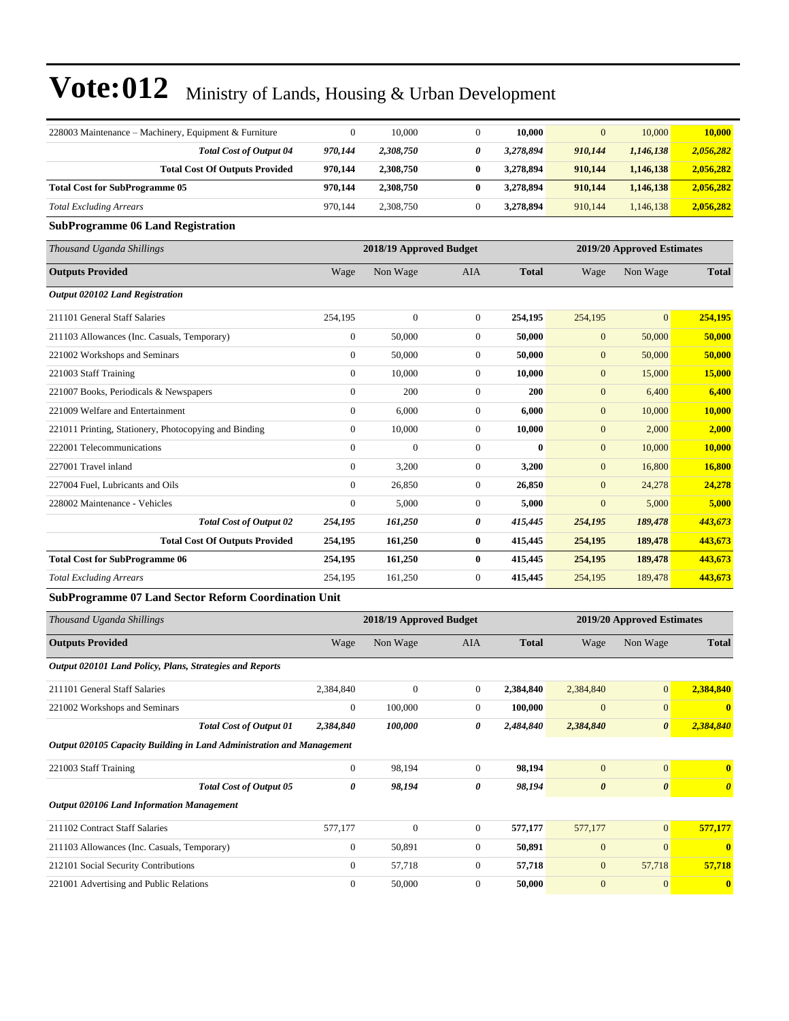| 228003 Maintenance - Machinery, Equipment & Furniture                 | $\boldsymbol{0}$ | 10,000                  | $\boldsymbol{0}$ | 10,000       | $\mathbf{0}$     | 10,000                     | 10,000        |
|-----------------------------------------------------------------------|------------------|-------------------------|------------------|--------------|------------------|----------------------------|---------------|
| <b>Total Cost of Output 04</b>                                        | 970,144          | 2,308,750               | 0                | 3,278,894    | 910,144          | 1,146,138                  | 2,056,282     |
| <b>Total Cost Of Outputs Provided</b>                                 | 970,144          | 2,308,750               | $\bf{0}$         | 3,278,894    | 910,144          | 1,146,138                  | 2,056,282     |
| <b>Total Cost for SubProgramme 05</b>                                 | 970,144          | 2,308,750               | $\bf{0}$         | 3,278,894    | 910,144          | 1,146,138                  | 2,056,282     |
| <b>Total Excluding Arrears</b>                                        | 970,144          | 2,308,750               | $\mathbf{0}$     | 3,278,894    | 910,144          | 1,146,138                  | 2,056,282     |
| <b>SubProgramme 06 Land Registration</b>                              |                  |                         |                  |              |                  |                            |               |
| Thousand Uganda Shillings                                             |                  | 2018/19 Approved Budget |                  |              |                  | 2019/20 Approved Estimates |               |
| <b>Outputs Provided</b>                                               | Wage             | Non Wage                | <b>AIA</b>       | <b>Total</b> | Wage             | Non Wage                   | <b>Total</b>  |
| <b>Output 020102 Land Registration</b>                                |                  |                         |                  |              |                  |                            |               |
| 211101 General Staff Salaries                                         | 254,195          | $\Omega$                | $\theta$         | 254,195      | 254,195          | $\Omega$                   | 254,195       |
| 211103 Allowances (Inc. Casuals, Temporary)                           | $\boldsymbol{0}$ | 50,000                  | $\boldsymbol{0}$ | 50,000       | $\mathbf{0}$     | 50,000                     | 50,000        |
| 221002 Workshops and Seminars                                         | $\overline{0}$   | 50,000                  | $\overline{0}$   | 50,000       | $\boldsymbol{0}$ | 50,000                     | 50,000        |
| 221003 Staff Training                                                 | $\boldsymbol{0}$ | 10,000                  | $\boldsymbol{0}$ | 10,000       | $\boldsymbol{0}$ | 15,000                     | 15,000        |
| 221007 Books, Periodicals & Newspapers                                | $\boldsymbol{0}$ | 200                     | $\boldsymbol{0}$ | 200          | $\boldsymbol{0}$ | 6,400                      | 6,400         |
| 221009 Welfare and Entertainment                                      | $\overline{0}$   | 6,000                   | $\overline{0}$   | 6,000        | $\boldsymbol{0}$ | 10,000                     | 10,000        |
| 221011 Printing, Stationery, Photocopying and Binding                 | $\boldsymbol{0}$ | 10,000                  | $\boldsymbol{0}$ | 10,000       | $\boldsymbol{0}$ | 2,000                      | 2,000         |
| 222001 Telecommunications                                             | $\overline{0}$   | $\mathbf{0}$            | $\theta$         | $\bf{0}$     | $\boldsymbol{0}$ | 10,000                     | 10,000        |
| 227001 Travel inland                                                  | $\overline{0}$   | 3,200                   | $\mathbf{0}$     | 3,200        | $\mathbf{0}$     | 16,800                     | <b>16,800</b> |
| 227004 Fuel, Lubricants and Oils                                      | $\overline{0}$   | 26,850                  | $\boldsymbol{0}$ | 26,850       | $\overline{0}$   | 24,278                     | 24,278        |
| 228002 Maintenance - Vehicles                                         | $\boldsymbol{0}$ | 5,000                   | $\mathbf{0}$     | 5,000        | $\mathbf{0}$     | 5,000                      | 5,000         |
| <b>Total Cost of Output 02</b>                                        | 254,195          | 161,250                 | 0                | 415,445      | 254,195          | 189,478                    | 443,673       |
| <b>Total Cost Of Outputs Provided</b>                                 | 254,195          | 161,250                 | $\bf{0}$         | 415,445      | 254,195          | 189,478                    | 443,673       |
| <b>Total Cost for SubProgramme 06</b>                                 | 254,195          | 161,250                 | $\bf{0}$         | 415,445      | 254,195          | 189,478                    | 443,673       |
| <b>Total Excluding Arrears</b>                                        | 254,195          | 161,250                 | $\theta$         | 415,445      | 254,195          | 189,478                    | 443,673       |
| <b>SubProgramme 07 Land Sector Reform Coordination Unit</b>           |                  |                         |                  |              |                  |                            |               |
| Thousand Uganda Shillings                                             |                  | 2018/19 Approved Budget |                  |              |                  | 2019/20 Approved Estimates |               |
| <b>Outputs Provided</b>                                               | Wage             | Non Wage                | AIA              | <b>Total</b> | Wage             | Non Wage                   | <b>Total</b>  |
| Output 020101 Land Policy, Plans, Strategies and Reports              |                  |                         |                  |              |                  |                            |               |
| 211101 General Staff Salaries                                         | 2,384,840        | $\mathbf{0}$            | $\boldsymbol{0}$ | 2,384,840    | 2,384,840        | $\mathbf{0}$               | 2,384,840     |
| 221002 Workshops and Seminars                                         | $\boldsymbol{0}$ | 100,000                 | $\mathbf{0}$     | 100,000      | $\boldsymbol{0}$ | $\mathbf{0}$               | $\bf{0}$      |
| <b>Total Cost of Output 01</b>                                        | 2,384,840        | 100,000                 | 0                | 2,484,840    | 2,384,840        | $\boldsymbol{\theta}$      | 2,384,840     |
| Output 020105 Capacity Building in Land Administration and Management |                  |                         |                  |              |                  |                            |               |

| 221003 Staff Training                            |                                | 0       | 98.194       | 0        | 98.194  | $\overline{0}$        | $\overline{0}$        |              |
|--------------------------------------------------|--------------------------------|---------|--------------|----------|---------|-----------------------|-----------------------|--------------|
|                                                  | <b>Total Cost of Output 05</b> | 0       | 98,194       | 0        | 98.194  | $\boldsymbol{\theta}$ | $\boldsymbol{\theta}$ |              |
| <b>Output 020106 Land Information Management</b> |                                |         |              |          |         |                       |                       |              |
| 211102 Contract Staff Salaries                   |                                | 577,177 | $\mathbf{0}$ | 0        | 577.177 | 577,177               | $\overline{0}$        | 577,177      |
| 211103 Allowances (Inc. Casuals, Temporary)      |                                |         | 50.891       | 0        | 50.891  | $\mathbf{0}$          | $\Omega$              | $\mathbf{0}$ |
| 212101 Social Security Contributions             |                                |         | 57,718       | $\Omega$ | 57.718  | $\overline{0}$        | 57,718                | 57,718       |
| 221001 Advertising and Public Relations          |                                |         | 50,000       |          | 50,000  | $\Omega$              | $\overline{0}$        |              |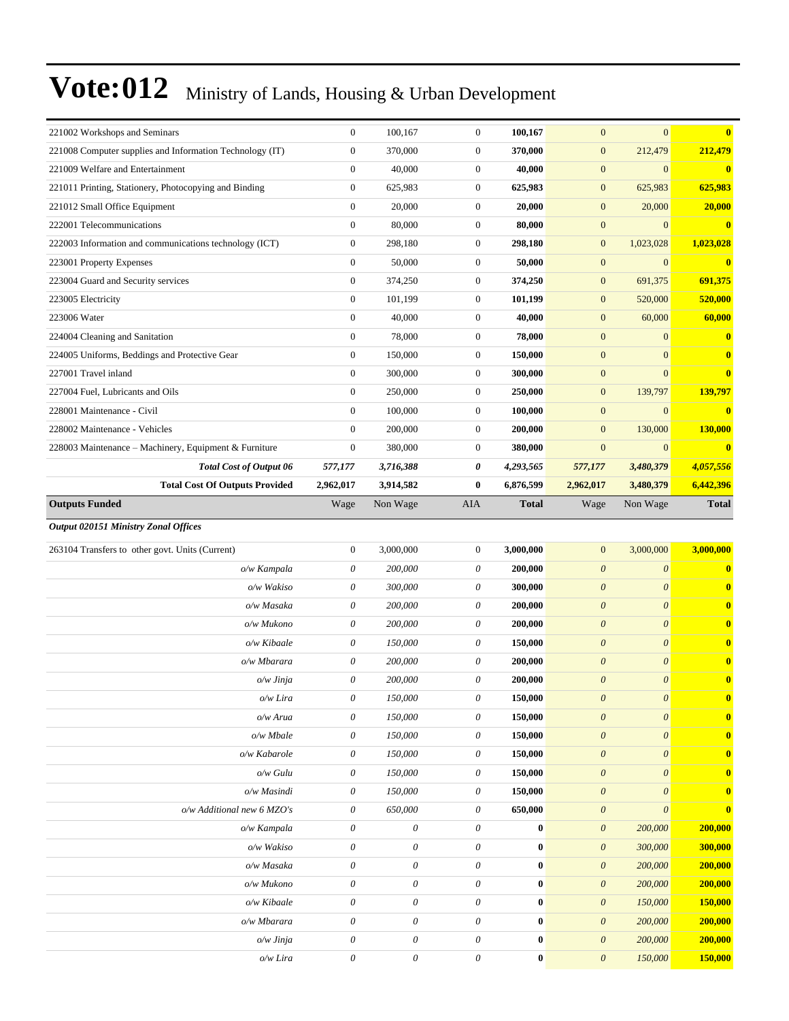| 221002 Workshops and Seminars                            | $\boldsymbol{0}$                                   | 100,167                                                | $\boldsymbol{0}$                               | 100,167                       | $\boldsymbol{0}$                               | $\mathbf{0}$              | $\bf{0}$           |
|----------------------------------------------------------|----------------------------------------------------|--------------------------------------------------------|------------------------------------------------|-------------------------------|------------------------------------------------|---------------------------|--------------------|
| 221008 Computer supplies and Information Technology (IT) | $\boldsymbol{0}$                                   | 370,000                                                | $\boldsymbol{0}$                               | 370,000                       | $\boldsymbol{0}$                               | 212,479                   | 212,479            |
| 221009 Welfare and Entertainment                         | $\mathbf{0}$                                       | 40,000                                                 | $\boldsymbol{0}$                               | 40,000                        | $\boldsymbol{0}$                               | $\mathbf{0}$              | $\mathbf{0}$       |
| 221011 Printing, Stationery, Photocopying and Binding    | $\boldsymbol{0}$                                   | 625,983                                                | $\boldsymbol{0}$                               | 625,983                       | $\boldsymbol{0}$                               | 625,983                   | 625,983            |
| 221012 Small Office Equipment                            | $\theta$                                           | 20,000                                                 | $\mathbf{0}$                                   | 20,000                        | $\boldsymbol{0}$                               | 20,000                    | 20,000             |
| 222001 Telecommunications                                | $\boldsymbol{0}$                                   | 80,000                                                 | $\mathbf{0}$                                   | 80,000                        | $\boldsymbol{0}$                               | $\mathbf{0}$              | $\bf{0}$           |
| 222003 Information and communications technology (ICT)   | $\boldsymbol{0}$                                   | 298,180                                                | $\boldsymbol{0}$                               | 298,180                       | $\boldsymbol{0}$                               | 1,023,028                 | 1,023,028          |
| 223001 Property Expenses                                 | $\mathbf{0}$                                       | 50,000                                                 | $\boldsymbol{0}$                               | 50,000                        | $\boldsymbol{0}$                               | $\mathbf{0}$              | $\mathbf{0}$       |
| 223004 Guard and Security services                       | $\boldsymbol{0}$                                   | 374,250                                                | $\boldsymbol{0}$                               | 374,250                       | $\boldsymbol{0}$                               | 691,375                   | 691,375            |
| 223005 Electricity                                       | $\mathbf{0}$                                       | 101,199                                                | $\mathbf{0}$                                   | 101,199                       | $\boldsymbol{0}$                               | 520,000                   | 520,000            |
| 223006 Water                                             | $\boldsymbol{0}$                                   | 40,000                                                 | $\boldsymbol{0}$                               | 40,000                        | $\boldsymbol{0}$                               | 60,000                    | 60,000             |
| 224004 Cleaning and Sanitation                           | $\mathbf{0}$                                       | 78,000                                                 | $\mathbf{0}$                                   | 78,000                        | $\mathbf{0}$                                   | $\mathbf{0}$              | $\mathbf{0}$       |
| 224005 Uniforms, Beddings and Protective Gear            | $\boldsymbol{0}$                                   | 150,000                                                | $\boldsymbol{0}$                               | 150,000                       | $\mathbf{0}$                                   | $\mathbf{0}$              | $\mathbf{0}$       |
| 227001 Travel inland                                     | $\boldsymbol{0}$                                   | 300,000                                                | $\boldsymbol{0}$                               | 300,000                       | $\mathbf{0}$                                   | $\overline{0}$            | $\bf{0}$           |
| 227004 Fuel, Lubricants and Oils                         | $\mathbf{0}$                                       | 250,000                                                | $\mathbf{0}$                                   | 250,000                       | $\boldsymbol{0}$                               | 139,797                   | 139,797            |
| 228001 Maintenance - Civil                               | $\boldsymbol{0}$                                   | 100,000                                                | $\mathbf{0}$                                   | 100,000                       | $\boldsymbol{0}$                               | $\mathbf{0}$              | $\bf{0}$           |
| 228002 Maintenance - Vehicles                            | $\mathbf{0}$                                       | 200,000                                                | $\boldsymbol{0}$                               | 200,000                       | $\boldsymbol{0}$                               | 130,000                   | 130,000            |
| 228003 Maintenance - Machinery, Equipment & Furniture    | $\mathbf{0}$                                       | 380,000                                                | $\mathbf{0}$                                   | 380,000                       | $\mathbf{0}$                                   | $\mathbf{0}$              | $\mathbf{0}$       |
| <b>Total Cost of Output 06</b>                           | 577,177                                            | 3,716,388                                              | 0                                              | 4,293,565                     | 577,177                                        | 3,480,379                 | 4,057,556          |
| <b>Total Cost Of Outputs Provided</b>                    | 2,962,017                                          | 3,914,582                                              | $\bf{0}$                                       | 6,876,599                     | 2,962,017                                      | 3,480,379                 | 6,442,396          |
| <b>Outputs Funded</b>                                    | Wage                                               | Non Wage                                               | AIA                                            | <b>Total</b>                  | Wage                                           | Non Wage                  | <b>Total</b>       |
| <b>Output 020151 Ministry Zonal Offices</b>              |                                                    |                                                        |                                                |                               |                                                |                           |                    |
| 263104 Transfers to other govt. Units (Current)          | $\boldsymbol{0}$                                   | 3,000,000                                              | $\mathbf{0}$                                   | 3,000,000                     | $\boldsymbol{0}$                               | 3,000,000                 | 3,000,000          |
| o/w Kampala                                              | $\theta$                                           | 200,000                                                | 0                                              | 200,000                       | $\boldsymbol{\theta}$                          | $\boldsymbol{\theta}$     | $\mathbf{0}$       |
| o/w Wakiso                                               | $\theta$                                           | 300,000                                                | 0                                              | 300,000                       | $\boldsymbol{\theta}$                          | $\boldsymbol{\theta}$     | $\mathbf{0}$       |
| o/w Masaka                                               | $\theta$                                           | 200,000                                                | $\theta$                                       | 200,000                       | $\boldsymbol{\theta}$                          | $\boldsymbol{\theta}$     | $\bf{0}$           |
| o/w Mukono                                               | $\theta$                                           | 200,000                                                | 0                                              | 200,000                       | $\boldsymbol{\theta}$                          | $\boldsymbol{\theta}$     | $\bf{0}$           |
| o/w Kibaale                                              | $\theta$                                           | 150,000                                                | 0                                              | 150,000                       |                                                |                           |                    |
| o/w Mbarara                                              | $\theta$                                           |                                                        |                                                |                               |                                                |                           |                    |
| o/w Jinja                                                |                                                    |                                                        |                                                |                               | $\boldsymbol{\theta}$                          | $\boldsymbol{\theta}$     | $\bf{0}$           |
|                                                          |                                                    | 200,000                                                | $\theta$                                       | 200,000                       | $\boldsymbol{\theta}$                          | $\boldsymbol{\theta}$     | $\mathbf{0}$       |
|                                                          | $\theta$                                           | 200,000                                                | 0                                              | 200,000                       | $\boldsymbol{\theta}$                          | $\boldsymbol{\theta}$     | $\bf{0}$           |
| o/w Lira                                                 | $\boldsymbol{\mathit{0}}$                          | 150,000                                                | 0                                              | 150,000                       | $\boldsymbol{\mathit{0}}$                      | $\boldsymbol{\mathit{0}}$ | $\mathbf{0}$       |
| o/w Arua                                                 | $\boldsymbol{\mathit{0}}$                          | 150,000                                                | $\theta$                                       | 150,000                       | $\boldsymbol{\mathit{0}}$                      | $\boldsymbol{\mathit{0}}$ | $\mathbf{0}$       |
| o/w Mbale                                                | $\boldsymbol{\mathit{0}}$                          | 150,000                                                | $\theta$                                       | 150,000                       | $\boldsymbol{\mathit{0}}$                      | $\boldsymbol{\mathit{0}}$ | $\bf{0}$           |
| o/w Kabarole                                             | $\boldsymbol{\mathit{0}}$                          | 150,000                                                | $\boldsymbol{\theta}$                          | 150,000                       | $\boldsymbol{o}$                               | $\boldsymbol{\mathit{0}}$ | $\bf{0}$           |
| o/w Gulu                                                 | $\boldsymbol{\theta}$                              | 150,000                                                | $\theta$                                       | 150,000                       | $\boldsymbol{\mathit{0}}$                      | $\boldsymbol{\theta}$     | $\bf{0}$           |
| o/w Masindi                                              | $\theta$                                           | 150,000                                                | $\theta$                                       | 150,000                       | $\boldsymbol{\mathit{0}}$                      | $\boldsymbol{\theta}$     | $\bf{0}$           |
| o/w Additional new 6 MZO's                               | $\boldsymbol{\mathit{0}}$                          | 650,000                                                | $\theta$                                       | 650,000                       | $\boldsymbol{\mathit{0}}$                      | $\boldsymbol{\mathit{0}}$ | $\mathbf{0}$       |
| o/w Kampala                                              | $\boldsymbol{\mathit{0}}$                          | $\boldsymbol{\mathit{0}}$                              | $\theta$                                       | $\bf{0}$                      | $\boldsymbol{\mathit{0}}$                      | 200,000                   | 200,000            |
| o/w Wakiso                                               | $\boldsymbol{\mathit{0}}$                          | $\boldsymbol{\mathit{0}}$                              | $\boldsymbol{\theta}$                          | $\bf{0}$                      | $\boldsymbol{\theta}$                          | 300,000                   | 300,000            |
| o/w Masaka                                               | $\boldsymbol{\mathit{0}}$                          | $\boldsymbol{\mathit{0}}$                              | $\theta$                                       | $\bf{0}$                      | $\boldsymbol{\theta}$                          | 200,000                   | 200,000            |
| o/w Mukono                                               | $\boldsymbol{\theta}$                              | $\boldsymbol{\mathit{0}}$                              | $\theta$                                       | $\bf{0}$                      | $\boldsymbol{\theta}$                          | 200,000                   | 200,000            |
| o/w Kibaale                                              | $\boldsymbol{\mathit{0}}$                          | $\boldsymbol{\mathit{0}}$                              | $\boldsymbol{\theta}$                          | $\boldsymbol{0}$              | $\boldsymbol{\theta}$                          | 150,000                   | 150,000            |
| o/w Mbarara                                              | $\boldsymbol{\mathit{0}}$                          | $\boldsymbol{\mathit{0}}$                              | $\theta$                                       | $\bf{0}$                      | $\boldsymbol{\theta}$                          | 200,000                   | 200,000            |
| o/w Jinja<br>o/w Lira                                    | $\boldsymbol{\mathit{0}}$<br>$\boldsymbol{\theta}$ | $\boldsymbol{\mathit{0}}$<br>$\boldsymbol{\mathit{0}}$ | $\boldsymbol{\theta}$<br>$\boldsymbol{\theta}$ | $\boldsymbol{0}$<br>$\pmb{0}$ | $\boldsymbol{\theta}$<br>$\boldsymbol{\theta}$ | 200,000<br>150,000        | 200,000<br>150,000 |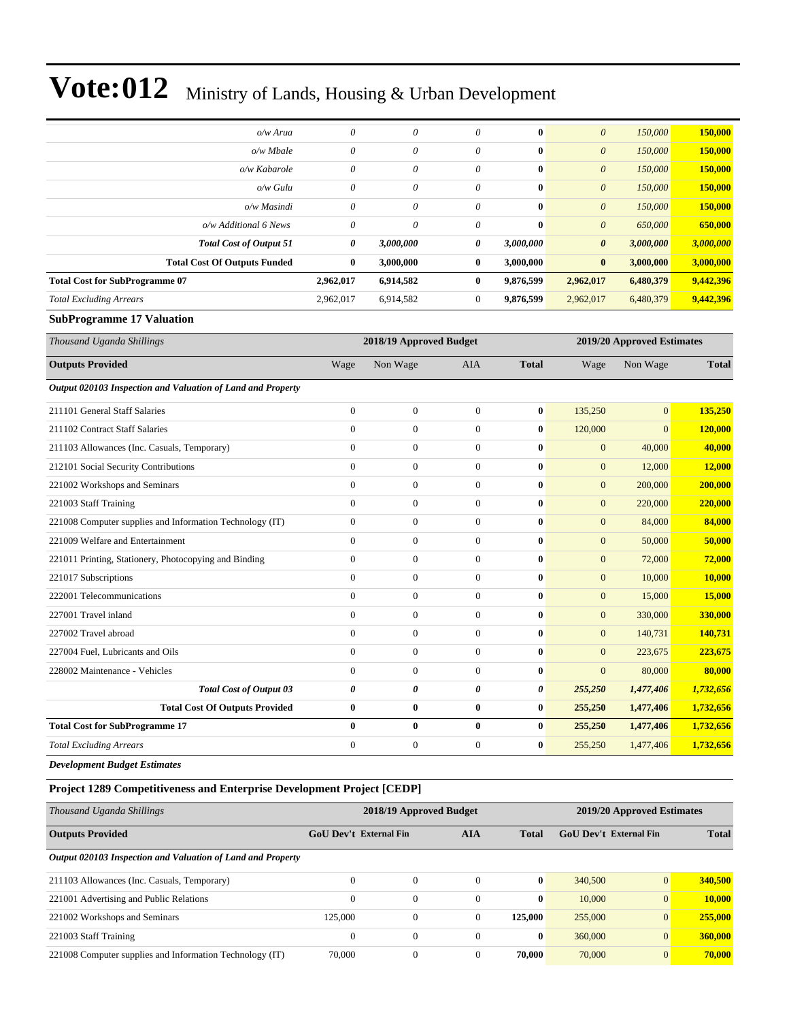| o/w Arua                              | 0         | $\theta$  | 0            | $\bf{0}$  | $\theta$              | 150,000   | 150,000   |
|---------------------------------------|-----------|-----------|--------------|-----------|-----------------------|-----------|-----------|
| $o/w$ Mbale                           | 0         | $\theta$  | $\theta$     | $\bf{0}$  | $\theta$              | 150,000   | 150,000   |
| o/w Kabarole                          | 0         | $\theta$  | $\theta$     | $\bf{0}$  | $\theta$              | 150,000   | 150,000   |
| o/w Gulu                              | 0         | $\theta$  | $\theta$     | $\bf{0}$  | $\theta$              | 150,000   | 150,000   |
| o/w Masindi                           | 0         | $\theta$  | $\theta$     | $\bf{0}$  | $\theta$              | 150,000   | 150,000   |
| o/w Additional 6 News                 | 0         | $\theta$  | $\theta$     | $\bf{0}$  | $\theta$              | 650,000   | 650,000   |
| <b>Total Cost of Output 51</b>        | $\theta$  | 3,000,000 | 0            | 3,000,000 | $\boldsymbol{\theta}$ | 3,000,000 | 3,000,000 |
| <b>Total Cost Of Outputs Funded</b>   | $\bf{0}$  | 3,000,000 | $\bf{0}$     | 3,000,000 | $\mathbf{0}$          | 3,000,000 | 3,000,000 |
| <b>Total Cost for SubProgramme 07</b> | 2,962,017 | 6,914,582 | $\bf{0}$     | 9,876,599 | 2,962,017             | 6,480,379 | 9,442,396 |
| <b>Total Excluding Arrears</b>        | 2,962,017 | 6,914,582 | $\mathbf{0}$ | 9,876,599 | 2,962,017             | 6,480,379 | 9,442,396 |

#### **SubProgramme 17 Valuation**

| Thousand Uganda Shillings                                   |                | 2018/19 Approved Budget |              |              |                  | 2019/20 Approved Estimates |              |
|-------------------------------------------------------------|----------------|-------------------------|--------------|--------------|------------------|----------------------------|--------------|
| <b>Outputs Provided</b>                                     | Wage           | Non Wage                | <b>AIA</b>   | <b>Total</b> | Wage             | Non Wage                   | <b>Total</b> |
| Output 020103 Inspection and Valuation of Land and Property |                |                         |              |              |                  |                            |              |
| 211101 General Staff Salaries                               | $\overline{0}$ | $\boldsymbol{0}$        | $\mathbf{0}$ | $\bf{0}$     | 135,250          | $\mathbf{0}$               | 135,250      |
| 211102 Contract Staff Salaries                              | $\overline{0}$ | $\boldsymbol{0}$        | $\Omega$     | $\mathbf{0}$ | 120,000          | $\Omega$                   | 120,000      |
| 211103 Allowances (Inc. Casuals, Temporary)                 | $\overline{0}$ | $\boldsymbol{0}$        | $\mathbf{0}$ | $\bf{0}$     | $\boldsymbol{0}$ | 40,000                     | 40,000       |
| 212101 Social Security Contributions                        | $\Omega$       | $\overline{0}$          | $\Omega$     | $\bf{0}$     | $\overline{0}$   | 12,000                     | 12,000       |
| 221002 Workshops and Seminars                               | $\overline{0}$ | $\overline{0}$          | $\Omega$     | $\mathbf{0}$ | $\overline{0}$   | 200,000                    | 200,000      |
| 221003 Staff Training                                       | $\overline{0}$ | $\overline{0}$          | $\mathbf{0}$ | $\bf{0}$     | $\mathbf{0}$     | 220,000                    | 220,000      |
| 221008 Computer supplies and Information Technology (IT)    | $\overline{0}$ | $\boldsymbol{0}$        | $\mathbf{0}$ | $\mathbf{0}$ | $\overline{0}$   | 84,000                     | 84,000       |
| 221009 Welfare and Entertainment                            | $\overline{0}$ | $\boldsymbol{0}$        | $\mathbf{0}$ | $\bf{0}$     | $\mathbf{0}$     | 50,000                     | 50,000       |
| 221011 Printing, Stationery, Photocopying and Binding       | $\overline{0}$ | $\overline{0}$          | $\Omega$     | $\mathbf{0}$ | $\overline{0}$   | 72,000                     | 72,000       |
| 221017 Subscriptions                                        | $\overline{0}$ | $\boldsymbol{0}$        | $\Omega$     | $\mathbf{0}$ | $\overline{0}$   | 10,000                     | 10,000       |
| 222001 Telecommunications                                   | $\mathbf{0}$   | $\overline{0}$          | $\Omega$     | $\bf{0}$     | $\overline{0}$   | 15,000                     | 15,000       |
| 227001 Travel inland                                        | $\overline{0}$ | $\boldsymbol{0}$        | $\mathbf{0}$ | $\mathbf{0}$ | $\overline{0}$   | 330,000                    | 330,000      |
| 227002 Travel abroad                                        | $\overline{0}$ | $\boldsymbol{0}$        | $\Omega$     | $\bf{0}$     | $\overline{0}$   | 140,731                    | 140,731      |
| 227004 Fuel, Lubricants and Oils                            | $\overline{0}$ | $\boldsymbol{0}$        | $\mathbf{0}$ | $\mathbf{0}$ | $\overline{0}$   | 223,675                    | 223,675      |
| 228002 Maintenance - Vehicles                               | $\Omega$       | $\overline{0}$          | $\Omega$     | $\mathbf{0}$ | $\overline{0}$   | 80,000                     | 80,000       |
| <b>Total Cost of Output 03</b>                              | 0              | 0                       | 0            | 0            | 255,250          | 1,477,406                  | 1,732,656    |
| <b>Total Cost Of Outputs Provided</b>                       | $\bf{0}$       | $\bf{0}$                | $\bf{0}$     | $\bf{0}$     | 255,250          | 1,477,406                  | 1,732,656    |
| <b>Total Cost for SubProgramme 17</b>                       | $\bf{0}$       | $\bf{0}$                | $\bf{0}$     | $\bf{0}$     | 255,250          | 1,477,406                  | 1,732,656    |
| <b>Total Excluding Arrears</b>                              | $\overline{0}$ | $\overline{0}$          | $\mathbf{0}$ | $\bf{0}$     | 255,250          | 1,477,406                  | 1,732,656    |

*Development Budget Estimates*

#### **Project 1289 Competitiveness and Enterprise Development Project [CEDP]**

| Thousand Uganda Shillings                                   |                               | 2018/19 Approved Budget |            |              | 2019/20 Approved Estimates |                        |         |
|-------------------------------------------------------------|-------------------------------|-------------------------|------------|--------------|----------------------------|------------------------|---------|
| <b>Outputs Provided</b>                                     | <b>GoU</b> Dev't External Fin |                         | <b>AIA</b> | <b>Total</b> |                            | GoU Dev't External Fin |         |
| Output 020103 Inspection and Valuation of Land and Property |                               |                         |            |              |                            |                        |         |
| 211103 Allowances (Inc. Casuals, Temporary)                 | $\Omega$                      | $\Omega$                | $\Omega$   | $\bf{0}$     | 340,500                    | $\overline{0}$         | 340,500 |
| 221001 Advertising and Public Relations                     | $\Omega$                      | $\theta$                | $\Omega$   | $\bf{0}$     | 10,000                     | $\overline{0}$         | 10.000  |
| 221002 Workshops and Seminars                               | 125,000                       | $\mathbf{0}$            | $\Omega$   | 125,000      | 255,000                    | $\overline{0}$         | 255,000 |
| 221003 Staff Training                                       | $\mathbf{0}$                  | $\Omega$                | $\Omega$   | $\bf{0}$     | 360,000                    | $\overline{0}$         | 360,000 |
| 221008 Computer supplies and Information Technology (IT)    | 70,000                        | $\Omega$                | $\Omega$   | 70,000       | 70,000                     | $\overline{0}$         | 70,000  |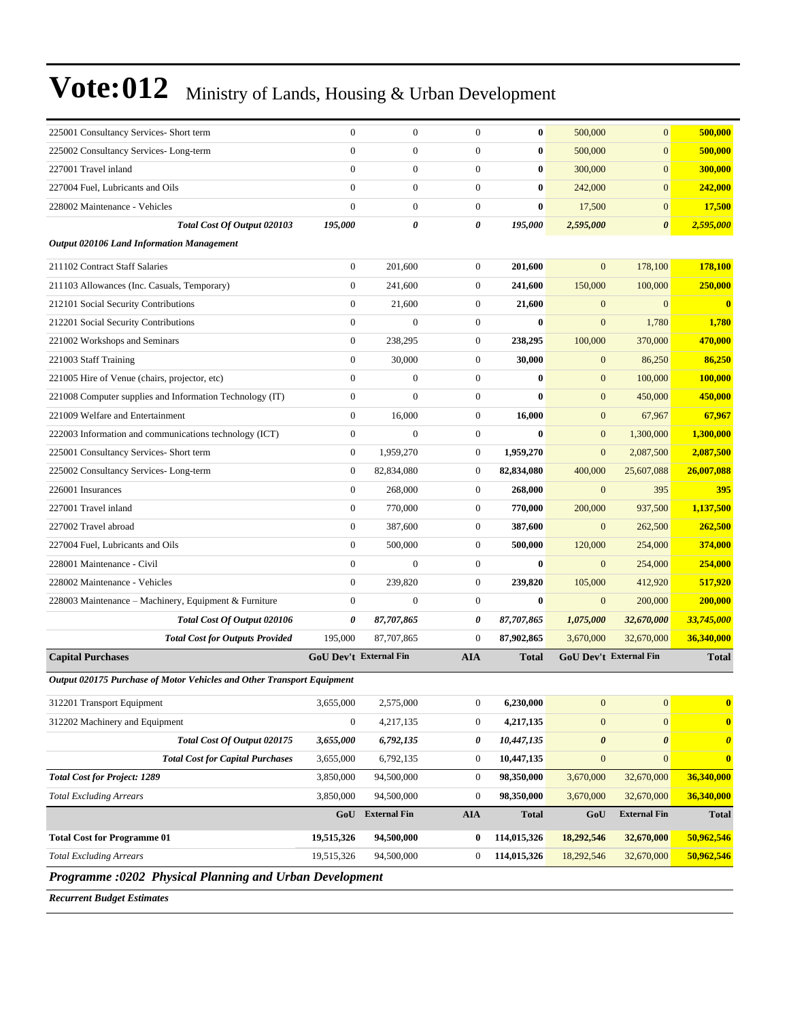| 225001 Consultancy Services- Short term                                | $\boldsymbol{0}$              | $\mathbf{0}$        | $\overline{0}$   | $\bf{0}$     | 500,000          | $\overline{0}$                | 500,000                 |
|------------------------------------------------------------------------|-------------------------------|---------------------|------------------|--------------|------------------|-------------------------------|-------------------------|
| 225002 Consultancy Services-Long-term                                  | $\boldsymbol{0}$              | $\boldsymbol{0}$    | $\boldsymbol{0}$ | $\bf{0}$     | 500,000          | $\boldsymbol{0}$              | 500,000                 |
| 227001 Travel inland                                                   | $\mathbf{0}$                  | $\boldsymbol{0}$    | $\boldsymbol{0}$ | 0            | 300,000          | $\boldsymbol{0}$              | 300,000                 |
| 227004 Fuel, Lubricants and Oils                                       | $\overline{0}$                | $\mathbf{0}$        | $\mathbf{0}$     | $\bf{0}$     | 242,000          | $\overline{0}$                | 242,000                 |
| 228002 Maintenance - Vehicles                                          | $\mathbf{0}$                  | $\boldsymbol{0}$    | $\boldsymbol{0}$ | $\bf{0}$     | 17,500           | $\mathbf{0}$                  | 17,500                  |
| Total Cost Of Output 020103                                            | 195,000                       | 0                   | 0                | 195,000      | 2,595,000        | $\boldsymbol{\theta}$         | 2,595,000               |
| <b>Output 020106 Land Information Management</b>                       |                               |                     |                  |              |                  |                               |                         |
| 211102 Contract Staff Salaries                                         | $\boldsymbol{0}$              | 201,600             | $\boldsymbol{0}$ | 201,600      | $\mathbf{0}$     | 178,100                       | <b>178,100</b>          |
| 211103 Allowances (Inc. Casuals, Temporary)                            | $\mathbf{0}$                  | 241.600             | $\boldsymbol{0}$ | 241,600      | 150,000          | 100,000                       | 250,000                 |
| 212101 Social Security Contributions                                   | $\mathbf{0}$                  | 21.600              | $\boldsymbol{0}$ | 21,600       | $\mathbf{0}$     | $\mathbf{0}$                  | $\overline{\mathbf{0}}$ |
| 212201 Social Security Contributions                                   | $\boldsymbol{0}$              | $\boldsymbol{0}$    | $\mathbf{0}$     | $\bf{0}$     | $\mathbf{0}$     | 1,780                         | 1,780                   |
| 221002 Workshops and Seminars                                          | $\boldsymbol{0}$              | 238,295             | $\boldsymbol{0}$ | 238,295      | 100,000          | 370,000                       | 470,000                 |
| 221003 Staff Training                                                  | $\mathbf{0}$                  | 30,000              | $\boldsymbol{0}$ | 30,000       | $\mathbf{0}$     | 86,250                        | 86,250                  |
| 221005 Hire of Venue (chairs, projector, etc)                          | $\mathbf{0}$                  | $\mathbf{0}$        | $\boldsymbol{0}$ | $\mathbf{0}$ | $\boldsymbol{0}$ | 100,000                       | 100,000                 |
| 221008 Computer supplies and Information Technology (IT)               | $\mathbf{0}$                  | $\mathbf{0}$        | $\mathbf{0}$     | $\bf{0}$     | $\mathbf{0}$     | 450,000                       | 450,000                 |
| 221009 Welfare and Entertainment                                       | $\boldsymbol{0}$              | 16,000              | $\mathbf{0}$     | 16,000       | $\mathbf{0}$     | 67,967                        | 67,967                  |
| 222003 Information and communications technology (ICT)                 | $\boldsymbol{0}$              | $\mathbf{0}$        | $\boldsymbol{0}$ | $\bf{0}$     | $\mathbf{0}$     | 1,300,000                     | 1,300,000               |
| 225001 Consultancy Services- Short term                                | $\boldsymbol{0}$              | 1,959,270           | $\boldsymbol{0}$ | 1,959,270    | $\mathbf{0}$     | 2,087,500                     | 2,087,500               |
| 225002 Consultancy Services-Long-term                                  | $\boldsymbol{0}$              | 82,834,080          | $\boldsymbol{0}$ | 82,834,080   | 400,000          | 25,607,088                    | 26,007,088              |
| 226001 Insurances                                                      | $\mathbf{0}$                  | 268,000             | $\boldsymbol{0}$ | 268,000      | $\mathbf{0}$     | 395                           | 395                     |
| 227001 Travel inland                                                   | $\boldsymbol{0}$              | 770,000             | $\boldsymbol{0}$ | 770,000      | 200,000          | 937,500                       | 1,137,500               |
| 227002 Travel abroad                                                   | $\boldsymbol{0}$              | 387,600             | $\boldsymbol{0}$ | 387,600      | $\mathbf{0}$     | 262,500                       | 262,500                 |
| 227004 Fuel, Lubricants and Oils                                       | $\boldsymbol{0}$              | 500,000             | $\boldsymbol{0}$ | 500,000      | 120,000          | 254,000                       | 374,000                 |
| 228001 Maintenance - Civil                                             | $\mathbf{0}$                  | $\mathbf{0}$        | $\boldsymbol{0}$ | $\bf{0}$     | $\mathbf{0}$     | 254,000                       | 254,000                 |
| 228002 Maintenance - Vehicles                                          | $\mathbf{0}$                  | 239,820             | $\boldsymbol{0}$ | 239,820      | 105,000          | 412,920                       | 517,920                 |
| 228003 Maintenance – Machinery, Equipment & Furniture                  | $\boldsymbol{0}$              | $\boldsymbol{0}$    | $\boldsymbol{0}$ | $\bf{0}$     | $\mathbf{0}$     | 200,000                       | 200,000                 |
| Total Cost Of Output 020106                                            | 0                             | 87,707,865          | 0                | 87,707,865   | 1,075,000        | 32,670,000                    | 33,745,000              |
| <b>Total Cost for Outputs Provided</b>                                 | 195,000                       | 87,707,865          | $\boldsymbol{0}$ | 87,902,865   | 3,670,000        | 32,670,000                    | 36,340,000              |
| <b>Capital Purchases</b>                                               | <b>GoU Dev't External Fin</b> |                     | <b>AIA</b>       | <b>Total</b> |                  | <b>GoU Dev't External Fin</b> | <b>Total</b>            |
| Output 020175 Purchase of Motor Vehicles and Other Transport Equipment |                               |                     |                  |              |                  |                               |                         |
| 312201 Transport Equipment                                             | 3,655,000                     | 2,575,000           | $\boldsymbol{0}$ | 6,230,000    | $\boldsymbol{0}$ | $\boldsymbol{0}$              | $\bf{0}$                |
| 312202 Machinery and Equipment                                         | $\boldsymbol{0}$              | 4,217,135           | $\boldsymbol{0}$ | 4,217,135    | $\boldsymbol{0}$ | $\boldsymbol{0}$              | $\boldsymbol{0}$        |
| Total Cost Of Output 020175                                            | 3,655,000                     | 6,792,135           | 0                | 10,447,135   | $\pmb{\theta}$   | $\boldsymbol{\theta}$         | $\boldsymbol{\theta}$   |
| <b>Total Cost for Capital Purchases</b>                                | 3,655,000                     | 6,792,135           | $\boldsymbol{0}$ | 10,447,135   | $\boldsymbol{0}$ | $\mathbf{0}$                  | $\bf{0}$                |
| <b>Total Cost for Project: 1289</b>                                    | 3,850,000                     | 94,500,000          | $\boldsymbol{0}$ | 98,350,000   | 3,670,000        | 32,670,000                    | 36,340,000              |
| <b>Total Excluding Arrears</b>                                         | 3,850,000                     | 94,500,000          | $\boldsymbol{0}$ | 98,350,000   | 3,670,000        | 32,670,000                    | 36,340,000              |
|                                                                        | GoU                           | <b>External Fin</b> | <b>AIA</b>       | <b>Total</b> | GoU              | <b>External Fin</b>           | <b>Total</b>            |
| <b>Total Cost for Programme 01</b>                                     | 19,515,326                    | 94,500,000          | $\bf{0}$         | 114,015,326  | 18,292,546       | 32,670,000                    | 50,962,546              |
| <b>Total Excluding Arrears</b>                                         | 19,515,326                    | 94,500,000          | $\boldsymbol{0}$ | 114,015,326  | 18,292,546       | 32,670,000                    | 50,962,546              |
| Programme :0202 Physical Planning and Urban Development                |                               |                     |                  |              |                  |                               |                         |

*Recurrent Budget Estimates*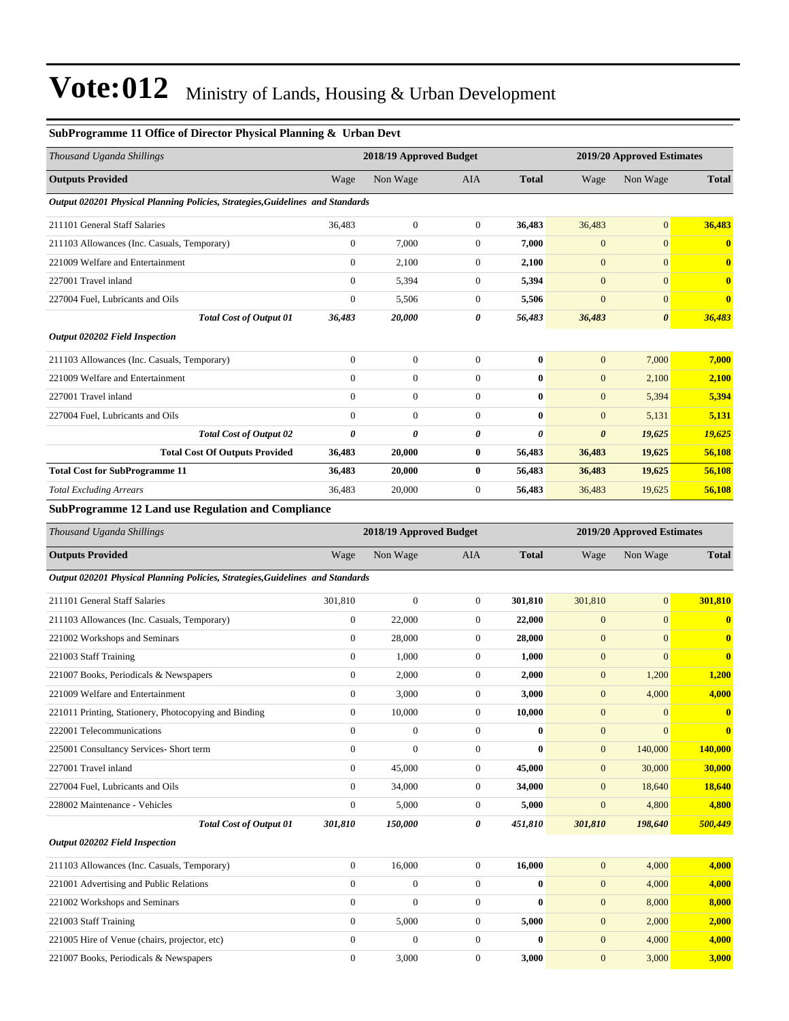| SubProgramme 11 Office of Director Physical Planning & Urban Devt              |                         |                         |                  |              |                            |                            |              |  |
|--------------------------------------------------------------------------------|-------------------------|-------------------------|------------------|--------------|----------------------------|----------------------------|--------------|--|
| Thousand Uganda Shillings                                                      | 2018/19 Approved Budget |                         |                  |              | 2019/20 Approved Estimates |                            |              |  |
| <b>Outputs Provided</b>                                                        | Wage                    | Non Wage                | AIA              | <b>Total</b> | Wage                       | Non Wage                   | <b>Total</b> |  |
| Output 020201 Physical Planning Policies, Strategies, Guidelines and Standards |                         |                         |                  |              |                            |                            |              |  |
| 211101 General Staff Salaries                                                  | 36,483                  | $\boldsymbol{0}$        | $\mathbf{0}$     | 36,483       | 36,483                     | $\mathbf{0}$               | 36,483       |  |
| 211103 Allowances (Inc. Casuals, Temporary)                                    | $\boldsymbol{0}$        | 7,000                   | $\boldsymbol{0}$ | 7,000        | $\mathbf{0}$               | $\mathbf{0}$               | $\bf{0}$     |  |
| 221009 Welfare and Entertainment                                               | $\boldsymbol{0}$        | 2,100                   | $\mathbf{0}$     | 2,100        | $\mathbf{0}$               | $\mathbf{0}$               | $\bf{0}$     |  |
| 227001 Travel inland                                                           | $\overline{0}$          | 5,394                   | $\boldsymbol{0}$ | 5,394        | $\mathbf{0}$               | $\mathbf{0}$               | $\bf{0}$     |  |
| 227004 Fuel, Lubricants and Oils                                               | $\boldsymbol{0}$        | 5,506                   | $\mathbf{0}$     | 5,506        | $\boldsymbol{0}$           | $\mathbf{0}$               | $\bf{0}$     |  |
| <b>Total Cost of Output 01</b>                                                 | 36,483                  | 20,000                  | 0                | 56,483       | 36,483                     | $\boldsymbol{\theta}$      | 36,483       |  |
| <b>Output 020202 Field Inspection</b>                                          |                         |                         |                  |              |                            |                            |              |  |
| 211103 Allowances (Inc. Casuals, Temporary)                                    | $\boldsymbol{0}$        | $\boldsymbol{0}$        | $\boldsymbol{0}$ | $\bf{0}$     | $\mathbf{0}$               | 7,000                      | 7,000        |  |
| 221009 Welfare and Entertainment                                               | $\boldsymbol{0}$        | $\mathbf{0}$            | $\boldsymbol{0}$ | $\bf{0}$     | $\mathbf{0}$               | 2,100                      | 2,100        |  |
| 227001 Travel inland                                                           | $\overline{0}$          | $\mathbf{0}$            | $\mathbf{0}$     | $\bf{0}$     | $\boldsymbol{0}$           | 5,394                      | 5,394        |  |
| 227004 Fuel, Lubricants and Oils                                               | $\mathbf{0}$            | $\mathbf{0}$            | $\boldsymbol{0}$ | $\bf{0}$     | $\boldsymbol{0}$           | 5,131                      | 5,131        |  |
| <b>Total Cost of Output 02</b>                                                 | 0                       | 0                       | 0                | 0            | 0                          | 19,625                     | 19,625       |  |
| <b>Total Cost Of Outputs Provided</b>                                          | 36,483                  | 20,000                  | $\bf{0}$         | 56,483       | 36,483                     | 19,625                     | 56,108       |  |
| <b>Total Cost for SubProgramme 11</b>                                          | 36,483                  | 20,000                  | $\bf{0}$         | 56,483       | 36,483                     | 19,625                     | 56,108       |  |
| <b>Total Excluding Arrears</b>                                                 | 36,483                  | 20,000                  | $\boldsymbol{0}$ | 56,483       | 36,483                     | 19,625                     | 56,108       |  |
| <b>SubProgramme 12 Land use Regulation and Compliance</b>                      |                         |                         |                  |              |                            |                            |              |  |
| Thousand Uganda Shillings                                                      |                         | 2018/19 Approved Budget |                  |              |                            | 2019/20 Approved Estimates |              |  |
| <b>Outputs Provided</b>                                                        | Wage                    | Non Wage                | AIA              | <b>Total</b> | Wage                       | Non Wage                   | <b>Total</b> |  |
| Output 020201 Physical Planning Policies, Strategies, Guidelines and Standards |                         |                         |                  |              |                            |                            |              |  |
| 211101 General Staff Salaries                                                  | 301,810                 | $\boldsymbol{0}$        | $\mathbf{0}$     | 301,810      | 301,810                    | $\mathbf{0}$               | 301,810      |  |
| 211103 Allowances (Inc. Casuals, Temporary)                                    | $\boldsymbol{0}$        | 22,000                  | $\boldsymbol{0}$ | 22,000       | $\boldsymbol{0}$           | $\mathbf{0}$               | $\bf{0}$     |  |
| 221002 Workshops and Seminars                                                  | $\boldsymbol{0}$        | 28,000                  | $\mathbf{0}$     | 28,000       | $\mathbf{0}$               | $\mathbf{0}$               | $\bf{0}$     |  |
| 221003 Staff Training                                                          | $\boldsymbol{0}$        | 1,000                   | $\boldsymbol{0}$ | 1,000        | $\boldsymbol{0}$           | $\mathbf{0}$               | $\bf{0}$     |  |
| 221007 Books, Periodicals & Newspapers                                         | $\boldsymbol{0}$        | 2,000                   | $\boldsymbol{0}$ | 2,000        | $\boldsymbol{0}$           | 1,200                      | 1,200        |  |
| 221009 Welfare and Entertainment                                               | $\boldsymbol{0}$        | 3,000                   | $\boldsymbol{0}$ | 3,000        | $\mathbf{0}$               | 4,000                      | 4,000        |  |
| 221011 Printing, Stationery, Photocopying and Binding                          | $\boldsymbol{0}$        | 10,000                  | $\mathbf{0}$     | 10,000       | $\mathbf{0}$               | $\boldsymbol{0}$           | $\bf{0}$     |  |
| 222001 Telecommunications                                                      | $\boldsymbol{0}$        | $\boldsymbol{0}$        | $\boldsymbol{0}$ | $\bf{0}$     | $\boldsymbol{0}$           | $\mathbf{0}$               | $\bf{0}$     |  |
| 225001 Consultancy Services- Short term                                        | $\boldsymbol{0}$        | $\mathbf{0}$            | $\overline{0}$   | $\bf{0}$     | $\mathbf{0}$               | 140,000                    | 140,000      |  |
| 227001 Travel inland                                                           | $\boldsymbol{0}$        | 45,000                  | $\overline{0}$   | 45,000       | $\boldsymbol{0}$           | 30,000                     | 30,000       |  |
| 227004 Fuel, Lubricants and Oils                                               | $\boldsymbol{0}$        | 34,000                  | $\boldsymbol{0}$ | 34,000       | $\mathbf{0}$               | 18,640                     | 18,640       |  |
| 228002 Maintenance - Vehicles                                                  | $\boldsymbol{0}$        | 5,000                   | $\overline{0}$   | 5,000        | $\boldsymbol{0}$           | 4,800                      | 4,800        |  |
| <b>Total Cost of Output 01</b>                                                 | 301,810                 | 150,000                 | 0                | 451,810      | 301,810                    | 198,640                    | 500,449      |  |

*Output 020202 Field Inspection*

| 211103 Allowances (Inc. Casuals, Temporary)   | 16,000   | 16,000 | 4.000 | 4.000 |
|-----------------------------------------------|----------|--------|-------|-------|
| 221001 Advertising and Public Relations       | $\Omega$ | 0      | 4.000 | 4,000 |
| 221002 Workshops and Seminars                 |          | 0      | 8.000 | 8,000 |
| 221003 Staff Training                         | 5.000    | 5.000  | 2.000 | 2.000 |
| 221005 Hire of Venue (chairs, projector, etc) |          | 0      | 4.000 | 4,000 |
| 221007 Books, Periodicals & Newspapers        | 3.000    | 3.000  | 3.000 | 3.000 |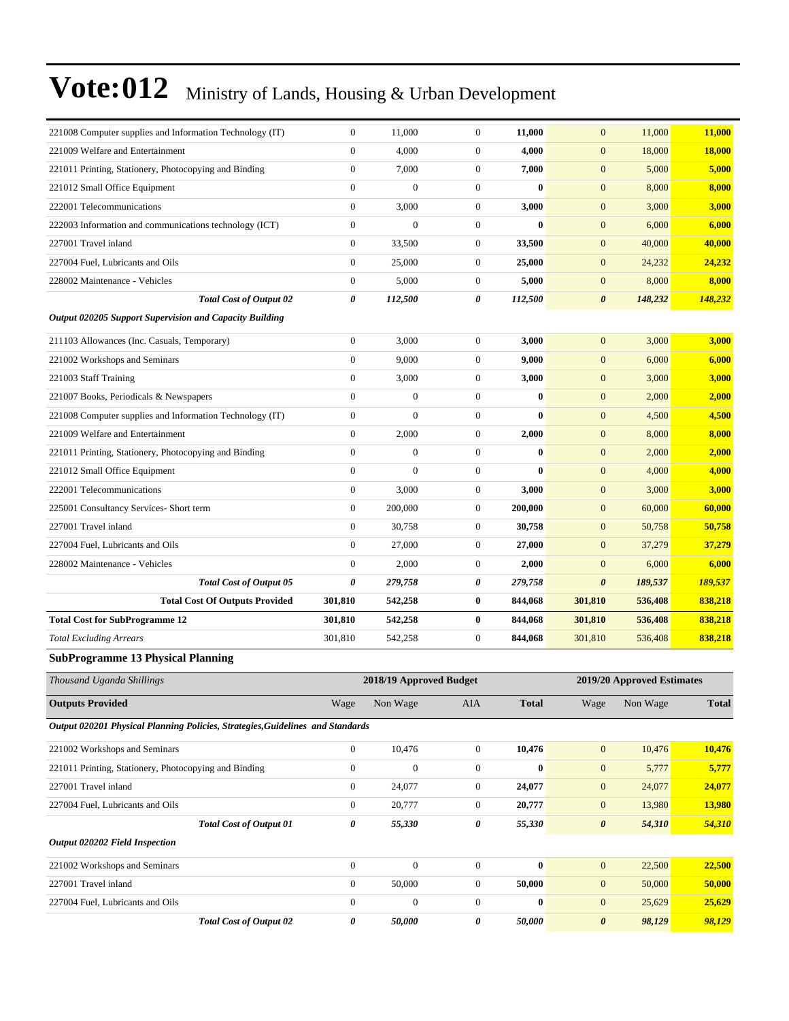| 221008 Computer supplies and Information Technology (IT)                       | $\mathbf{0}$          | 11,000                  | $\boldsymbol{0}$ | 11,000       | $\mathbf{0}$          | 11,000                     | 11,000       |
|--------------------------------------------------------------------------------|-----------------------|-------------------------|------------------|--------------|-----------------------|----------------------------|--------------|
| 221009 Welfare and Entertainment                                               | $\mathbf{0}$          | 4,000                   | $\boldsymbol{0}$ | 4,000        | $\mathbf{0}$          | 18,000                     | 18,000       |
| 221011 Printing, Stationery, Photocopying and Binding                          | $\mathbf{0}$          | 7,000                   | $\boldsymbol{0}$ | 7,000        | $\mathbf{0}$          | 5,000                      | 5,000        |
| 221012 Small Office Equipment                                                  | $\boldsymbol{0}$      | $\overline{0}$          | $\boldsymbol{0}$ | $\bf{0}$     | $\mathbf{0}$          | 8,000                      | 8,000        |
| 222001 Telecommunications                                                      | $\boldsymbol{0}$      | 3,000                   | $\boldsymbol{0}$ | 3,000        | $\boldsymbol{0}$      | 3,000                      | 3,000        |
| 222003 Information and communications technology (ICT)                         | $\boldsymbol{0}$      | $\boldsymbol{0}$        | $\boldsymbol{0}$ | $\bf{0}$     | $\mathbf{0}$          | 6,000                      | 6,000        |
| 227001 Travel inland                                                           | $\mathbf{0}$          | 33,500                  | $\boldsymbol{0}$ | 33,500       | $\boldsymbol{0}$      | 40,000                     | 40,000       |
| 227004 Fuel, Lubricants and Oils                                               | $\boldsymbol{0}$      | 25,000                  | $\boldsymbol{0}$ | 25,000       | $\mathbf{0}$          | 24,232                     | 24,232       |
| 228002 Maintenance - Vehicles                                                  | $\boldsymbol{0}$      | 5,000                   | $\boldsymbol{0}$ | 5,000        | $\mathbf{0}$          | 8,000                      | 8,000        |
| <b>Total Cost of Output 02</b>                                                 | $\pmb{\theta}$        | 112,500                 | 0                | 112,500      | $\pmb{\theta}$        | 148,232                    | 148,232      |
| Output 020205 Support Supervision and Capacity Building                        |                       |                         |                  |              |                       |                            |              |
| 211103 Allowances (Inc. Casuals, Temporary)                                    | $\boldsymbol{0}$      | 3,000                   | $\boldsymbol{0}$ | 3,000        | $\mathbf{0}$          | 3,000                      | 3,000        |
| 221002 Workshops and Seminars                                                  | $\boldsymbol{0}$      | 9,000                   | $\boldsymbol{0}$ | 9,000        | $\mathbf{0}$          | 6,000                      | 6,000        |
| 221003 Staff Training                                                          | $\boldsymbol{0}$      | 3,000                   | $\boldsymbol{0}$ | 3,000        | $\mathbf{0}$          | 3,000                      | 3,000        |
| 221007 Books, Periodicals & Newspapers                                         | $\mathbf{0}$          | $\boldsymbol{0}$        | $\boldsymbol{0}$ | $\bf{0}$     | $\mathbf{0}$          | 2,000                      | 2,000        |
| 221008 Computer supplies and Information Technology (IT)                       | $\mathbf{0}$          | $\overline{0}$          | $\boldsymbol{0}$ | $\bf{0}$     | $\mathbf{0}$          | 4,500                      | 4,500        |
| 221009 Welfare and Entertainment                                               | $\bf{0}$              | 2,000                   | $\boldsymbol{0}$ | 2,000        | $\mathbf{0}$          | 8,000                      | 8,000        |
| 221011 Printing, Stationery, Photocopying and Binding                          | $\theta$              | $\boldsymbol{0}$        | $\boldsymbol{0}$ | $\bf{0}$     | $\mathbf{0}$          | 2,000                      | 2,000        |
| 221012 Small Office Equipment                                                  | $\boldsymbol{0}$      | $\boldsymbol{0}$        | $\boldsymbol{0}$ | $\bf{0}$     | $\mathbf{0}$          | 4,000                      | 4,000        |
| 222001 Telecommunications                                                      | $\boldsymbol{0}$      | 3,000                   | $\boldsymbol{0}$ | 3,000        | $\mathbf{0}$          | 3,000                      | 3,000        |
| 225001 Consultancy Services- Short term                                        | $\mathbf{0}$          | 200,000                 | $\boldsymbol{0}$ | 200,000      | $\mathbf{0}$          | 60,000                     | 60,000       |
| 227001 Travel inland                                                           | $\bf{0}$              | 30,758                  | $\boldsymbol{0}$ | 30,758       | $\mathbf{0}$          | 50,758                     | 50,758       |
| 227004 Fuel, Lubricants and Oils                                               | $\theta$              | 27,000                  | $\boldsymbol{0}$ | 27,000       | $\boldsymbol{0}$      | 37,279                     | 37,279       |
| 228002 Maintenance - Vehicles                                                  | $\boldsymbol{0}$      | 2,000                   | $\boldsymbol{0}$ | 2,000        | $\mathbf{0}$          | 6,000                      | 6,000        |
| <b>Total Cost of Output 05</b>                                                 | $\boldsymbol{\theta}$ | 279,758                 | 0                | 279,758      | $\boldsymbol{\theta}$ | 189,537                    | 189,537      |
| <b>Total Cost Of Outputs Provided</b>                                          | 301,810               | 542,258                 | $\bf{0}$         | 844,068      | 301,810               | 536,408                    | 838,218      |
| <b>Total Cost for SubProgramme 12</b>                                          | 301,810               | 542,258                 | $\bf{0}$         | 844,068      | 301,810               | 536,408                    | 838,218      |
| <b>Total Excluding Arrears</b>                                                 | 301,810               | 542,258                 | $\boldsymbol{0}$ | 844,068      | 301,810               | 536,408                    | 838,218      |
| <b>SubProgramme 13 Physical Planning</b>                                       |                       |                         |                  |              |                       |                            |              |
| Thousand Uganda Shillings                                                      |                       | 2018/19 Approved Budget |                  |              |                       | 2019/20 Approved Estimates |              |
| <b>Outputs Provided</b>                                                        | Wage                  | Non Wage                | <b>AIA</b>       | <b>Total</b> | Wage                  | Non Wage                   | <b>Total</b> |
| Output 020201 Physical Planning Policies, Strategies, Guidelines and Standards |                       |                         |                  |              |                       |                            |              |
| 221002 Workshops and Seminars                                                  | $\boldsymbol{0}$      | 10,476                  | $\boldsymbol{0}$ | 10,476       | $\boldsymbol{0}$      | 10,476                     | 10,476       |
| 221011 Printing, Stationery, Photocopying and Binding                          | $\boldsymbol{0}$      | $\boldsymbol{0}$        | $\boldsymbol{0}$ | $\bf{0}$     | $\boldsymbol{0}$      | 5,777                      | 5,777        |
| 227001 Travel inland                                                           | $\boldsymbol{0}$      | 24,077                  | $\boldsymbol{0}$ | 24,077       | $\boldsymbol{0}$      | 24,077                     | 24,077       |
| 227004 Fuel, Lubricants and Oils                                               | $\boldsymbol{0}$      | 20,777                  | $\boldsymbol{0}$ | 20,777       | $\mathbf{0}$          | 13,980                     | 13,980       |
| <b>Total Cost of Output 01</b>                                                 | $\pmb{\theta}$        | 55,330                  | 0                | 55,330       | $\pmb{\theta}$        | 54,310                     | 54,310       |
| <b>Output 020202 Field Inspection</b>                                          |                       |                         |                  |              |                       |                            |              |
| 221002 Workshops and Seminars                                                  | $\boldsymbol{0}$      | $\boldsymbol{0}$        | $\boldsymbol{0}$ | $\bf{0}$     | $\mathbf{0}$          | 22,500                     | 22,500       |
| 227001 Travel inland                                                           | $\boldsymbol{0}$      | 50,000                  | $\boldsymbol{0}$ | 50,000       | $\boldsymbol{0}$      | 50,000                     | 50,000       |
| 227004 Fuel, Lubricants and Oils                                               | $\boldsymbol{0}$      | $\boldsymbol{0}$        | $\boldsymbol{0}$ | $\bf{0}$     | $\mathbf{0}$          | 25,629                     | 25,629       |

*Total Cost of Output 02 0 50,000 0 50,000 0 98,129 98,129*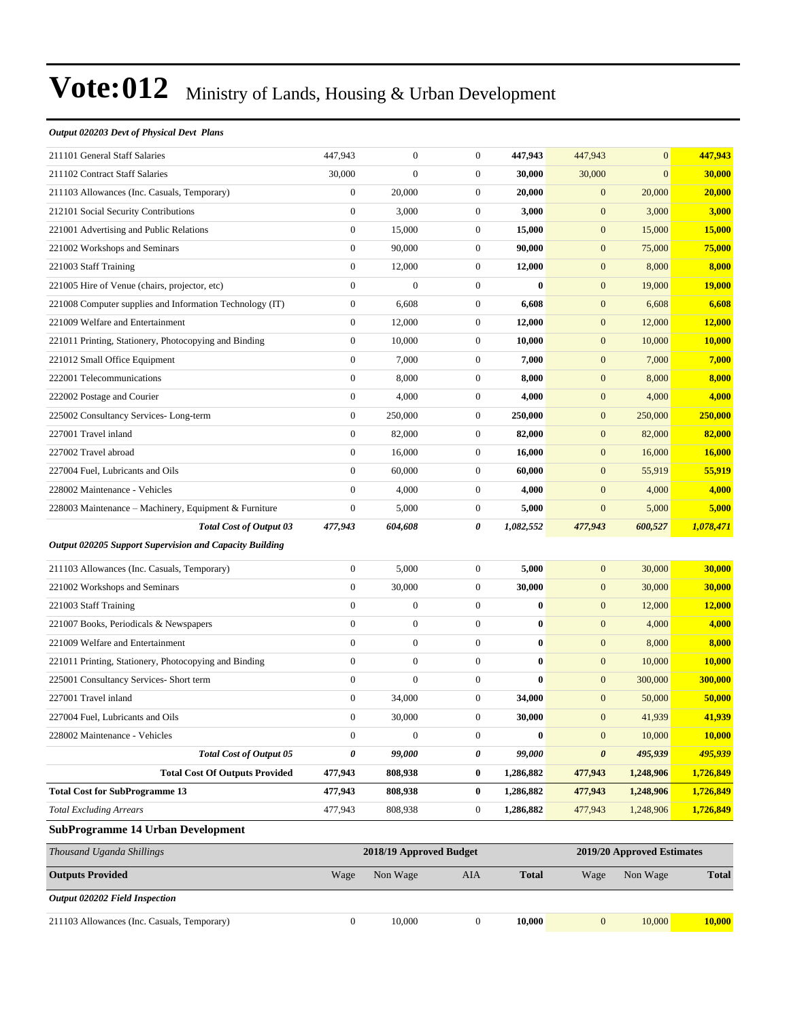#### *Output 020203 Devt of Physical Devt Plans*

| 211103 Allowances (Inc. Casuals, Temporary)                                                      | $\boldsymbol{0}$ | 10,000                  | $\boldsymbol{0}$ | 10,000       | $\boldsymbol{0}$      | 10,000                     | 10,000        |
|--------------------------------------------------------------------------------------------------|------------------|-------------------------|------------------|--------------|-----------------------|----------------------------|---------------|
| <b>Output 020202 Field Inspection</b>                                                            |                  |                         |                  |              |                       |                            |               |
| <b>Outputs Provided</b>                                                                          | Wage             | Non Wage                | AIA              | <b>Total</b> | Wage                  | Non Wage                   | <b>Total</b>  |
| Thousand Uganda Shillings                                                                        |                  | 2018/19 Approved Budget |                  |              |                       | 2019/20 Approved Estimates |               |
| <b>SubProgramme 14 Urban Development</b>                                                         |                  |                         |                  |              |                       |                            |               |
| <b>Total Excluding Arrears</b>                                                                   | 477,943          | 808,938                 | $\boldsymbol{0}$ | 1,286,882    | 477,943               | 1,248,906                  | 1,726,849     |
| <b>Total Cost for SubProgramme 13</b>                                                            | 477,943          | 808,938                 | $\bf{0}$         | 1,286,882    | 477,943               | 1,248,906                  | 1,726,849     |
| <b>Total Cost Of Outputs Provided</b>                                                            | 477,943          | 808,938                 | $\bf{0}$         | 1,286,882    | 477,943               | 1,248,906                  | 1,726,849     |
| <b>Total Cost of Output 05</b>                                                                   | 0                | 99,000                  | 0                | 99,000       | $\boldsymbol{\theta}$ | 495,939                    | 495,939       |
| 228002 Maintenance - Vehicles                                                                    | $\mathbf{0}$     | $\boldsymbol{0}$        | $\boldsymbol{0}$ | $\bf{0}$     | $\boldsymbol{0}$      | 10,000                     | 10,000        |
| 227004 Fuel, Lubricants and Oils                                                                 | $\overline{0}$   | 30,000                  | $\mathbf{0}$     | 30,000       | $\boldsymbol{0}$      | 41,939                     | 41,939        |
| 227001 Travel inland                                                                             | $\boldsymbol{0}$ | 34,000                  | $\mathbf{0}$     | 34,000       | $\boldsymbol{0}$      | 50,000                     | 50,000        |
| 225001 Consultancy Services- Short term                                                          | $\boldsymbol{0}$ | $\boldsymbol{0}$        | $\mathbf{0}$     | $\bf{0}$     | $\mathbf{0}$          | 300,000                    | 300,000       |
| 221011 Printing, Stationery, Photocopying and Binding                                            | $\boldsymbol{0}$ | $\boldsymbol{0}$        | $\boldsymbol{0}$ | $\bf{0}$     | $\boldsymbol{0}$      | 10,000                     | 10,000        |
| 221009 Welfare and Entertainment                                                                 | $\overline{0}$   | $\boldsymbol{0}$        | $\boldsymbol{0}$ | $\bf{0}$     | $\boldsymbol{0}$      | 8,000                      | 8,000         |
| 221007 Books, Periodicals & Newspapers                                                           | $\boldsymbol{0}$ | $\boldsymbol{0}$        | $\boldsymbol{0}$ | $\bf{0}$     | $\boldsymbol{0}$      | 4,000                      | 4,000         |
| 221003 Staff Training                                                                            | $\boldsymbol{0}$ | $\boldsymbol{0}$        | $\mathbf{0}$     | $\bf{0}$     | $\mathbf{0}$          | 12,000                     | 12,000        |
| 221002 Workshops and Seminars                                                                    | $\boldsymbol{0}$ | 30,000                  | $\mathbf{0}$     | 30,000       | $\mathbf{0}$          | 30,000                     | 30,000        |
| 211103 Allowances (Inc. Casuals, Temporary)                                                      | $\mathbf{0}$     | 5,000                   | $\boldsymbol{0}$ | 5,000        | $\mathbf{0}$          | 30,000                     | 30,000        |
| <b>Total Cost of Output 03</b><br><b>Output 020205 Support Supervision and Capacity Building</b> | 477,943          | 604,608                 | 0                | 1,082,552    | 477,943               | 600,527                    | 1,078,471     |
| 228003 Maintenance – Machinery, Equipment & Furniture                                            | $\boldsymbol{0}$ | 5,000                   | $\mathbf{0}$     | 5,000        | $\boldsymbol{0}$      | 5,000                      | 5,000         |
| 228002 Maintenance - Vehicles                                                                    | $\mathbf{0}$     | 4,000                   | $\mathbf{0}$     | 4,000        | $\mathbf{0}$          | 4,000                      | 4,000         |
| 227004 Fuel, Lubricants and Oils                                                                 | $\boldsymbol{0}$ | 60,000                  | $\mathbf{0}$     | 60,000       | $\mathbf{0}$          | 55,919                     | 55,919        |
| 227002 Travel abroad                                                                             | $\boldsymbol{0}$ | 16,000                  | $\boldsymbol{0}$ | 16,000       | $\mathbf{0}$          | 16,000                     | 16,000        |
| 227001 Travel inland                                                                             | $\mathbf{0}$     | 82,000                  | $\boldsymbol{0}$ | 82,000       | $\mathbf{0}$          | 82,000                     | 82,000        |
| 225002 Consultancy Services-Long-term                                                            | $\boldsymbol{0}$ | 250,000                 | $\mathbf{0}$     | 250,000      | $\mathbf{0}$          | 250,000                    | 250,000       |
| 222002 Postage and Courier                                                                       | $\boldsymbol{0}$ | 4,000                   | $\mathbf{0}$     | 4,000        | $\mathbf{0}$          | 4,000                      | 4,000         |
| 222001 Telecommunications                                                                        | $\boldsymbol{0}$ | 8,000                   | $\mathbf{0}$     | 8,000        | $\boldsymbol{0}$      | 8,000                      | 8,000         |
| 221012 Small Office Equipment                                                                    | $\boldsymbol{0}$ | 7,000                   | $\boldsymbol{0}$ | 7,000        | $\mathbf{0}$          | 7,000                      | 7,000         |
| 221011 Printing, Stationery, Photocopying and Binding                                            | $\boldsymbol{0}$ | 10,000                  | $\boldsymbol{0}$ | 10,000       | $\mathbf{0}$          | 10,000                     | 10,000        |
| 221009 Welfare and Entertainment                                                                 | $\boldsymbol{0}$ | 12,000                  | $\mathbf{0}$     | 12,000       | $\boldsymbol{0}$      | 12,000                     | 12,000        |
| 221008 Computer supplies and Information Technology (IT)                                         | $\boldsymbol{0}$ | 6,608                   | $\mathbf{0}$     | 6,608        | $\mathbf{0}$          | 6,608                      | 6,608         |
| 221005 Hire of Venue (chairs, projector, etc)                                                    | $\boldsymbol{0}$ | $\boldsymbol{0}$        | $\mathbf{0}$     | $\bf{0}$     | $\boldsymbol{0}$      | 19,000                     | <b>19,000</b> |
| 221003 Staff Training                                                                            | $\boldsymbol{0}$ | 12,000                  | $\boldsymbol{0}$ | 12,000       | $\mathbf{0}$          | 8,000                      | 8,000         |
| 221002 Workshops and Seminars                                                                    | $\boldsymbol{0}$ | 90,000                  | $\boldsymbol{0}$ | 90,000       | $\mathbf{0}$          | 75,000                     | 75,000        |
| 221001 Advertising and Public Relations                                                          | $\boldsymbol{0}$ | 15,000                  | $\mathbf{0}$     | 15,000       | $\boldsymbol{0}$      | 15,000                     | 15,000        |
| 212101 Social Security Contributions                                                             | $\boldsymbol{0}$ | 3,000                   | $\mathbf{0}$     | 3,000        | $\mathbf{0}$          | 3,000                      | 3,000         |
| 211103 Allowances (Inc. Casuals, Temporary)                                                      | $\boldsymbol{0}$ | 20,000                  | $\mathbf{0}$     | 20,000       | $\boldsymbol{0}$      | 20,000                     | 20,000        |
| 211102 Contract Staff Salaries                                                                   | 30,000           | $\boldsymbol{0}$        | $\boldsymbol{0}$ | 30,000       | 30,000                | $\overline{0}$             | 30,000        |
| 211101 General Staff Salaries                                                                    | 447,943          | $\boldsymbol{0}$        | $\mathbf{0}$     | 447,943      | 447,943               | $\overline{0}$             | 447,943       |
|                                                                                                  |                  |                         |                  |              |                       |                            |               |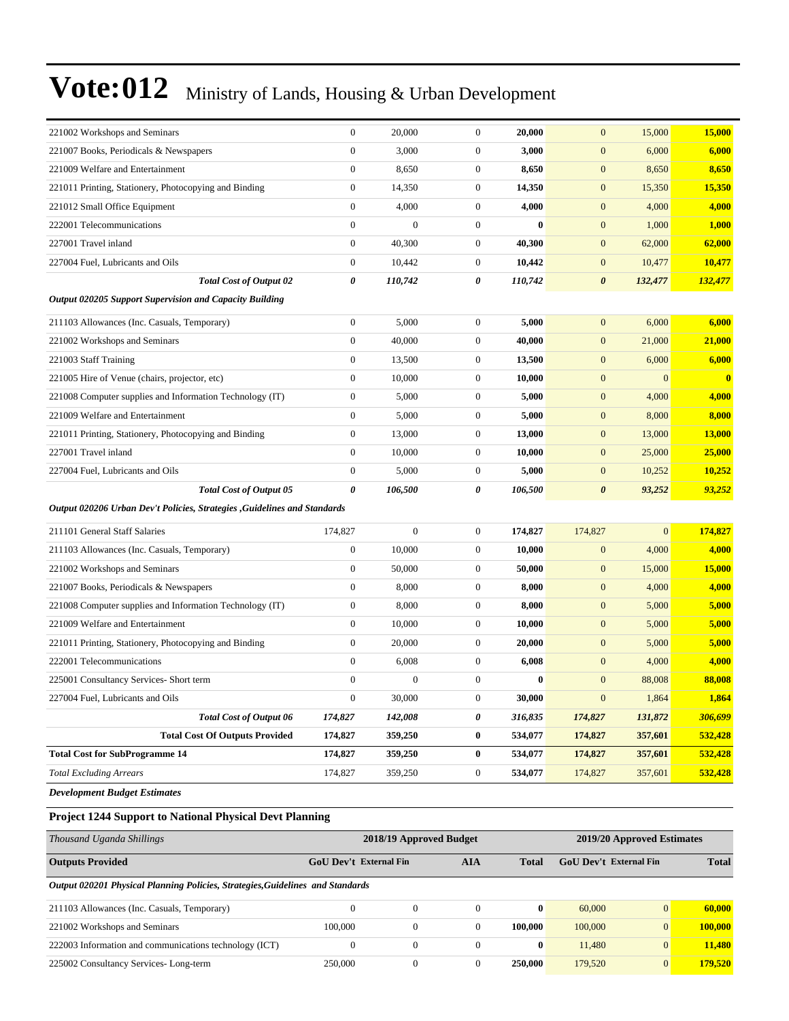| 221002 Workshops and Seminars                                             | $\mathbf{0}$     | 20,000           | $\boldsymbol{0}$ | 20,000   | $\mathbf{0}$          | 15,000       | 15,000   |
|---------------------------------------------------------------------------|------------------|------------------|------------------|----------|-----------------------|--------------|----------|
| 221007 Books, Periodicals & Newspapers                                    | $\overline{0}$   | 3,000            | $\boldsymbol{0}$ | 3,000    | $\boldsymbol{0}$      | 6,000        | 6,000    |
| 221009 Welfare and Entertainment                                          | $\boldsymbol{0}$ | 8,650            | $\boldsymbol{0}$ | 8,650    | $\mathbf{0}$          | 8,650        | 8,650    |
| 221011 Printing, Stationery, Photocopying and Binding                     | $\boldsymbol{0}$ | 14,350           | $\boldsymbol{0}$ | 14.350   | $\mathbf{0}$          | 15,350       | 15,350   |
| 221012 Small Office Equipment                                             | $\boldsymbol{0}$ | 4,000            | $\boldsymbol{0}$ | 4,000    | $\mathbf{0}$          | 4,000        | 4,000    |
| 222001 Telecommunications                                                 | $\mathbf{0}$     | $\boldsymbol{0}$ | $\boldsymbol{0}$ | $\bf{0}$ | $\mathbf{0}$          | 1,000        | 1,000    |
| 227001 Travel inland                                                      | $\overline{0}$   | 40,300           | $\boldsymbol{0}$ | 40,300   | $\boldsymbol{0}$      | 62,000       | 62,000   |
| 227004 Fuel, Lubricants and Oils                                          | $\boldsymbol{0}$ | 10,442           | $\boldsymbol{0}$ | 10,442   | $\mathbf{0}$          | 10,477       | 10,477   |
| <b>Total Cost of Output 02</b>                                            | 0                | 110,742          | 0                | 110,742  | $\boldsymbol{\theta}$ | 132,477      | 132,477  |
| <b>Output 020205 Support Supervision and Capacity Building</b>            |                  |                  |                  |          |                       |              |          |
| 211103 Allowances (Inc. Casuals, Temporary)                               | $\boldsymbol{0}$ | 5,000            | $\boldsymbol{0}$ | 5,000    | $\mathbf{0}$          | 6,000        | 6,000    |
| 221002 Workshops and Seminars                                             | $\mathbf{0}$     | 40,000           | $\boldsymbol{0}$ | 40,000   | $\mathbf{0}$          | 21,000       | 21,000   |
| 221003 Staff Training                                                     | $\mathbf{0}$     | 13,500           | $\boldsymbol{0}$ | 13,500   | $\mathbf{0}$          | 6,000        | 6,000    |
| 221005 Hire of Venue (chairs, projector, etc)                             | $\boldsymbol{0}$ | 10,000           | $\boldsymbol{0}$ | 10,000   | $\mathbf{0}$          | $\mathbf{0}$ | $\bf{0}$ |
| 221008 Computer supplies and Information Technology (IT)                  | $\boldsymbol{0}$ | 5,000            | $\boldsymbol{0}$ | 5,000    | $\mathbf{0}$          | 4,000        | 4,000    |
| 221009 Welfare and Entertainment                                          | $\boldsymbol{0}$ | 5,000            | $\boldsymbol{0}$ | 5,000    | $\mathbf{0}$          | 8,000        | 8,000    |
| 221011 Printing, Stationery, Photocopying and Binding                     | $\boldsymbol{0}$ | 13,000           | $\boldsymbol{0}$ | 13,000   | $\mathbf{0}$          | 13,000       | 13,000   |
| 227001 Travel inland                                                      | $\mathbf{0}$     | 10,000           | $\boldsymbol{0}$ | 10,000   | $\mathbf{0}$          | 25,000       | 25,000   |
| 227004 Fuel, Lubricants and Oils                                          | $\mathbf{0}$     | 5,000            | $\boldsymbol{0}$ | 5,000    | $\mathbf{0}$          | 10,252       | 10,252   |
| <b>Total Cost of Output 05</b>                                            | 0                | 106,500          | 0                | 106,500  | $\boldsymbol{\theta}$ | 93,252       | 93,252   |
| Output 020206 Urban Dev't Policies, Strategies , Guidelines and Standards |                  |                  |                  |          |                       |              |          |
| 211101 General Staff Salaries                                             | 174,827          | $\boldsymbol{0}$ | $\boldsymbol{0}$ | 174,827  | 174,827               | $\mathbf{0}$ | 174,827  |
| 211103 Allowances (Inc. Casuals, Temporary)                               | $\boldsymbol{0}$ | 10,000           | $\boldsymbol{0}$ | 10,000   | $\boldsymbol{0}$      | 4,000        | 4,000    |
| 221002 Workshops and Seminars                                             | $\boldsymbol{0}$ | 50,000           | $\boldsymbol{0}$ | 50,000   | $\mathbf{0}$          | 15,000       | 15,000   |
| 221007 Books, Periodicals & Newspapers                                    | $\boldsymbol{0}$ | 8,000            | $\boldsymbol{0}$ | 8,000    | $\mathbf{0}$          | 4,000        | 4,000    |
| 221008 Computer supplies and Information Technology (IT)                  | $\boldsymbol{0}$ | 8,000            | $\boldsymbol{0}$ | 8,000    | $\mathbf{0}$          | 5,000        | 5,000    |
| 221009 Welfare and Entertainment                                          | $\boldsymbol{0}$ | 10,000           | $\boldsymbol{0}$ | 10,000   | $\mathbf{0}$          | 5,000        | 5,000    |
| 221011 Printing, Stationery, Photocopying and Binding                     | $\boldsymbol{0}$ | 20,000           | $\boldsymbol{0}$ | 20,000   | $\mathbf{0}$          | 5,000        | 5,000    |
| 222001 Telecommunications                                                 | $\boldsymbol{0}$ | 6,008            | $\boldsymbol{0}$ | 6,008    | $\mathbf{0}$          | 4,000        | 4,000    |
| 225001 Consultancy Services- Short term                                   | $\boldsymbol{0}$ | $\boldsymbol{0}$ | $\boldsymbol{0}$ | $\bf{0}$ | $\mathbf{0}$          | 88,008       | 88,008   |
| 227004 Fuel, Lubricants and Oils                                          | $\boldsymbol{0}$ | 30,000           | $\boldsymbol{0}$ | 30,000   | $\mathbf{0}$          | 1,864        | 1,864    |
| <b>Total Cost of Output 06</b>                                            | 174,827          | 142,008          | 0                | 316,835  | 174,827               | 131,872      | 306,699  |
| <b>Total Cost Of Outputs Provided</b>                                     | 174,827          | 359,250          | $\boldsymbol{0}$ | 534,077  | 174,827               | 357,601      | 532,428  |
| <b>Total Cost for SubProgramme 14</b>                                     | 174,827          | 359,250          | $\bf{0}$         | 534,077  | 174,827               | 357,601      | 532,428  |
| <b>Total Excluding Arrears</b>                                            | 174,827          | 359,250          | $\boldsymbol{0}$ | 534,077  | 174,827               | 357,601      | 532,428  |
| <b>Development Budget Estimates</b>                                       |                  |                  |                  |          |                       |              |          |

#### **Project 1244 Support to National Physical Devt Planning**

| Thousand Uganda Shillings                                                      |                               | 2018/19 Approved Budget |            |              | 2019/20 Approved Estimates    |                |              |  |
|--------------------------------------------------------------------------------|-------------------------------|-------------------------|------------|--------------|-------------------------------|----------------|--------------|--|
| <b>Outputs Provided</b>                                                        | <b>GoU</b> Dev't External Fin |                         | <b>AIA</b> | <b>Total</b> | <b>GoU Dev't External Fin</b> |                | <b>Total</b> |  |
| Output 020201 Physical Planning Policies, Strategies, Guidelines and Standards |                               |                         |            |              |                               |                |              |  |
| 211103 Allowances (Inc. Casuals, Temporary)                                    | $\Omega$                      | $\Omega$                | $\Omega$   | $\mathbf{0}$ | 60,000                        | $\overline{0}$ | 60,000       |  |
| 221002 Workshops and Seminars                                                  | 100,000                       | $\theta$                | $\Omega$   | 100.000      | 100,000                       | $\overline{0}$ | 100,000      |  |
| 222003 Information and communications technology (ICT)                         | $\Omega$                      | $\Omega$                | $\Omega$   | $\bf{0}$     | 11,480                        | $\overline{0}$ | 11.480       |  |
| 225002 Consultancy Services-Long-term                                          | 250,000                       | $\Omega$                |            | 250,000      | 179,520                       | $\overline{0}$ | 179,520      |  |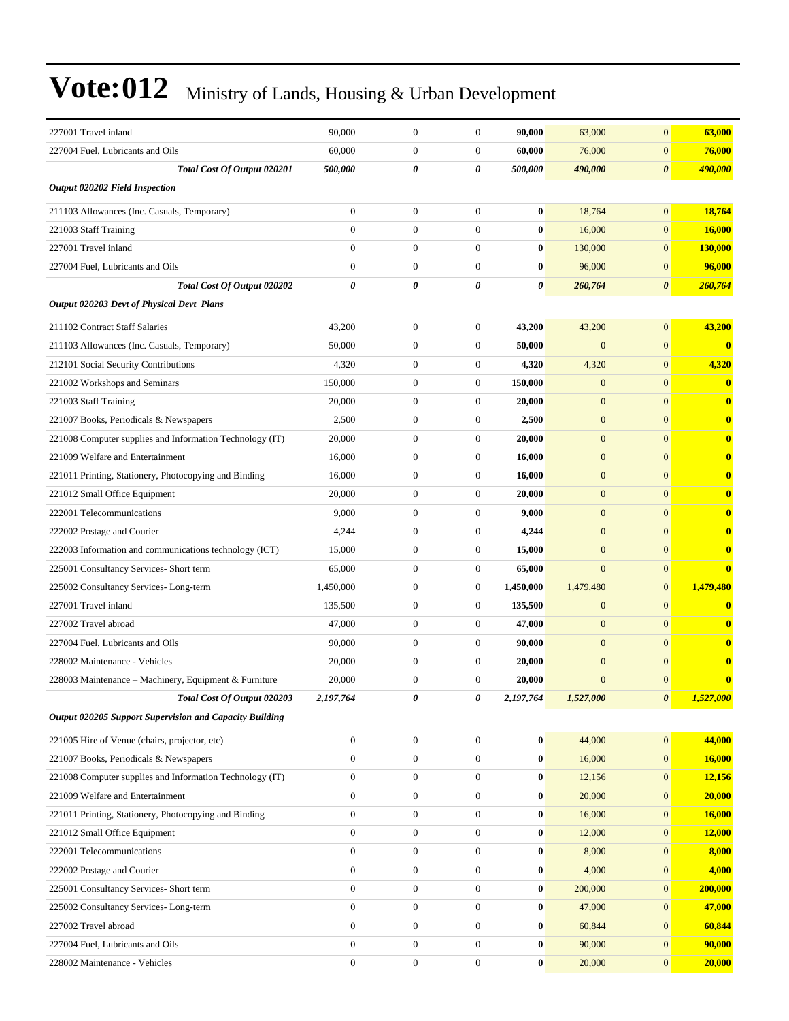| 227001 Travel inland                                     | 90,000           | $\boldsymbol{0}$ | $\boldsymbol{0}$      | 90,000    | 63,000           | $\overline{0}$        | 63,000       |
|----------------------------------------------------------|------------------|------------------|-----------------------|-----------|------------------|-----------------------|--------------|
| 227004 Fuel, Lubricants and Oils                         | 60,000           | $\boldsymbol{0}$ | $\mathbf{0}$          | 60,000    | 76,000           | $\boldsymbol{0}$      | 76,000       |
| Total Cost Of Output 020201                              | 500,000          | 0                | 0                     | 500,000   | 490,000          | $\boldsymbol{\theta}$ | 490,000      |
| <b>Output 020202 Field Inspection</b>                    |                  |                  |                       |           |                  |                       |              |
| 211103 Allowances (Inc. Casuals, Temporary)              | $\overline{0}$   | $\boldsymbol{0}$ | $\mathbf{0}$          | $\bf{0}$  | 18,764           | $\overline{0}$        | 18,764       |
| 221003 Staff Training                                    | $\overline{0}$   | $\boldsymbol{0}$ | $\boldsymbol{0}$      | $\bf{0}$  | 16,000           | $\overline{0}$        | 16,000       |
| 227001 Travel inland                                     | $\overline{0}$   | $\boldsymbol{0}$ | $\mathbf{0}$          | $\bf{0}$  | 130,000          | $\overline{0}$        | 130,000      |
| 227004 Fuel, Lubricants and Oils                         | $\mathbf{0}$     | $\boldsymbol{0}$ | $\mathbf{0}$          | $\bf{0}$  | 96,000           | $\overline{0}$        | 96,000       |
| Total Cost Of Output 020202                              | 0                | $\theta$         | $\boldsymbol{\theta}$ | 0         | 260,764          | 0                     | 260,764      |
| Output 020203 Devt of Physical Devt Plans                |                  |                  |                       |           |                  |                       |              |
| 211102 Contract Staff Salaries                           | 43,200           | $\boldsymbol{0}$ | $\boldsymbol{0}$      | 43,200    | 43,200           | $\overline{0}$        | 43,200       |
| 211103 Allowances (Inc. Casuals, Temporary)              | 50,000           | $\boldsymbol{0}$ | $\boldsymbol{0}$      | 50,000    | $\mathbf{0}$     | $\overline{0}$        | $\mathbf{0}$ |
| 212101 Social Security Contributions                     | 4,320            | $\boldsymbol{0}$ | $\mathbf{0}$          | 4,320     | 4,320            | $\overline{0}$        | 4,320        |
| 221002 Workshops and Seminars                            | 150,000          | $\boldsymbol{0}$ | $\mathbf{0}$          | 150,000   | $\mathbf{0}$     | $\overline{0}$        | $\bf{0}$     |
| 221003 Staff Training                                    | 20,000           | $\boldsymbol{0}$ | $\mathbf{0}$          | 20,000    | $\mathbf{0}$     | $\overline{0}$        | $\bf{0}$     |
| 221007 Books, Periodicals & Newspapers                   | 2,500            | $\boldsymbol{0}$ | $\mathbf{0}$          | 2,500     | $\mathbf{0}$     | $\overline{0}$        | $\bf{0}$     |
| 221008 Computer supplies and Information Technology (IT) | 20,000           | $\boldsymbol{0}$ | $\boldsymbol{0}$      | 20,000    | $\mathbf{0}$     | $\overline{0}$        | $\bf{0}$     |
| 221009 Welfare and Entertainment                         | 16,000           | $\boldsymbol{0}$ | $\mathbf{0}$          | 16,000    | $\mathbf{0}$     | $\overline{0}$        | $\bf{0}$     |
| 221011 Printing, Stationery, Photocopying and Binding    | 16.000           | $\boldsymbol{0}$ | $\mathbf{0}$          | 16,000    | $\mathbf{0}$     | $\overline{0}$        | $\bf{0}$     |
| 221012 Small Office Equipment                            | 20,000           | $\boldsymbol{0}$ | $\mathbf{0}$          | 20,000    | $\mathbf{0}$     | $\overline{0}$        | $\bf{0}$     |
| 222001 Telecommunications                                | 9,000            | $\boldsymbol{0}$ | $\boldsymbol{0}$      | 9,000     | $\mathbf{0}$     | $\overline{0}$        | $\bf{0}$     |
| 222002 Postage and Courier                               | 4,244            | $\boldsymbol{0}$ | $\mathbf{0}$          | 4,244     | $\mathbf{0}$     | $\overline{0}$        | $\bf{0}$     |
| 222003 Information and communications technology (ICT)   | 15,000           | $\boldsymbol{0}$ | $\mathbf{0}$          | 15,000    | $\mathbf{0}$     | $\overline{0}$        | $\bf{0}$     |
| 225001 Consultancy Services- Short term                  | 65,000           | $\boldsymbol{0}$ | $\mathbf{0}$          | 65,000    | $\mathbf{0}$     | $\overline{0}$        | $\bf{0}$     |
| 225002 Consultancy Services-Long-term                    | 1,450,000        | $\boldsymbol{0}$ | $\mathbf{0}$          | 1,450,000 | 1,479,480        | $\overline{0}$        | 1,479,480    |
| 227001 Travel inland                                     | 135,500          | $\boldsymbol{0}$ | $\mathbf{0}$          | 135,500   | $\mathbf{0}$     | $\overline{0}$        | $\bf{0}$     |
| 227002 Travel abroad                                     | 47,000           | $\boldsymbol{0}$ | $\mathbf{0}$          | 47,000    | $\mathbf{0}$     | $\overline{0}$        | $\bf{0}$     |
| 227004 Fuel, Lubricants and Oils                         | 90,000           | $\boldsymbol{0}$ | $\mathbf{0}$          | 90,000    | $\mathbf{0}$     | $\overline{0}$        | $\bf{0}$     |
| 228002 Maintenance - Vehicles                            | 20,000           | $\boldsymbol{0}$ | $\mathbf{0}$          | 20,000    | $\mathbf{0}$     | $\overline{0}$        | $\bf{0}$     |
| 228003 Maintenance – Machinery, Equipment & Furniture    | 20,000           | $\boldsymbol{0}$ | $\mathbf{0}$          | 20,000    | $\boldsymbol{0}$ | $\overline{0}$        | $\bf{0}$     |
| Total Cost Of Output 020203                              | 2,197,764        | 0                | 0                     | 2,197,764 | 1,527,000        | $\boldsymbol{\theta}$ | 1,527,000    |
| Output 020205 Support Supervision and Capacity Building  |                  |                  |                       |           |                  |                       |              |
| 221005 Hire of Venue (chairs, projector, etc)            | $\mathbf{0}$     | $\boldsymbol{0}$ | $\boldsymbol{0}$      | $\bf{0}$  | 44,000           | $\overline{0}$        | 44,000       |
| 221007 Books, Periodicals & Newspapers                   | $\boldsymbol{0}$ | $\boldsymbol{0}$ | $\mathbf{0}$          | $\bf{0}$  | 16,000           | $\mathbf{0}$          | 16,000       |
| 221008 Computer supplies and Information Technology (IT) | $\boldsymbol{0}$ | $\boldsymbol{0}$ | $\boldsymbol{0}$      | $\bf{0}$  | 12,156           | $\mathbf{0}$          | 12,156       |
| 221009 Welfare and Entertainment                         | $\boldsymbol{0}$ | $\boldsymbol{0}$ | $\mathbf{0}$          | $\bf{0}$  | 20,000           | $\overline{0}$        | 20,000       |
| 221011 Printing, Stationery, Photocopying and Binding    | $\overline{0}$   | $\boldsymbol{0}$ | $\mathbf{0}$          | $\bf{0}$  | 16,000           | $\boldsymbol{0}$      | 16,000       |
| 221012 Small Office Equipment                            | $\mathbf{0}$     | $\boldsymbol{0}$ | $\mathbf{0}$          | $\bf{0}$  | 12,000           | $\mathbf{0}$          | 12,000       |
| 222001 Telecommunications                                | $\boldsymbol{0}$ | $\boldsymbol{0}$ | $\mathbf{0}$          | $\bf{0}$  | 8,000            | $\mathbf{0}$          | 8,000        |
| 222002 Postage and Courier                               | $\mathbf{0}$     | $\boldsymbol{0}$ | $\boldsymbol{0}$      | $\bf{0}$  | 4,000            | $\mathbf{0}$          | 4,000        |
| 225001 Consultancy Services- Short term                  | $\boldsymbol{0}$ | $\boldsymbol{0}$ | $\mathbf{0}$          | $\bf{0}$  | 200,000          | $\mathbf{0}$          | 200,000      |
| 225002 Consultancy Services-Long-term                    | $\overline{0}$   | $\boldsymbol{0}$ | $\mathbf{0}$          | $\bf{0}$  | 47,000           | $\boldsymbol{0}$      | 47,000       |
| 227002 Travel abroad                                     | $\overline{0}$   | $\boldsymbol{0}$ | $\boldsymbol{0}$      | $\bf{0}$  | 60,844           | $\mathbf{0}$          | 60,844       |
| 227004 Fuel, Lubricants and Oils                         | $\boldsymbol{0}$ | $\boldsymbol{0}$ | $\mathbf{0}$          | $\bf{0}$  | 90,000           | $\mathbf{0}$          | 90,000       |
| 228002 Maintenance - Vehicles                            | $\boldsymbol{0}$ | $\boldsymbol{0}$ | $\boldsymbol{0}$      | $\bf{0}$  | 20,000           | $\boldsymbol{0}$      | 20,000       |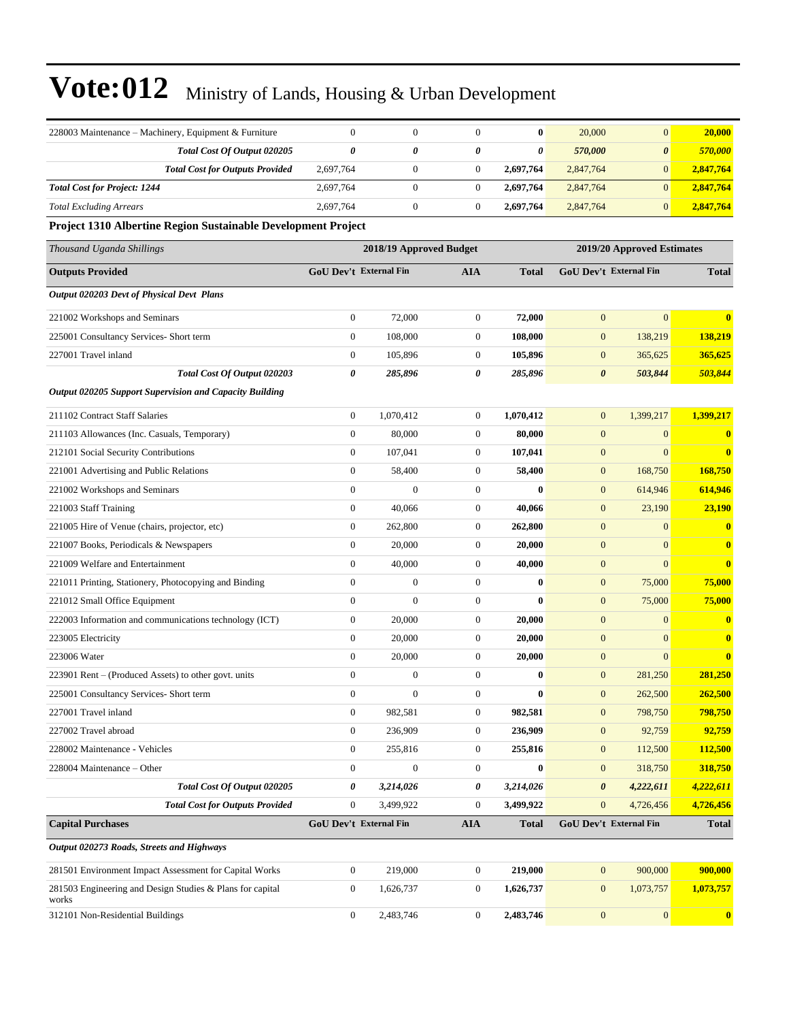| 228003 Maintenance – Machinery, Equipment & Furniture              | $\mathbf{0}$                  | $\mathbf{0}$            | $\theta$              | $\bf{0}$              | 20,000                | $\mathbf{0}$                  | 20,000                  |
|--------------------------------------------------------------------|-------------------------------|-------------------------|-----------------------|-----------------------|-----------------------|-------------------------------|-------------------------|
| Total Cost Of Output 020205                                        | $\boldsymbol{\theta}$         | 0                       | 0                     | $\boldsymbol{\theta}$ | 570,000               | $\boldsymbol{\theta}$         | 570,000                 |
| <b>Total Cost for Outputs Provided</b>                             | 2,697,764                     | $\mathbf{0}$            | $\mathbf{0}$          | 2,697,764             | 2,847,764             | $\mathbf{0}$                  | 2,847,764               |
| <b>Total Cost for Project: 1244</b>                                | 2,697,764                     | $\boldsymbol{0}$        | $\mathbf{0}$          | 2,697,764             | 2,847,764             | $\mathbf{0}$                  | 2,847,764               |
| <b>Total Excluding Arrears</b>                                     | 2,697,764                     | $\mathbf{0}$            | $\boldsymbol{0}$      | 2,697,764             | 2,847,764             | $\mathbf{0}$                  | 2,847,764               |
| Project 1310 Albertine Region Sustainable Development Project      |                               |                         |                       |                       |                       |                               |                         |
| Thousand Uganda Shillings                                          |                               | 2018/19 Approved Budget |                       |                       |                       | 2019/20 Approved Estimates    |                         |
| <b>Outputs Provided</b>                                            | <b>GoU Dev't External Fin</b> |                         | <b>AIA</b>            | <b>Total</b>          |                       | <b>GoU Dev't External Fin</b> | <b>Total</b>            |
| Output 020203 Devt of Physical Devt Plans                          |                               |                         |                       |                       |                       |                               |                         |
| 221002 Workshops and Seminars                                      | $\boldsymbol{0}$              | 72,000                  | $\mathbf{0}$          | 72,000                | $\mathbf{0}$          | $\overline{0}$                | $\bf{0}$                |
| 225001 Consultancy Services- Short term                            | $\boldsymbol{0}$              | 108,000                 | $\boldsymbol{0}$      | 108,000               | $\boldsymbol{0}$      | 138,219                       | 138,219                 |
| 227001 Travel inland                                               | $\boldsymbol{0}$              | 105,896                 | $\boldsymbol{0}$      | 105,896               | $\mathbf{0}$          | 365,625                       | 365,625                 |
| Total Cost Of Output 020203                                        | 0                             | 285,896                 | $\boldsymbol{\theta}$ | 285,896               | $\boldsymbol{\theta}$ | 503,844                       | 503,844                 |
| Output 020205 Support Supervision and Capacity Building            |                               |                         |                       |                       |                       |                               |                         |
| 211102 Contract Staff Salaries                                     | $\boldsymbol{0}$              | 1,070,412               | $\boldsymbol{0}$      | 1,070,412             | $\mathbf{0}$          | 1,399,217                     | 1,399,217               |
| 211103 Allowances (Inc. Casuals, Temporary)                        | $\boldsymbol{0}$              | 80,000                  | $\mathbf{0}$          | 80,000                | $\boldsymbol{0}$      | $\mathbf{0}$                  | $\bf{0}$                |
| 212101 Social Security Contributions                               | $\boldsymbol{0}$              | 107,041                 | $\boldsymbol{0}$      | 107,041               | $\boldsymbol{0}$      | $\mathbf{0}$                  | $\bf{0}$                |
| 221001 Advertising and Public Relations                            | $\boldsymbol{0}$              | 58,400                  | $\boldsymbol{0}$      | 58,400                | $\boldsymbol{0}$      | 168,750                       | 168,750                 |
| 221002 Workshops and Seminars                                      | $\boldsymbol{0}$              | $\mathbf{0}$            | $\boldsymbol{0}$      | $\bf{0}$              | $\boldsymbol{0}$      | 614,946                       | 614,946                 |
| 221003 Staff Training                                              | $\boldsymbol{0}$              | 40,066                  | $\boldsymbol{0}$      | 40,066                | $\mathbf{0}$          | 23,190                        | 23,190                  |
| 221005 Hire of Venue (chairs, projector, etc)                      | $\boldsymbol{0}$              | 262,800                 | $\boldsymbol{0}$      | 262,800               | $\boldsymbol{0}$      | $\mathbf{0}$                  | $\bf{0}$                |
| 221007 Books, Periodicals & Newspapers                             | $\boldsymbol{0}$              | 20,000                  | $\boldsymbol{0}$      | 20,000                | $\mathbf{0}$          | $\mathbf{0}$                  | $\bf{0}$                |
| 221009 Welfare and Entertainment                                   | $\boldsymbol{0}$              | 40,000                  | $\boldsymbol{0}$      | 40,000                | $\mathbf{0}$          | $\mathbf{0}$                  | $\mathbf{0}$            |
| 221011 Printing, Stationery, Photocopying and Binding              | $\boldsymbol{0}$              | $\boldsymbol{0}$        | $\boldsymbol{0}$      | $\bf{0}$              | $\boldsymbol{0}$      | 75,000                        | 75,000                  |
| 221012 Small Office Equipment                                      | $\boldsymbol{0}$              | $\boldsymbol{0}$        | $\boldsymbol{0}$      | $\bf{0}$              | $\mathbf{0}$          | 75,000                        | 75,000                  |
| 222003 Information and communications technology (ICT)             | $\boldsymbol{0}$              | 20,000                  | $\boldsymbol{0}$      | 20,000                | $\boldsymbol{0}$      | $\mathbf{0}$                  | $\bf{0}$                |
| 223005 Electricity                                                 | $\boldsymbol{0}$              | 20,000                  | $\boldsymbol{0}$      | 20,000                | $\mathbf{0}$          | $\mathbf{0}$                  | $\bf{0}$                |
| 223006 Water                                                       | $\boldsymbol{0}$              | 20,000                  | $\boldsymbol{0}$      | 20,000                | $\boldsymbol{0}$      | $\mathbf{0}$                  | $\bf{0}$                |
| 223901 Rent – (Produced Assets) to other govt. units               | $\boldsymbol{0}$              | $\boldsymbol{0}$        | $\boldsymbol{0}$      | $\bf{0}$              | $\boldsymbol{0}$      | 281,250                       | 281,250                 |
| 225001 Consultancy Services- Short term                            | $\mathbf{0}$                  | $\mathbf{0}$            | $\theta$              | $\bf{0}$              | $\mathbf{0}$          | 262,500                       | 262,500                 |
| 227001 Travel inland                                               | $\boldsymbol{0}$              | 982,581                 | $\boldsymbol{0}$      | 982,581               | $\mathbf{0}$          | 798,750                       | 798,750                 |
| 227002 Travel abroad                                               | $\boldsymbol{0}$              | 236,909                 | $\boldsymbol{0}$      | 236,909               | $\boldsymbol{0}$      | 92,759                        | 92,759                  |
| 228002 Maintenance - Vehicles                                      | $\boldsymbol{0}$              | 255,816                 | $\boldsymbol{0}$      | 255,816               | $\mathbf{0}$          | 112,500                       | 112,500                 |
| 228004 Maintenance - Other                                         | $\boldsymbol{0}$              | $\mathbf{0}$            | $\boldsymbol{0}$      | $\bf{0}$              | $\boldsymbol{0}$      | 318,750                       | 318,750                 |
| Total Cost Of Output 020205                                        | 0                             | 3,214,026               | 0                     | 3,214,026             | 0                     | 4,222,611                     | 4,222,611               |
| <b>Total Cost for Outputs Provided</b>                             | $\boldsymbol{0}$              | 3,499,922               | $\mathbf{0}$          | 3,499,922             | $\mathbf{0}$          | 4,726,456                     | 4,726,456               |
| <b>Capital Purchases</b>                                           | <b>GoU Dev't External Fin</b> |                         | <b>AIA</b>            | Total                 |                       | <b>GoU Dev't External Fin</b> | <b>Total</b>            |
| Output 020273 Roads, Streets and Highways                          |                               |                         |                       |                       |                       |                               |                         |
| 281501 Environment Impact Assessment for Capital Works             | $\boldsymbol{0}$              | 219,000                 | $\mathbf{0}$          | 219,000               | $\boldsymbol{0}$      | 900,000                       | 900,000                 |
| 281503 Engineering and Design Studies & Plans for capital<br>works | $\boldsymbol{0}$              | 1,626,737               | $\boldsymbol{0}$      | 1,626,737             | $\boldsymbol{0}$      | 1,073,757                     | 1,073,757               |
| 312101 Non-Residential Buildings                                   | $\boldsymbol{0}$              | 2,483,746               | $\overline{0}$        | 2,483,746             | $\boldsymbol{0}$      | $\mathbf{0}$                  | $\overline{\mathbf{0}}$ |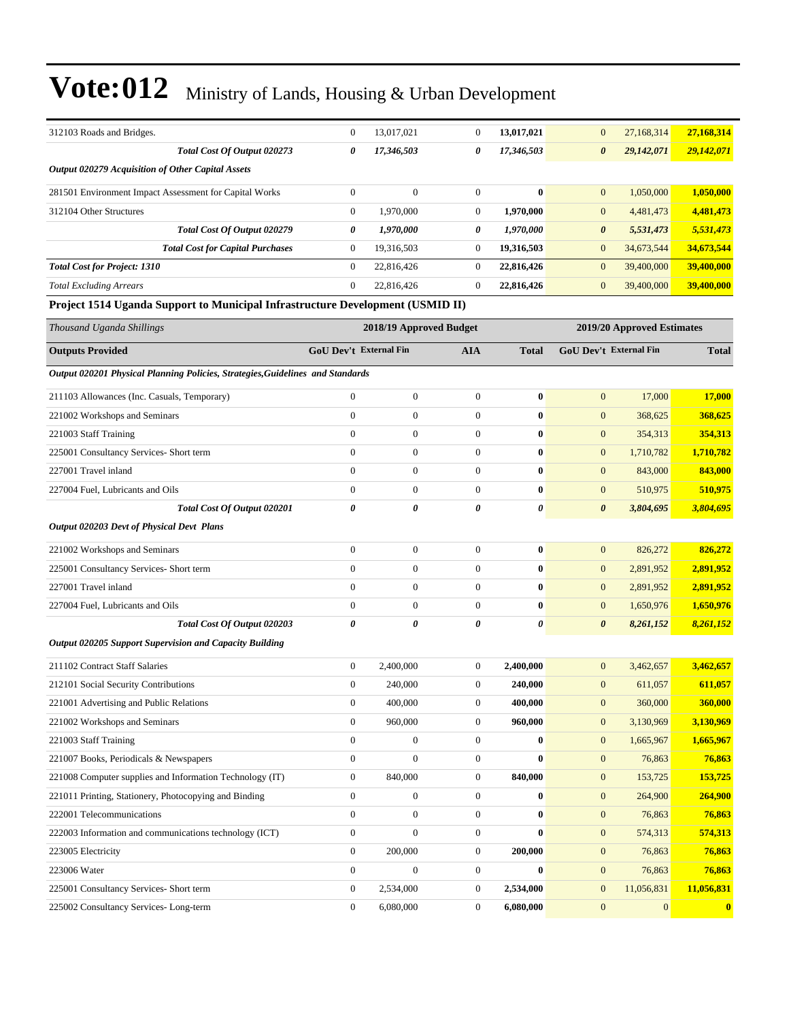| 312103 Roads and Bridges.                                                      | $\mathbf{0}$     | 13,017,021                    | $\boldsymbol{0}$      | 13,017,021            | $\boldsymbol{0}$              | 27,168,314                 | 27,168,314   |
|--------------------------------------------------------------------------------|------------------|-------------------------------|-----------------------|-----------------------|-------------------------------|----------------------------|--------------|
| Total Cost Of Output 020273                                                    | 0                | 17,346,503                    | 0                     | 17,346,503            | $\boldsymbol{\theta}$         | 29,142,071                 | 29,142,071   |
| Output 020279 Acquisition of Other Capital Assets                              |                  |                               |                       |                       |                               |                            |              |
| 281501 Environment Impact Assessment for Capital Works                         | $\boldsymbol{0}$ | $\mathbf{0}$                  | $\mathbf{0}$          | $\bf{0}$              | $\mathbf{0}$                  | 1,050,000                  | 1,050,000    |
| 312104 Other Structures                                                        | $\boldsymbol{0}$ | 1,970,000                     | $\boldsymbol{0}$      | 1,970,000             | $\mathbf{0}$                  | 4,481,473                  | 4,481,473    |
| Total Cost Of Output 020279                                                    | 0                | 1,970,000                     | 0                     | 1,970,000             | $\boldsymbol{\theta}$         | 5,531,473                  | 5,531,473    |
| <b>Total Cost for Capital Purchases</b>                                        | $\boldsymbol{0}$ | 19,316,503                    | $\mathbf{0}$          | 19,316,503            | $\mathbf{0}$                  | 34,673,544                 | 34,673,544   |
| <b>Total Cost for Project: 1310</b>                                            | $\boldsymbol{0}$ | 22,816,426                    | $\boldsymbol{0}$      | 22,816,426            | $\mathbf{0}$                  | 39,400,000                 | 39,400,000   |
| <b>Total Excluding Arrears</b>                                                 | $\boldsymbol{0}$ | 22,816,426                    | $\boldsymbol{0}$      | 22,816,426            | $\mathbf{0}$                  | 39,400,000                 | 39,400,000   |
| Project 1514 Uganda Support to Municipal Infrastructure Development (USMID II) |                  |                               |                       |                       |                               |                            |              |
| Thousand Uganda Shillings                                                      |                  | 2018/19 Approved Budget       |                       |                       |                               | 2019/20 Approved Estimates |              |
| <b>Outputs Provided</b>                                                        |                  | <b>GoU Dev't External Fin</b> | <b>AIA</b>            | <b>Total</b>          | <b>GoU Dev't External Fin</b> |                            | <b>Total</b> |
| Output 020201 Physical Planning Policies, Strategies, Guidelines and Standards |                  |                               |                       |                       |                               |                            |              |
| 211103 Allowances (Inc. Casuals, Temporary)                                    | $\mathbf{0}$     | $\mathbf{0}$                  | $\boldsymbol{0}$      | $\bf{0}$              | $\mathbf{0}$                  | 17,000                     | 17,000       |
| 221002 Workshops and Seminars                                                  | $\boldsymbol{0}$ | $\mathbf{0}$                  | $\mathbf{0}$          | $\bf{0}$              | $\mathbf{0}$                  | 368,625                    | 368,625      |
| 221003 Staff Training                                                          | $\overline{0}$   | $\mathbf{0}$                  | $\mathbf{0}$          | $\bf{0}$              | $\mathbf{0}$                  | 354,313                    | 354,313      |
| 225001 Consultancy Services- Short term                                        | $\mathbf{0}$     | $\mathbf{0}$                  | $\mathbf{0}$          | $\bf{0}$              | $\boldsymbol{0}$              | 1,710,782                  | 1,710,782    |
| 227001 Travel inland                                                           | $\overline{0}$   | $\mathbf{0}$                  | $\mathbf{0}$          | $\bf{0}$              | $\boldsymbol{0}$              | 843,000                    | 843,000      |
| 227004 Fuel, Lubricants and Oils                                               | $\mathbf{0}$     | $\mathbf{0}$                  | $\boldsymbol{0}$      | $\bf{0}$              | $\mathbf{0}$                  | 510,975                    | 510,975      |
| Total Cost Of Output 020201                                                    | 0                | 0                             | $\boldsymbol{\theta}$ | 0                     | $\boldsymbol{\theta}$         | 3,804,695                  | 3,804,695    |
| <b>Output 020203 Devt of Physical Devt Plans</b>                               |                  |                               |                       |                       |                               |                            |              |
| 221002 Workshops and Seminars                                                  | $\overline{0}$   | $\mathbf{0}$                  | $\overline{0}$        | $\bf{0}$              | $\mathbf{0}$                  | 826,272                    | 826,272      |
| 225001 Consultancy Services- Short term                                        | $\overline{0}$   | $\mathbf{0}$                  | $\mathbf{0}$          | $\bf{0}$              | $\mathbf{0}$                  | 2,891,952                  | 2,891,952    |
| 227001 Travel inland                                                           | $\overline{0}$   | $\mathbf{0}$                  | $\mathbf{0}$          | $\bf{0}$              | $\mathbf{0}$                  | 2,891,952                  | 2,891,952    |
| 227004 Fuel, Lubricants and Oils                                               | $\boldsymbol{0}$ | $\mathbf{0}$                  | $\boldsymbol{0}$      | $\bf{0}$              | $\mathbf{0}$                  | 1,650,976                  | 1,650,976    |
| Total Cost Of Output 020203                                                    | 0                | 0                             | $\boldsymbol{\theta}$ | $\boldsymbol{\theta}$ | $\boldsymbol{\theta}$         | 8,261,152                  | 8,261,152    |
| <b>Output 020205 Support Supervision and Capacity Building</b>                 |                  |                               |                       |                       |                               |                            |              |
| 211102 Contract Staff Salaries                                                 | $\boldsymbol{0}$ | 2,400,000                     | $\mathbf{0}$          | 2,400,000             | $\mathbf{0}$                  | 3,462,657                  | 3,462,657    |
| 212101 Social Security Contributions                                           | $\mathbf{0}$     | 240,000                       | $\theta$              | 240,000               | $\overline{0}$                | 611,057                    | 611,057      |
| 221001 Advertising and Public Relations                                        | $\boldsymbol{0}$ | 400,000                       | $\boldsymbol{0}$      | 400,000               | $\mathbf{0}$                  | 360,000                    | 360,000      |
| 221002 Workshops and Seminars                                                  | $\boldsymbol{0}$ | 960,000                       | $\boldsymbol{0}$      | 960,000               | $\bf{0}$                      | 3,130,969                  | 3,130,969    |
| 221003 Staff Training                                                          | $\boldsymbol{0}$ | $\boldsymbol{0}$              | $\boldsymbol{0}$      | $\bf{0}$              | $\mathbf{0}$                  | 1,665,967                  | 1,665,967    |
| 221007 Books, Periodicals & Newspapers                                         | $\boldsymbol{0}$ | $\boldsymbol{0}$              | $\boldsymbol{0}$      | $\bf{0}$              | $\boldsymbol{0}$              | 76,863                     | 76,863       |
| 221008 Computer supplies and Information Technology (IT)                       | $\boldsymbol{0}$ | 840,000                       | $\boldsymbol{0}$      | 840,000               | $\boldsymbol{0}$              | 153,725                    | 153,725      |
| 221011 Printing, Stationery, Photocopying and Binding                          | $\boldsymbol{0}$ | $\boldsymbol{0}$              | $\boldsymbol{0}$      | $\bf{0}$              | $\boldsymbol{0}$              | 264,900                    | 264,900      |
| 222001 Telecommunications                                                      | $\boldsymbol{0}$ | $\boldsymbol{0}$              | $\boldsymbol{0}$      | $\pmb{0}$             | $\mathbf{0}$                  | 76,863                     | 76,863       |
| 222003 Information and communications technology (ICT)                         | $\boldsymbol{0}$ | $\boldsymbol{0}$              | $\boldsymbol{0}$      | $\bf{0}$              | $\mathbf{0}$                  | 574,313                    | 574,313      |
| 223005 Electricity                                                             | $\boldsymbol{0}$ | 200,000                       | $\boldsymbol{0}$      | 200,000               | $\mathbf{0}$                  | 76,863                     | 76,863       |

223006 Water 0 0 0 **0** 0 76,863 **76,863** 225001 Consultancy Services- Short term 0 2,534,000 0 **2,534,000** 0 11,056,831 **11,056,831**

225002 Consultancy Services- Long-term 0 6,080,000 0 **6,080,000** 0 0 **0**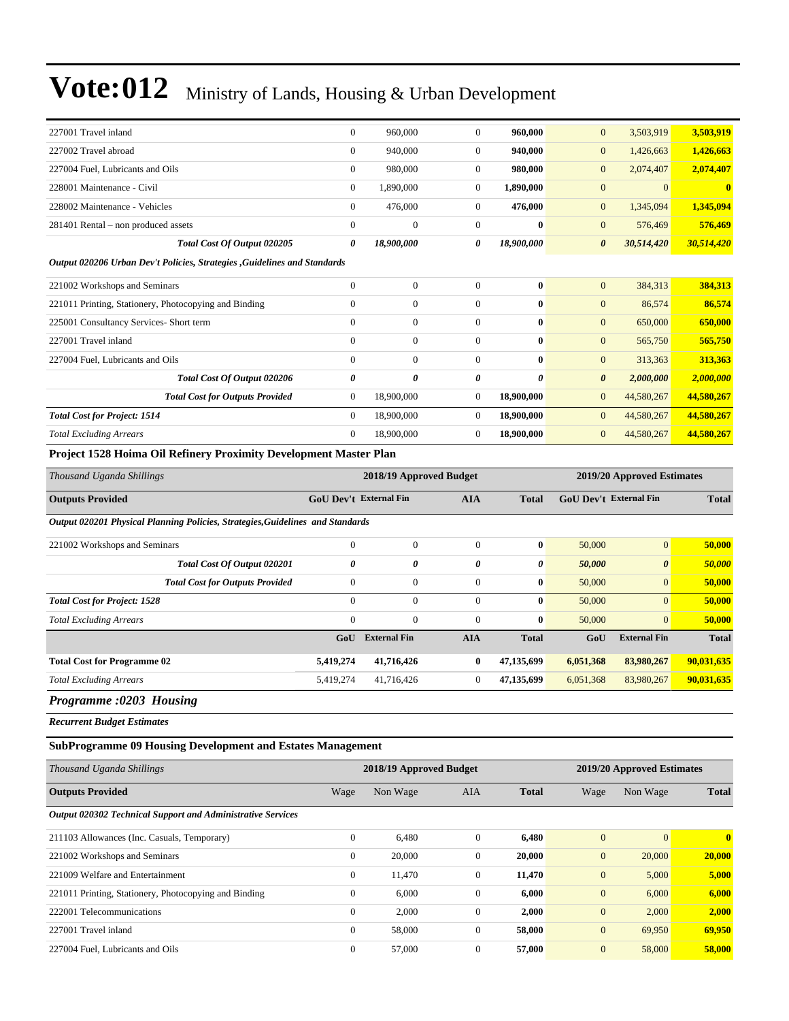| Thousand Uganda Shillings                                                 |                | 2018/19 Approved Budget |                |              |                       | 2019/20 Approved Estimates |                         |
|---------------------------------------------------------------------------|----------------|-------------------------|----------------|--------------|-----------------------|----------------------------|-------------------------|
| Project 1528 Hoima Oil Refinery Proximity Development Master Plan         |                |                         |                |              |                       |                            |                         |
| <b>Total Excluding Arrears</b>                                            | $\mathbf{0}$   | 18,900,000              | $\overline{0}$ | 18,900,000   | $\mathbf{0}$          | 44,580,267                 | 44,580,267              |
| <b>Total Cost for Project: 1514</b>                                       | $\mathbf{0}$   | 18,900,000              | $\overline{0}$ | 18,900,000   | $\overline{0}$        | 44,580,267                 | 44,580,267              |
| <b>Total Cost for Outputs Provided</b>                                    | $\mathbf{0}$   | 18,900,000              | $\overline{0}$ | 18,900,000   | $\overline{0}$        | 44,580,267                 | 44,580,267              |
| Total Cost Of Output 020206                                               | 0              | 0                       | 0              | $\theta$     | $\boldsymbol{\theta}$ | 2,000,000                  | 2,000,000               |
| 227004 Fuel, Lubricants and Oils                                          | $\mathbf{0}$   | $\overline{0}$          | $\overline{0}$ | $\mathbf{0}$ | $\mathbf{0}$          | 313,363                    | 313,363                 |
| 227001 Travel inland                                                      | $\mathbf{0}$   | $\overline{0}$          | $\overline{0}$ | $\bf{0}$     | $\overline{0}$        | 565,750                    | 565,750                 |
| 225001 Consultancy Services- Short term                                   | $\mathbf{0}$   | $\overline{0}$          | $\overline{0}$ | $\bf{0}$     | $\mathbf{0}$          | 650,000                    | 650,000                 |
| 221011 Printing, Stationery, Photocopying and Binding                     | $\mathbf{0}$   | $\overline{0}$          | $\overline{0}$ | $\bf{0}$     | $\mathbf{0}$          | 86,574                     | 86,574                  |
| 221002 Workshops and Seminars                                             | $\mathbf{0}$   | $\overline{0}$          | $\overline{0}$ | $\bf{0}$     | $\boldsymbol{0}$      | 384,313                    | 384,313                 |
| Output 020206 Urban Dev't Policies, Strategies , Guidelines and Standards |                |                         |                |              |                       |                            |                         |
| Total Cost Of Output 020205                                               | 0              | 18,900,000              | 0              | 18,900,000   | $\boldsymbol{\theta}$ | 30,514,420                 | 30,514,420              |
| 281401 Rental – non produced assets                                       | $\Omega$       | $\overline{0}$          | $\Omega$       | $\mathbf{0}$ | $\mathbf{0}$          | 576,469                    | 576,469                 |
| 228002 Maintenance - Vehicles                                             | $\overline{0}$ | 476,000                 | $\overline{0}$ | 476,000      | $\mathbf{0}$          | 1,345,094                  | 1,345,094               |
| 228001 Maintenance - Civil                                                | $\mathbf{0}$   | 1,890,000               | $\overline{0}$ | 1,890,000    | $\mathbf{0}$          | $\overline{0}$             | $\overline{\mathbf{0}}$ |
| 227004 Fuel, Lubricants and Oils                                          | $\mathbf{0}$   | 980,000                 | $\overline{0}$ | 980,000      | $\mathbf{0}$          | 2,074,407                  | 2,074,407               |
| 227002 Travel abroad                                                      | $\mathbf{0}$   | 940,000                 | $\overline{0}$ | 940,000      | $\mathbf{0}$          | 1,426,663                  | 1,426,663               |
| 227001 Travel inland                                                      | $\mathbf{0}$   | 960,000                 | $\overline{0}$ | 960,000      | $\mathbf{0}$          | 3,503,919                  | 3,503,919               |
|                                                                           |                |                         |                |              |                       |                            |                         |

| Inousana Uganaa Shiilings                                                      |                               | 2018/19 Approved Budget |                | <b>2019/20 Approved Esumates</b> |                               |                       |              |
|--------------------------------------------------------------------------------|-------------------------------|-------------------------|----------------|----------------------------------|-------------------------------|-----------------------|--------------|
| <b>Outputs Provided</b>                                                        | <b>GoU Dev't External Fin</b> |                         | <b>AIA</b>     | <b>Total</b>                     | <b>GoU</b> Dev't External Fin |                       | <b>Total</b> |
| Output 020201 Physical Planning Policies, Strategies, Guidelines and Standards |                               |                         |                |                                  |                               |                       |              |
| 221002 Workshops and Seminars                                                  | $\mathbf{0}$                  | $\mathbf{0}$            | $\Omega$       | $\bf{0}$                         | 50,000                        | $\mathbf{0}$          | 50,000       |
| Total Cost Of Output 020201                                                    | 0                             | 0                       | 0              | 0                                | 50,000                        | $\boldsymbol{\theta}$ | 50,000       |
| <b>Total Cost for Outputs Provided</b>                                         | $\overline{0}$                | $\boldsymbol{0}$        | $\mathbf{0}$   | $\bf{0}$                         | 50,000                        | $\mathbf{0}$          | 50,000       |
| <b>Total Cost for Project: 1528</b>                                            | $\mathbf{0}$                  | $\mathbf{0}$            | $\Omega$       | $\bf{0}$                         | 50,000                        | $\overline{0}$        | 50,000       |
| <b>Total Excluding Arrears</b>                                                 | $\mathbf{0}$                  | $\mathbf{0}$            | $\mathbf{0}$   | $\bf{0}$                         | 50,000                        | $\overline{0}$        | 50,000       |
|                                                                                | GoU                           | <b>External Fin</b>     | <b>AIA</b>     | <b>Total</b>                     | GoU                           | <b>External Fin</b>   | <b>Total</b> |
| <b>Total Cost for Programme 02</b>                                             | 5,419,274                     | 41,716,426              | $\bf{0}$       | 47,135,699                       | 6,051,368                     | 83,980,267            | 90,031,635   |
| <b>Total Excluding Arrears</b>                                                 | 5,419,274                     | 41,716,426              | $\overline{0}$ | 47,135,699                       | 6,051,368                     | 83,980,267            | 90,031,635   |
|                                                                                |                               |                         |                |                                  |                               |                       |              |

#### *Programme :0203 Housing*

*Recurrent Budget Estimates*

#### **SubProgramme 09 Housing Development and Estates Management**

| Thousand Uganda Shillings                                          |              | 2018/19 Approved Budget |              |              | 2019/20 Approved Estimates |          |              |  |
|--------------------------------------------------------------------|--------------|-------------------------|--------------|--------------|----------------------------|----------|--------------|--|
| <b>Outputs Provided</b>                                            | Wage         | Non Wage                | AIA          | <b>Total</b> | Wage                       | Non Wage | <b>Total</b> |  |
| <b>Output 020302 Technical Support and Administrative Services</b> |              |                         |              |              |                            |          |              |  |
| 211103 Allowances (Inc. Casuals, Temporary)                        | $\theta$     | 6.480                   | $\mathbf{0}$ | 6.480        | $\mathbf{0}$               | $\Omega$ | $\mathbf{0}$ |  |
| 221002 Workshops and Seminars                                      | $\mathbf{0}$ | 20,000                  | $\mathbf{0}$ | 20,000       | $\mathbf{0}$               | 20,000   | 20,000       |  |
| 221009 Welfare and Entertainment                                   | $\mathbf{0}$ | 11,470                  | $\mathbf{0}$ | 11,470       | $\overline{0}$             | 5,000    | 5,000        |  |
| 221011 Printing, Stationery, Photocopying and Binding              | $\mathbf{0}$ | 6,000                   | $\mathbf{0}$ | 6,000        | $\overline{0}$             | 6,000    | 6,000        |  |
| 222001 Telecommunications                                          | $\mathbf{0}$ | 2,000                   | $\mathbf{0}$ | 2,000        | $\overline{0}$             | 2,000    | 2,000        |  |
| 227001 Travel inland                                               | $\mathbf{0}$ | 58,000                  | $\mathbf{0}$ | 58,000       | $\overline{0}$             | 69,950   | 69,950       |  |
| 227004 Fuel, Lubricants and Oils                                   | $\mathbf{0}$ | 57,000                  | $\mathbf{0}$ | 57,000       | $\mathbf{0}$               | 58,000   | 58,000       |  |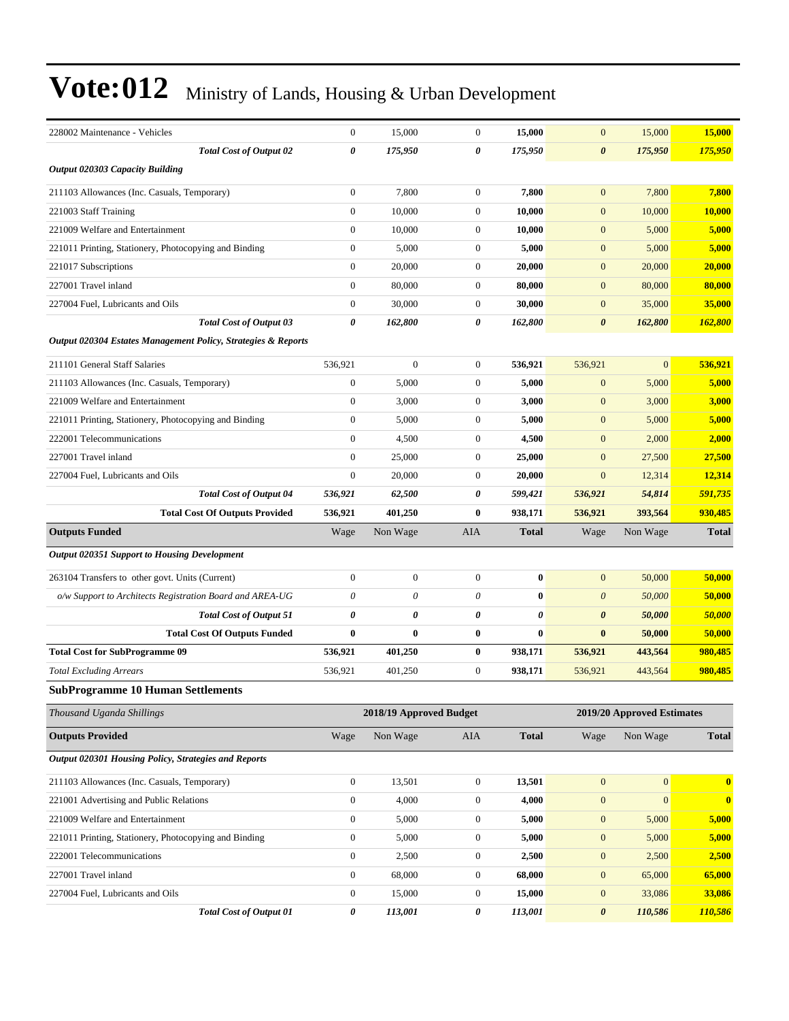| 228002 Maintenance - Vehicles                                 | $\boldsymbol{0}$ | 15,000                  | $\mathbf{0}$     | 15,000       | $\mathbf{0}$          | 15,000                     | 15,000       |
|---------------------------------------------------------------|------------------|-------------------------|------------------|--------------|-----------------------|----------------------------|--------------|
| <b>Total Cost of Output 02</b>                                | 0                | 175,950                 | 0                | 175,950      | $\boldsymbol{\theta}$ | 175,950                    | 175,950      |
| <b>Output 020303 Capacity Building</b>                        |                  |                         |                  |              |                       |                            |              |
| 211103 Allowances (Inc. Casuals, Temporary)                   | $\boldsymbol{0}$ | 7,800                   | $\mathbf{0}$     | 7,800        | $\mathbf{0}$          | 7,800                      | 7,800        |
| 221003 Staff Training                                         | $\boldsymbol{0}$ | 10,000                  | $\mathbf{0}$     | 10.000       | $\mathbf{0}$          | 10,000                     | 10,000       |
| 221009 Welfare and Entertainment                              | $\mathbf{0}$     | 10,000                  | $\mathbf{0}$     | 10,000       | $\mathbf{0}$          | 5,000                      | 5,000        |
| 221011 Printing, Stationery, Photocopying and Binding         | $\boldsymbol{0}$ | 5,000                   | $\mathbf{0}$     | 5,000        | $\mathbf{0}$          | 5,000                      | 5,000        |
| 221017 Subscriptions                                          | $\boldsymbol{0}$ | 20,000                  | $\mathbf{0}$     | 20,000       | $\mathbf{0}$          | 20,000                     | 20,000       |
| 227001 Travel inland                                          | $\boldsymbol{0}$ | 80,000                  | $\mathbf{0}$     | 80,000       | $\mathbf{0}$          | 80,000                     | 80,000       |
| 227004 Fuel, Lubricants and Oils                              | $\boldsymbol{0}$ | 30,000                  | $\mathbf{0}$     | 30,000       | $\mathbf{0}$          | 35,000                     | 35,000       |
| <b>Total Cost of Output 03</b>                                | 0                | 162,800                 | 0                | 162,800      | $\boldsymbol{\theta}$ | 162,800                    | 162,800      |
| Output 020304 Estates Management Policy, Strategies & Reports |                  |                         |                  |              |                       |                            |              |
| 211101 General Staff Salaries                                 | 536,921          | $\boldsymbol{0}$        | $\mathbf{0}$     | 536,921      | 536,921               | $\overline{0}$             | 536,921      |
| 211103 Allowances (Inc. Casuals, Temporary)                   | $\boldsymbol{0}$ | 5,000                   | $\mathbf{0}$     | 5,000        | $\mathbf{0}$          | 5,000                      | 5,000        |
| 221009 Welfare and Entertainment                              | $\boldsymbol{0}$ | 3,000                   | $\mathbf{0}$     | 3,000        | $\mathbf{0}$          | 3,000                      | 3,000        |
| 221011 Printing, Stationery, Photocopying and Binding         | $\boldsymbol{0}$ | 5,000                   | $\mathbf{0}$     | 5,000        | $\mathbf{0}$          | 5,000                      | 5,000        |
| 222001 Telecommunications                                     | $\mathbf{0}$     | 4,500                   | $\mathbf{0}$     | 4,500        | $\mathbf{0}$          | 2,000                      | 2,000        |
| 227001 Travel inland                                          | $\boldsymbol{0}$ | 25,000                  | $\mathbf{0}$     | 25,000       | $\mathbf{0}$          | 27,500                     | 27,500       |
| 227004 Fuel, Lubricants and Oils                              | $\boldsymbol{0}$ | 20,000                  | $\mathbf{0}$     | 20,000       | $\mathbf{0}$          | 12,314                     | 12,314       |
| <b>Total Cost of Output 04</b>                                | 536,921          | 62,500                  | 0                | 599,421      | 536,921               | 54,814                     | 591,735      |
| <b>Total Cost Of Outputs Provided</b>                         | 536,921          | 401,250                 | $\bf{0}$         | 938,171      | 536,921               | 393,564                    | 930,485      |
| <b>Outputs Funded</b>                                         | Wage             | Non Wage                | AIA              | <b>Total</b> | Wage                  | Non Wage                   | <b>Total</b> |
| <b>Output 020351 Support to Housing Development</b>           |                  |                         |                  |              |                       |                            |              |
| 263104 Transfers to other govt. Units (Current)               | $\mathbf{0}$     | $\boldsymbol{0}$        | $\mathbf{0}$     | $\bf{0}$     | $\mathbf{0}$          | 50,000                     | 50,000       |
| o/w Support to Architects Registration Board and AREA-UG      | 0                | 0                       | 0                | $\bf{0}$     | $\boldsymbol{\theta}$ | 50,000                     | 50,000       |
| <b>Total Cost of Output 51</b>                                | 0                | 0                       | 0                | 0            | $\boldsymbol{\theta}$ | 50,000                     | 50,000       |
| <b>Total Cost Of Outputs Funded</b>                           | $\bf{0}$         | 0                       | $\bf{0}$         | $\bf{0}$     | $\bf{0}$              | 50,000                     | 50,000       |
| <b>Total Cost for SubProgramme 09</b>                         | 536,921          | 401,250                 | $\bf{0}$         | 938,171      | 536,921               | 443,564                    | 980,485      |
| <b>Total Excluding Arrears</b>                                | 536,921          | 401,250                 | $\boldsymbol{0}$ | 938,171      | 536,921               | 443,564                    | 980,485      |
| <b>SubProgramme 10 Human Settlements</b>                      |                  |                         |                  |              |                       |                            |              |
| Thousand Uganda Shillings                                     |                  | 2018/19 Approved Budget |                  |              |                       | 2019/20 Approved Estimates |              |
| <b>Outputs Provided</b>                                       | Wage             | Non Wage                | AIA              | <b>Total</b> | Wage                  | Non Wage                   | <b>Total</b> |
| Output 020301 Housing Policy, Strategies and Reports          |                  |                         |                  |              |                       |                            |              |
| 211103 Allowances (Inc. Casuals, Temporary)                   | $\boldsymbol{0}$ | 13,501                  | $\boldsymbol{0}$ | 13,501       | $\boldsymbol{0}$      | $\mathbf{0}$               | $\bf{0}$     |
| 221001 Advertising and Public Relations                       | $\boldsymbol{0}$ | 4,000                   | $\boldsymbol{0}$ | 4,000        | $\boldsymbol{0}$      | $\overline{0}$             | $\bf{0}$     |
| 221009 Welfare and Entertainment                              | $\boldsymbol{0}$ | 5,000                   | $\boldsymbol{0}$ | 5,000        | $\boldsymbol{0}$      | 5,000                      | 5,000        |
| 221011 Printing, Stationery, Photocopying and Binding         | $\boldsymbol{0}$ | 5,000                   | $\boldsymbol{0}$ | 5,000        | $\boldsymbol{0}$      | 5,000                      | 5,000        |
| 222001 Telecommunications                                     | $\boldsymbol{0}$ | 2,500                   | $\boldsymbol{0}$ | 2,500        | $\boldsymbol{0}$      | 2,500                      | 2,500        |
| 227001 Travel inland                                          | $\boldsymbol{0}$ | 68,000                  | $\boldsymbol{0}$ | 68,000       | $\boldsymbol{0}$      | 65,000                     | 65,000       |
| 227004 Fuel, Lubricants and Oils                              |                  |                         |                  |              |                       |                            |              |
|                                                               | $\boldsymbol{0}$ | 15,000                  | $\boldsymbol{0}$ | 15,000       | $\boldsymbol{0}$      | 33,086                     | 33,086       |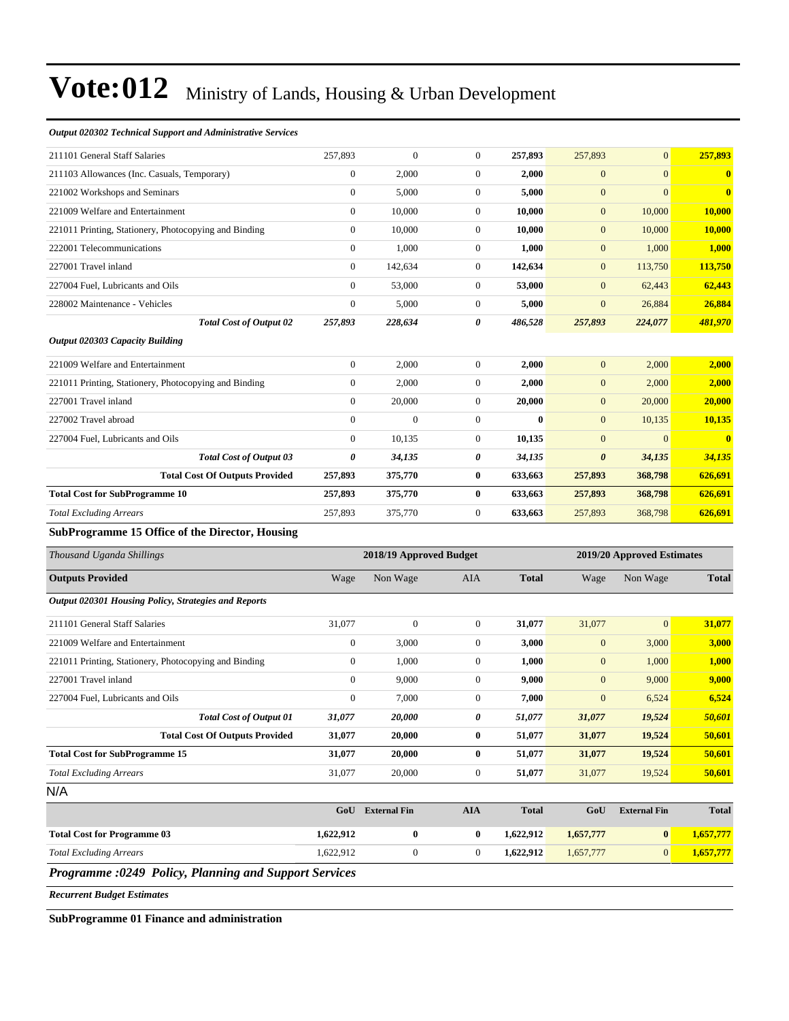#### *Output 020302 Technical Support and Administrative Services*

| 211101 General Staff Salaries                               | 257,893                                               | $\boldsymbol{0}$ | $\boldsymbol{0}$ | 257,893      | 257,893               | $\boldsymbol{0}$    | 257,893       |
|-------------------------------------------------------------|-------------------------------------------------------|------------------|------------------|--------------|-----------------------|---------------------|---------------|
| 211103 Allowances (Inc. Casuals, Temporary)                 | $\boldsymbol{0}$                                      | 2,000            | $\boldsymbol{0}$ | 2,000        | $\mathbf{0}$          | $\boldsymbol{0}$    | $\bf{0}$      |
| 221002 Workshops and Seminars                               | $\mathbf{0}$                                          | 5,000            | $\boldsymbol{0}$ | 5,000        | $\mathbf{0}$          | $\overline{0}$      | $\bf{0}$      |
| 221009 Welfare and Entertainment                            | $\theta$                                              | 10,000           | $\boldsymbol{0}$ | 10,000       | $\mathbf{0}$          | 10,000              | <b>10,000</b> |
| 221011 Printing, Stationery, Photocopying and Binding       | $\overline{0}$                                        | 10,000           | $\boldsymbol{0}$ | 10,000       | $\mathbf{0}$          | 10,000              | <b>10,000</b> |
| 222001 Telecommunications                                   | $\mathbf{0}$                                          | 1,000            | $\boldsymbol{0}$ | 1,000        | $\mathbf{0}$          | 1,000               | 1,000         |
| 227001 Travel inland                                        | $\boldsymbol{0}$                                      | 142,634          | $\boldsymbol{0}$ | 142,634      | $\mathbf{0}$          | 113,750             | 113,750       |
| 227004 Fuel, Lubricants and Oils                            | $\overline{0}$                                        | 53,000           | $\boldsymbol{0}$ | 53,000       | $\mathbf{0}$          | 62,443              | 62,443        |
| 228002 Maintenance - Vehicles                               | $\mathbf{0}$                                          | 5,000            | $\mathbf{0}$     | 5,000        | $\mathbf{0}$          | 26,884              | 26,884        |
| <b>Total Cost of Output 02</b>                              | 257,893                                               | 228,634          | 0                | 486,528      | 257,893               | 224,077             | 481,970       |
| <b>Output 020303 Capacity Building</b>                      |                                                       |                  |                  |              |                       |                     |               |
| 221009 Welfare and Entertainment                            | $\mathbf{0}$                                          | 2,000            | $\boldsymbol{0}$ | 2,000        | $\mathbf{0}$          | 2,000               | 2,000         |
| 221011 Printing, Stationery, Photocopying and Binding       | $\boldsymbol{0}$                                      | 2,000            | $\boldsymbol{0}$ | 2,000        | $\mathbf{0}$          | 2,000               | 2,000         |
| 227001 Travel inland                                        | $\mathbf{0}$                                          | 20,000           | $\boldsymbol{0}$ | 20,000       | $\mathbf{0}$          | 20,000              | 20,000        |
| 227002 Travel abroad                                        | $\theta$                                              | $\mathbf{0}$     | $\boldsymbol{0}$ | $\bf{0}$     | $\mathbf{0}$          | 10,135              | 10,135        |
| 227004 Fuel, Lubricants and Oils                            | $\theta$                                              | 10.135           | $\boldsymbol{0}$ | 10,135       | $\mathbf{0}$          | $\overline{0}$      | $\bf{0}$      |
| <b>Total Cost of Output 03</b>                              | $\boldsymbol{\theta}$                                 | 34,135           | 0                | 34,135       | $\boldsymbol{\theta}$ | 34,135              | 34,135        |
| <b>Total Cost Of Outputs Provided</b>                       | 257,893                                               | 375,770          | 0                | 633,663      | 257,893               | 368,798             | 626,691       |
| <b>Total Cost for SubProgramme 10</b>                       | 257,893                                               | 375,770          | 0                | 633,663      | 257,893               | 368,798             | 626,691       |
| <b>Total Excluding Arrears</b>                              | 257,893                                               | 375,770          | $\boldsymbol{0}$ | 633,663      | 257,893               | 368,798             | 626,691       |
| SubProgramme 15 Office of the Director, Housing             |                                                       |                  |                  |              |                       |                     |               |
| Thousand Uganda Shillings                                   | 2018/19 Approved Budget<br>2019/20 Approved Estimates |                  |                  |              |                       |                     |               |
| <b>Outputs Provided</b>                                     | Wage                                                  | Non Wage         | AIA              | <b>Total</b> | Wage                  | Non Wage            | <b>Total</b>  |
| <b>Output 020301 Housing Policy, Strategies and Reports</b> |                                                       |                  |                  |              |                       |                     |               |
| 211101 General Staff Salaries                               | 31,077                                                | $\mathbf{0}$     | $\boldsymbol{0}$ | 31,077       | 31,077                | $\boldsymbol{0}$    | 31,077        |
| 221009 Welfare and Entertainment                            | $\boldsymbol{0}$                                      | 3,000            | $\boldsymbol{0}$ | 3,000        | $\mathbf{0}$          | 3,000               | 3,000         |
| 221011 Printing, Stationery, Photocopying and Binding       | $\boldsymbol{0}$                                      | 1,000            | $\boldsymbol{0}$ | 1,000        | $\mathbf{0}$          | 1,000               | 1,000         |
| 227001 Travel inland                                        | $\theta$                                              | 9,000            | $\boldsymbol{0}$ | 9,000        | $\mathbf{0}$          | 9,000               | 9,000         |
| 227004 Fuel, Lubricants and Oils                            | $\boldsymbol{0}$                                      | 7,000            | $\mathbf{0}$     | 7,000        | $\mathbf{0}$          | 6,524               | 6,524         |
| Total Cost of Output 01                                     | 31,077                                                | 20,000           | 0                | 51,077       | 31,077                | 19,524              | 50,601        |
| <b>Total Cost Of Outputs Provided</b>                       | 31,077                                                | 20,000           | 0                | 51,077       | 31,077                | 19,524              | 50,601        |
| <b>Total Cost for SubProgramme 15</b>                       | 31,077                                                | 20,000           | $\bf{0}$         | 51,077       | 31,077                | 19,524              | 50,601        |
| <b>Total Excluding Arrears</b>                              | 31,077                                                | 20,000           | $\boldsymbol{0}$ | 51,077       | 31,077                | 19,524              | 50,601        |
| N/A                                                         |                                                       |                  |                  |              |                       |                     |               |
|                                                             |                                                       | GoU External Fin | <b>AIA</b>       | <b>Total</b> | GoU                   | <b>External Fin</b> | <b>Total</b>  |
| <b>Total Cost for Programme 03</b>                          | 1,622,912                                             | $\boldsymbol{0}$ | $\boldsymbol{0}$ | 1,622,912    | 1,657,777             | $\bf{0}$            | 1,657,777     |
| <b>Total Excluding Arrears</b>                              | 1,622,912                                             | $\boldsymbol{0}$ | $\overline{0}$   | 1,622,912    | 1,657,777             | $\overline{0}$      | 1,657,777     |
| Programme :0249 Policy, Planning and Support Services       |                                                       |                  |                  |              |                       |                     |               |
| <b>Recurrent Budget Estimates</b>                           |                                                       |                  |                  |              |                       |                     |               |

**SubProgramme 01 Finance and administration**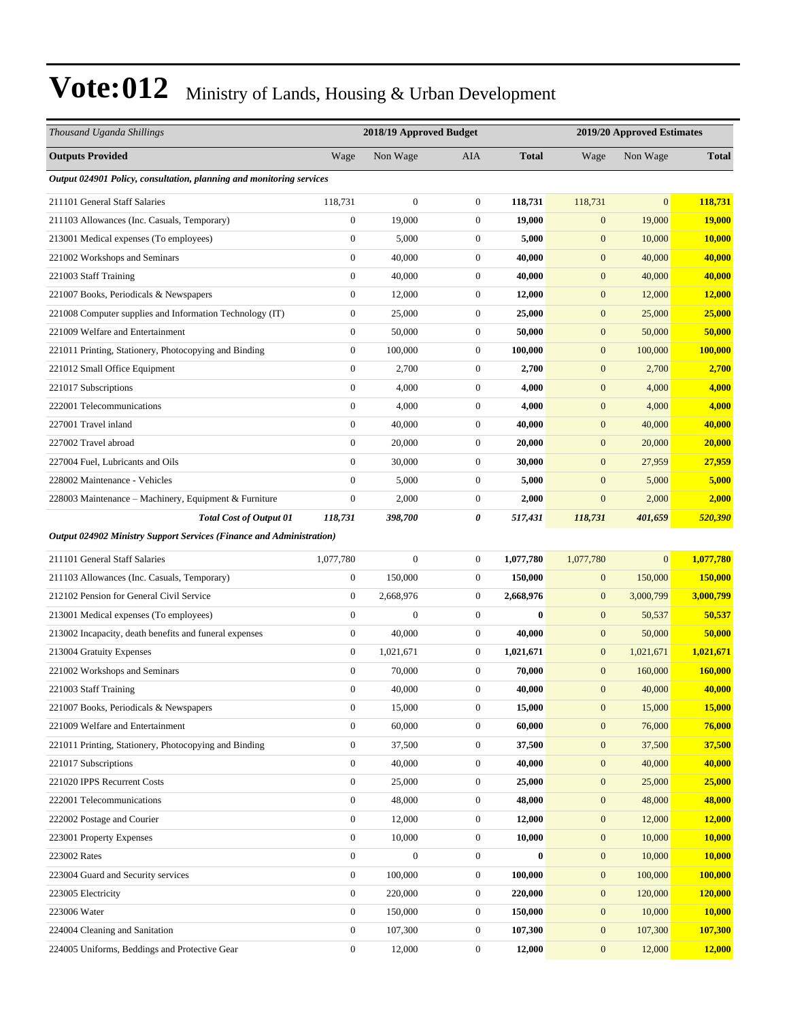| Thousand Uganda Shillings                                                   |                  | 2018/19 Approved Budget |                  |              |                  | 2019/20 Approved Estimates |                |  |
|-----------------------------------------------------------------------------|------------------|-------------------------|------------------|--------------|------------------|----------------------------|----------------|--|
| <b>Outputs Provided</b>                                                     | Wage             | Non Wage                | AIA              | <b>Total</b> | Wage             | Non Wage                   | <b>Total</b>   |  |
| Output 024901 Policy, consultation, planning and monitoring services        |                  |                         |                  |              |                  |                            |                |  |
| 211101 General Staff Salaries                                               | 118,731          | $\boldsymbol{0}$        | $\mathbf{0}$     | 118,731      | 118,731          | $\overline{0}$             | 118,731        |  |
| 211103 Allowances (Inc. Casuals, Temporary)                                 | $\boldsymbol{0}$ | 19,000                  | $\mathbf{0}$     | 19,000       | $\mathbf{0}$     | 19,000                     | 19,000         |  |
| 213001 Medical expenses (To employees)                                      | $\boldsymbol{0}$ | 5,000                   | $\mathbf{0}$     | 5,000        | $\mathbf{0}$     | 10,000                     | 10,000         |  |
| 221002 Workshops and Seminars                                               | $\boldsymbol{0}$ | 40,000                  | $\boldsymbol{0}$ | 40,000       | $\boldsymbol{0}$ | 40,000                     | 40,000         |  |
| 221003 Staff Training                                                       | $\boldsymbol{0}$ | 40,000                  | $\boldsymbol{0}$ | 40,000       | $\boldsymbol{0}$ | 40,000                     | 40,000         |  |
| 221007 Books, Periodicals & Newspapers                                      | $\boldsymbol{0}$ | 12,000                  | $\mathbf{0}$     | 12,000       | $\boldsymbol{0}$ | 12,000                     | 12,000         |  |
| 221008 Computer supplies and Information Technology (IT)                    | $\boldsymbol{0}$ | 25,000                  | $\mathbf{0}$     | 25,000       | $\boldsymbol{0}$ | 25,000                     | 25,000         |  |
| 221009 Welfare and Entertainment                                            | $\boldsymbol{0}$ | 50,000                  | $\mathbf{0}$     | 50,000       | $\mathbf{0}$     | 50,000                     | 50,000         |  |
| 221011 Printing, Stationery, Photocopying and Binding                       | $\boldsymbol{0}$ | 100,000                 | $\mathbf{0}$     | 100,000      | $\boldsymbol{0}$ | 100,000                    | <b>100,000</b> |  |
| 221012 Small Office Equipment                                               | $\boldsymbol{0}$ | 2,700                   | $\boldsymbol{0}$ | 2,700        | $\boldsymbol{0}$ | 2,700                      | 2,700          |  |
| 221017 Subscriptions                                                        | $\boldsymbol{0}$ | 4,000                   | $\mathbf{0}$     | 4,000        | $\mathbf{0}$     | 4,000                      | 4,000          |  |
| 222001 Telecommunications                                                   | $\boldsymbol{0}$ | 4,000                   | $\mathbf{0}$     | 4,000        | $\boldsymbol{0}$ | 4,000                      | 4,000          |  |
| 227001 Travel inland                                                        | $\boldsymbol{0}$ | 40,000                  | $\mathbf{0}$     | 40,000       | $\mathbf{0}$     | 40,000                     | 40,000         |  |
| 227002 Travel abroad                                                        | $\boldsymbol{0}$ | 20,000                  | $\boldsymbol{0}$ | 20,000       | $\boldsymbol{0}$ | 20,000                     | 20,000         |  |
| 227004 Fuel, Lubricants and Oils                                            | $\boldsymbol{0}$ | 30,000                  | $\boldsymbol{0}$ | 30,000       | $\boldsymbol{0}$ | 27,959                     | 27,959         |  |
| 228002 Maintenance - Vehicles                                               | $\boldsymbol{0}$ | 5,000                   | $\mathbf{0}$     | 5,000        | $\mathbf{0}$     | 5,000                      | 5,000          |  |
| 228003 Maintenance – Machinery, Equipment & Furniture                       | $\boldsymbol{0}$ | 2,000                   | $\mathbf{0}$     | 2,000        | $\mathbf{0}$     | 2,000                      | 2,000          |  |
| <b>Total Cost of Output 01</b>                                              | 118,731          | 398,700                 | 0                | 517,431      | 118,731          | 401,659                    | 520,390        |  |
| <b>Output 024902 Ministry Support Services (Finance and Administration)</b> |                  |                         |                  |              |                  |                            |                |  |
| 211101 General Staff Salaries                                               | 1,077,780        | $\boldsymbol{0}$        | $\boldsymbol{0}$ | 1,077,780    | 1,077,780        | $\overline{0}$             | 1,077,780      |  |
| 211103 Allowances (Inc. Casuals, Temporary)                                 | $\boldsymbol{0}$ | 150,000                 | $\mathbf{0}$     | 150,000      | $\boldsymbol{0}$ | 150,000                    | 150,000        |  |
| 212102 Pension for General Civil Service                                    | $\boldsymbol{0}$ | 2,668,976               | $\mathbf{0}$     | 2,668,976    | $\boldsymbol{0}$ | 3,000,799                  | 3,000,799      |  |
| 213001 Medical expenses (To employees)                                      | $\boldsymbol{0}$ | $\boldsymbol{0}$        | $\boldsymbol{0}$ | $\bf{0}$     | $\boldsymbol{0}$ | 50,537                     | 50,537         |  |
| 213002 Incapacity, death benefits and funeral expenses                      | $\boldsymbol{0}$ | 40,000                  | $\mathbf{0}$     | 40.000       | $\boldsymbol{0}$ | 50,000                     | 50,000         |  |
| 213004 Gratuity Expenses                                                    | $\boldsymbol{0}$ | 1,021,671               | $\boldsymbol{0}$ | 1,021,671    | $\mathbf{0}$     | 1,021,671                  | 1,021,671      |  |
| 221002 Workshops and Seminars                                               | $\boldsymbol{0}$ | 70,000                  | $\mathbf{0}$     | 70,000       | $\mathbf{0}$     | 160,000                    | 160,000        |  |
| 221003 Staff Training                                                       | $\boldsymbol{0}$ | 40,000                  | $\mathbf{0}$     | 40,000       | $\mathbf{0}$     | 40,000                     | 40,000         |  |
| 221007 Books, Periodicals & Newspapers                                      | $\boldsymbol{0}$ | 15,000                  | $\boldsymbol{0}$ | 15,000       | $\boldsymbol{0}$ | 15,000                     | 15,000         |  |
| 221009 Welfare and Entertainment                                            | $\boldsymbol{0}$ | 60,000                  | $\boldsymbol{0}$ | 60,000       | $\boldsymbol{0}$ | 76,000                     | 76,000         |  |
| 221011 Printing, Stationery, Photocopying and Binding                       | $\boldsymbol{0}$ | 37,500                  | $\boldsymbol{0}$ | 37,500       | $\boldsymbol{0}$ | 37,500                     | 37,500         |  |
| 221017 Subscriptions                                                        | $\boldsymbol{0}$ | 40,000                  | $\boldsymbol{0}$ | 40,000       | $\boldsymbol{0}$ | 40,000                     | 40,000         |  |
| 221020 IPPS Recurrent Costs                                                 | $\boldsymbol{0}$ | 25,000                  | $\boldsymbol{0}$ | 25,000       | $\boldsymbol{0}$ | 25,000                     | 25,000         |  |
| 222001 Telecommunications                                                   | $\boldsymbol{0}$ | 48,000                  | $\boldsymbol{0}$ | 48,000       | $\boldsymbol{0}$ | 48,000                     | 48,000         |  |
| 222002 Postage and Courier                                                  | $\boldsymbol{0}$ | 12,000                  | $\boldsymbol{0}$ | 12,000       | $\boldsymbol{0}$ | 12,000                     | 12,000         |  |
| 223001 Property Expenses                                                    | $\boldsymbol{0}$ | 10,000                  | $\boldsymbol{0}$ | 10,000       | $\boldsymbol{0}$ | 10,000                     | <b>10,000</b>  |  |
| 223002 Rates                                                                | $\boldsymbol{0}$ | $\boldsymbol{0}$        | $\boldsymbol{0}$ | $\bf{0}$     | $\boldsymbol{0}$ | 10,000                     | 10,000         |  |
| 223004 Guard and Security services                                          | $\boldsymbol{0}$ | 100,000                 | $\boldsymbol{0}$ | 100,000      | $\boldsymbol{0}$ | 100,000                    | 100,000        |  |
| 223005 Electricity                                                          | $\boldsymbol{0}$ | 220,000                 | $\boldsymbol{0}$ | 220,000      | $\boldsymbol{0}$ | 120,000                    | 120,000        |  |
| 223006 Water                                                                | $\boldsymbol{0}$ | 150,000                 | $\boldsymbol{0}$ | 150,000      | $\mathbf{0}$     | 10,000                     | 10,000         |  |
| 224004 Cleaning and Sanitation                                              | $\boldsymbol{0}$ | 107,300                 | $\boldsymbol{0}$ | 107,300      | $\mathbf{0}$     | 107,300                    | 107,300        |  |
| 224005 Uniforms, Beddings and Protective Gear                               | $\boldsymbol{0}$ | 12,000                  | $\boldsymbol{0}$ | 12,000       | $\boldsymbol{0}$ | 12,000                     | 12,000         |  |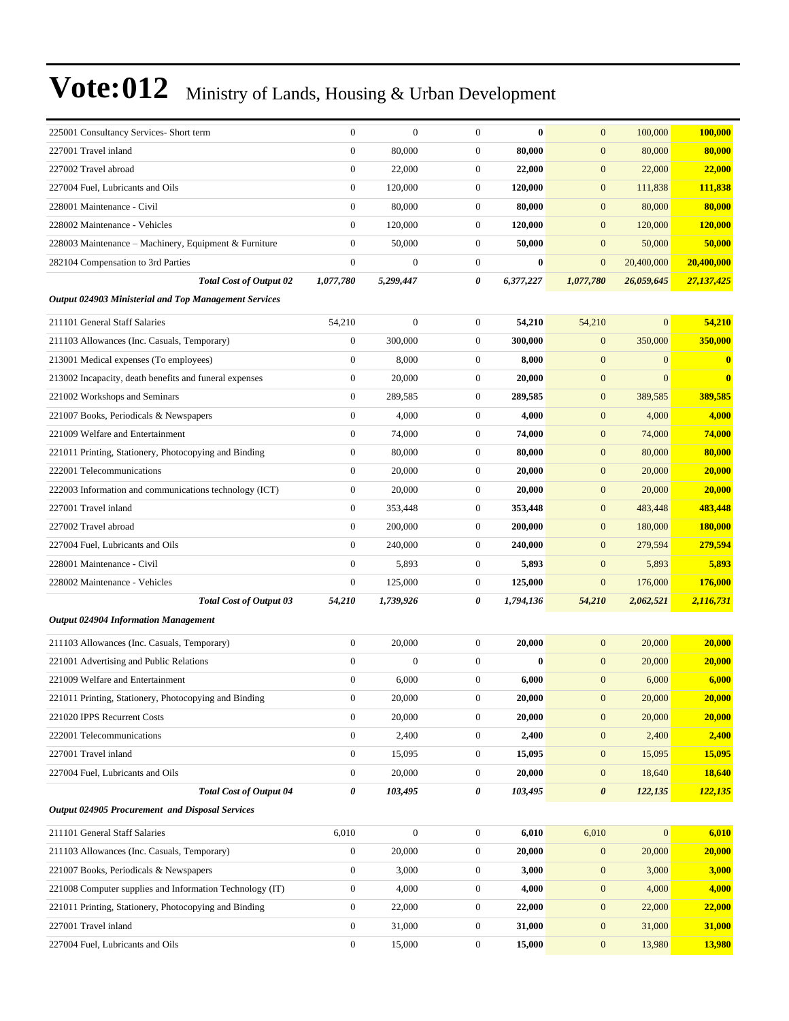| 225001 Consultancy Services- Short term                  | $\boldsymbol{0}$ | $\overline{0}$   | $\boldsymbol{0}$ | $\bf{0}$  | $\mathbf{0}$          | 100,000          | 100,000        |
|----------------------------------------------------------|------------------|------------------|------------------|-----------|-----------------------|------------------|----------------|
| 227001 Travel inland                                     | $\overline{0}$   | 80,000           | $\boldsymbol{0}$ | 80,000    | $\mathbf{0}$          | 80,000           | 80,000         |
| 227002 Travel abroad                                     | $\boldsymbol{0}$ | 22,000           | $\boldsymbol{0}$ | 22,000    | $\boldsymbol{0}$      | 22,000           | 22,000         |
| 227004 Fuel, Lubricants and Oils                         | $\boldsymbol{0}$ | 120,000          | $\boldsymbol{0}$ | 120,000   | $\mathbf{0}$          | 111,838          | 111,838        |
| 228001 Maintenance - Civil                               | $\overline{0}$   | 80,000           | $\mathbf{0}$     | 80,000    | $\mathbf{0}$          | 80,000           | 80,000         |
| 228002 Maintenance - Vehicles                            | $\overline{0}$   | 120,000          | $\mathbf{0}$     | 120,000   | $\mathbf{0}$          | 120,000          | 120,000        |
| 228003 Maintenance – Machinery, Equipment & Furniture    | $\boldsymbol{0}$ | 50,000           | $\boldsymbol{0}$ | 50,000    | $\mathbf{0}$          | 50,000           | 50,000         |
| 282104 Compensation to 3rd Parties                       | $\boldsymbol{0}$ | $\boldsymbol{0}$ | $\mathbf{0}$     | $\bf{0}$  | $\mathbf{0}$          | 20,400,000       | 20,400,000     |
| <b>Total Cost of Output 02</b>                           | 1,077,780        | 5,299,447        | 0                | 6,377,227 | 1,077,780             | 26,059,645       | 27,137,425     |
| Output 024903 Ministerial and Top Management Services    |                  |                  |                  |           |                       |                  |                |
| 211101 General Staff Salaries                            | 54,210           | $\boldsymbol{0}$ | $\boldsymbol{0}$ | 54,210    | 54,210                | $\overline{0}$   | 54,210         |
| 211103 Allowances (Inc. Casuals, Temporary)              | $\boldsymbol{0}$ | 300,000          | $\mathbf{0}$     | 300,000   | $\mathbf{0}$          | 350,000          | 350,000        |
| 213001 Medical expenses (To employees)                   | $\boldsymbol{0}$ | 8,000            | $\mathbf{0}$     | 8,000     | $\mathbf{0}$          | $\overline{0}$   | $\bf{0}$       |
| 213002 Incapacity, death benefits and funeral expenses   | $\boldsymbol{0}$ | 20,000           | $\mathbf{0}$     | 20,000    | $\mathbf{0}$          | $\overline{0}$   | $\bf{0}$       |
| 221002 Workshops and Seminars                            | $\boldsymbol{0}$ | 289,585          | $\boldsymbol{0}$ | 289,585   | $\mathbf{0}$          | 389,585          | 389,585        |
| 221007 Books, Periodicals & Newspapers                   | $\boldsymbol{0}$ | 4,000            | $\mathbf{0}$     | 4,000     | $\boldsymbol{0}$      | 4,000            | 4,000          |
| 221009 Welfare and Entertainment                         | $\boldsymbol{0}$ | 74,000           | $\mathbf{0}$     | 74,000    | $\mathbf{0}$          | 74,000           | 74,000         |
| 221011 Printing, Stationery, Photocopying and Binding    | $\boldsymbol{0}$ | 80,000           | $\boldsymbol{0}$ | 80,000    | $\mathbf{0}$          | 80,000           | 80,000         |
| 222001 Telecommunications                                | $\boldsymbol{0}$ | 20,000           | $\mathbf{0}$     | 20,000    | $\mathbf{0}$          | 20,000           | 20,000         |
| 222003 Information and communications technology (ICT)   | $\boldsymbol{0}$ | 20,000           | $\mathbf{0}$     | 20,000    | $\mathbf{0}$          | 20,000           | 20,000         |
| 227001 Travel inland                                     | $\boldsymbol{0}$ | 353,448          | $\mathbf{0}$     | 353,448   | $\mathbf{0}$          | 483,448          | 483,448        |
| 227002 Travel abroad                                     | $\boldsymbol{0}$ | 200,000          | $\mathbf{0}$     | 200,000   | $\mathbf{0}$          | 180,000          | <b>180,000</b> |
| 227004 Fuel, Lubricants and Oils                         | $\mathbf{0}$     | 240,000          | $\boldsymbol{0}$ | 240,000   | $\mathbf{0}$          | 279,594          | 279,594        |
| 228001 Maintenance - Civil                               | $\boldsymbol{0}$ | 5,893            | $\mathbf{0}$     | 5,893     | $\mathbf{0}$          | 5,893            | 5,893          |
| 228002 Maintenance - Vehicles                            | $\boldsymbol{0}$ | 125,000          | $\mathbf{0}$     | 125,000   | $\mathbf{0}$          | 176,000          | 176,000        |
| <b>Total Cost of Output 03</b>                           | 54,210           | 1,739,926        | 0                | 1,794,136 | 54,210                | 2,062,521        | 2,116,731      |
| <b>Output 024904 Information Management</b>              |                  |                  |                  |           |                       |                  |                |
| 211103 Allowances (Inc. Casuals, Temporary)              | $\boldsymbol{0}$ | 20,000           | $\mathbf{0}$     | 20,000    | $\mathbf{0}$          | 20,000           | 20,000         |
| 221001 Advertising and Public Relations                  | $\overline{0}$   | $\boldsymbol{0}$ | $\boldsymbol{0}$ | $\bf{0}$  | $\mathbf{0}$          | 20,000           | 20,000         |
| 221009 Welfare and Entertainment                         | $\boldsymbol{0}$ | 6,000            | $\mathbf{0}$     | 6,000     | $\mathbf{0}$          | 6,000            | 6,000          |
| 221011 Printing, Stationery, Photocopying and Binding    | $\boldsymbol{0}$ | 20,000           | 0                | 20,000    | $\mathbf{0}$          | 20,000           | 20,000         |
| 221020 IPPS Recurrent Costs                              | $\boldsymbol{0}$ | 20,000           | $\boldsymbol{0}$ | 20,000    | $\mathbf{0}$          | 20,000           | 20,000         |
| 222001 Telecommunications                                | $\overline{0}$   | 2,400            | $\boldsymbol{0}$ | 2,400     | $\mathbf{0}$          | 2,400            | 2,400          |
| 227001 Travel inland                                     | $\overline{0}$   | 15,095           | $\boldsymbol{0}$ | 15,095    | $\mathbf{0}$          | 15,095           | 15,095         |
| 227004 Fuel, Lubricants and Oils                         | $\boldsymbol{0}$ | 20,000           | $\boldsymbol{0}$ | 20,000    | $\boldsymbol{0}$      | 18,640           | 18,640         |
| <b>Total Cost of Output 04</b>                           | 0                | 103,495          | 0                | 103,495   | $\boldsymbol{\theta}$ | 122,135          | 122,135        |
| Output 024905 Procurement and Disposal Services          |                  |                  |                  |           |                       |                  |                |
| 211101 General Staff Salaries                            | 6,010            | $\boldsymbol{0}$ | $\boldsymbol{0}$ | 6,010     | 6,010                 | $\boldsymbol{0}$ | 6,010          |
| 211103 Allowances (Inc. Casuals, Temporary)              | $\boldsymbol{0}$ | 20,000           | $\boldsymbol{0}$ | 20,000    | $\mathbf{0}$          | 20,000           | 20,000         |
| 221007 Books, Periodicals & Newspapers                   | $\boldsymbol{0}$ | 3,000            | $\boldsymbol{0}$ | 3,000     | $\boldsymbol{0}$      | 3,000            | 3,000          |
| 221008 Computer supplies and Information Technology (IT) | $\boldsymbol{0}$ | 4,000            | $\boldsymbol{0}$ | 4,000     | $\mathbf{0}$          | 4,000            | 4,000          |
| 221011 Printing, Stationery, Photocopying and Binding    | $\boldsymbol{0}$ | 22,000           | $\boldsymbol{0}$ | 22,000    | $\mathbf{0}$          | 22,000           | 22,000         |
| 227001 Travel inland                                     | $\boldsymbol{0}$ | 31,000           | $\boldsymbol{0}$ | 31,000    | $\mathbf{0}$          | 31,000           | 31,000         |
| 227004 Fuel, Lubricants and Oils                         | $\boldsymbol{0}$ | 15,000           | $\boldsymbol{0}$ | 15,000    | $\boldsymbol{0}$      | 13,980           | 13,980         |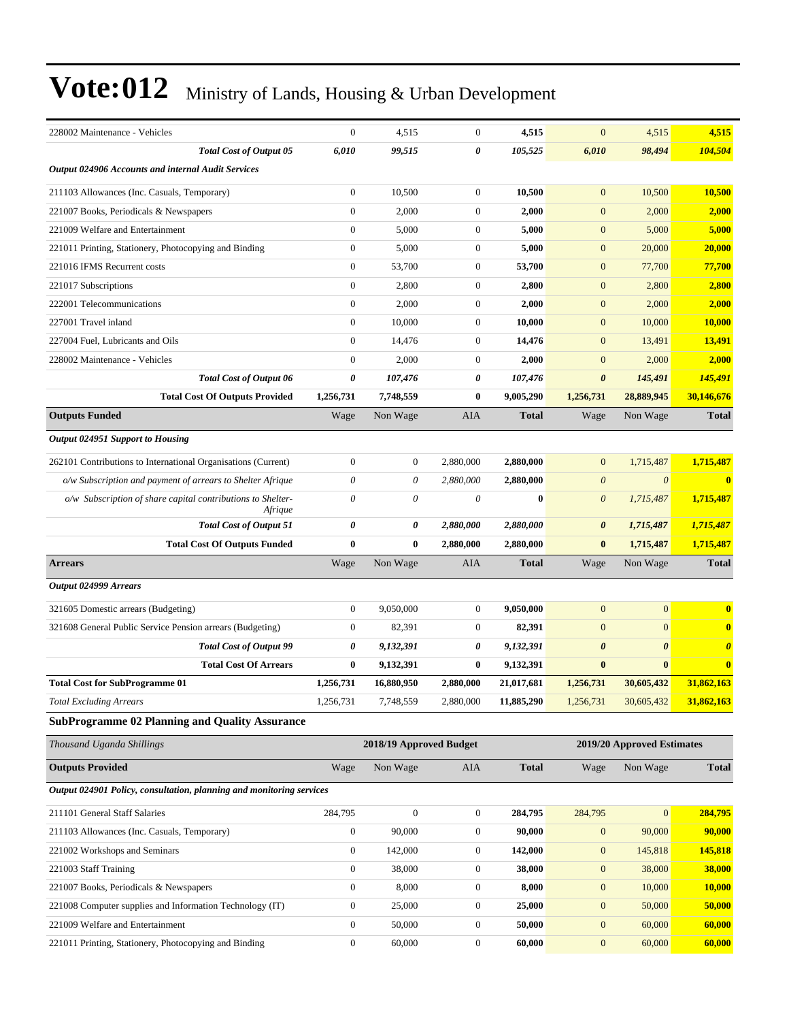| 228002 Maintenance - Vehicles                                          | $\boldsymbol{0}$ | 4,515                   | $\overline{0}$   | 4,515        | $\mathbf{0}$          | 4,515                      | 4,515                 |
|------------------------------------------------------------------------|------------------|-------------------------|------------------|--------------|-----------------------|----------------------------|-----------------------|
| <b>Total Cost of Output 05</b>                                         | 6,010            | 99,515                  | 0                | 105,525      | 6,010                 | 98,494                     | 104,504               |
| <b>Output 024906 Accounts and internal Audit Services</b>              |                  |                         |                  |              |                       |                            |                       |
| 211103 Allowances (Inc. Casuals, Temporary)                            | $\theta$         | 10,500                  | $\mathbf{0}$     | 10,500       | $\mathbf{0}$          | 10,500                     | 10,500                |
| 221007 Books, Periodicals & Newspapers                                 | $\mathbf{0}$     | 2,000                   | $\mathbf{0}$     | 2,000        | $\mathbf{0}$          | 2,000                      | 2,000                 |
| 221009 Welfare and Entertainment                                       | $\boldsymbol{0}$ | 5,000                   | $\mathbf{0}$     | 5,000        | $\boldsymbol{0}$      | 5,000                      | 5,000                 |
| 221011 Printing, Stationery, Photocopying and Binding                  | $\boldsymbol{0}$ | 5,000                   | $\mathbf{0}$     | 5,000        | $\mathbf{0}$          | 20,000                     | 20,000                |
| 221016 IFMS Recurrent costs                                            | $\mathbf{0}$     | 53,700                  | $\mathbf{0}$     | 53,700       | $\mathbf{0}$          | 77,700                     | 77,700                |
| 221017 Subscriptions                                                   | $\mathbf{0}$     | 2,800                   | $\mathbf{0}$     | 2,800        | $\boldsymbol{0}$      | 2,800                      | 2,800                 |
| 222001 Telecommunications                                              | $\mathbf{0}$     | 2,000                   | $\mathbf{0}$     | 2,000        | $\mathbf{0}$          | 2,000                      | 2,000                 |
| 227001 Travel inland                                                   | $\boldsymbol{0}$ | 10,000                  | $\mathbf{0}$     | 10,000       | $\boldsymbol{0}$      | 10,000                     | 10,000                |
| 227004 Fuel, Lubricants and Oils                                       | $\mathbf{0}$     | 14,476                  | $\mathbf{0}$     | 14,476       | $\mathbf{0}$          | 13,491                     | 13,491                |
| 228002 Maintenance - Vehicles                                          | $\mathbf{0}$     | 2,000                   | $\mathbf{0}$     | 2,000        | $\mathbf{0}$          | 2,000                      | 2,000                 |
| <b>Total Cost of Output 06</b>                                         | 0                | 107,476                 | 0                | 107,476      | $\boldsymbol{\theta}$ | 145,491                    | 145,491               |
| <b>Total Cost Of Outputs Provided</b>                                  | 1,256,731        | 7,748,559               | 0                | 9,005,290    | 1,256,731             | 28,889,945                 | 30,146,676            |
| <b>Outputs Funded</b>                                                  | Wage             | Non Wage                | AIA              | <b>Total</b> | Wage                  | Non Wage                   | <b>Total</b>          |
| Output 024951 Support to Housing                                       |                  |                         |                  |              |                       |                            |                       |
| 262101 Contributions to International Organisations (Current)          | $\mathbf{0}$     | $\boldsymbol{0}$        | 2,880,000        | 2,880,000    | $\mathbf{0}$          | 1,715,487                  | 1,715,487             |
| o/w Subscription and payment of arrears to Shelter Afrique             | 0                | 0                       | 2,880,000        | 2,880,000    | $\boldsymbol{\theta}$ | $\boldsymbol{\theta}$      | $\bf{0}$              |
| o/w Subscription of share capital contributions to Shelter-<br>Afrique | $\theta$         | 0                       | 0                | $\bf{0}$     | $\boldsymbol{\theta}$ | 1,715,487                  | 1,715,487             |
| <b>Total Cost of Output 51</b>                                         | $\pmb{\theta}$   | 0                       | 2,880,000        | 2,880,000    | $\boldsymbol{\theta}$ | 1,715,487                  | 1,715,487             |
| <b>Total Cost Of Outputs Funded</b>                                    | $\bf{0}$         | $\bf{0}$                | 2,880,000        | 2,880,000    | $\bf{0}$              | 1,715,487                  | 1,715,487             |
| <b>Arrears</b>                                                         | Wage             | Non Wage                | AIA              | <b>Total</b> | Wage                  | Non Wage                   | <b>Total</b>          |
| Output 024999 Arrears                                                  |                  |                         |                  |              |                       |                            |                       |
| 321605 Domestic arrears (Budgeting)                                    | $\mathbf{0}$     | 9,050,000               | $\mathbf{0}$     | 9,050,000    | $\mathbf{0}$          | $\mathbf{0}$               | $\bf{0}$              |
| 321608 General Public Service Pension arrears (Budgeting)              | $\overline{0}$   | 82,391                  | $\mathbf{0}$     | 82,391       | $\mathbf{0}$          | $\overline{0}$             | $\bf{0}$              |
| <b>Total Cost of Output 99</b>                                         | 0                | 9,132,391               | 0                | 9,132,391    | $\boldsymbol{\theta}$ | $\boldsymbol{\theta}$      | $\boldsymbol{\theta}$ |
| <b>Total Cost Of Arrears</b>                                           | $\bf{0}$         | 9,132,391               | $\bf{0}$         | 9,132,391    | $\bf{0}$              | $\bf{0}$                   | $\bf{0}$              |
| <b>Total Cost for SubProgramme 01</b>                                  | 1,256,731        |                         |                  |              |                       |                            |                       |
|                                                                        |                  | 16,880,950              | 2.880.000        | 21,017,681   | 1,256,731             | 30,605,432                 | 31,862,163            |
| Total Excluding Arrears                                                | 1,256,731        | 7,748,559               | 2,880,000        | 11,885,290   | 1,256,731             | 30,605,432                 | 31,862,163            |
| <b>SubProgramme 02 Planning and Quality Assurance</b>                  |                  |                         |                  |              |                       |                            |                       |
| Thousand Uganda Shillings                                              |                  | 2018/19 Approved Budget |                  |              |                       | 2019/20 Approved Estimates |                       |
| <b>Outputs Provided</b>                                                | Wage             | Non Wage                | AIA              | <b>Total</b> | Wage                  | Non Wage                   | <b>Total</b>          |
| Output 024901 Policy, consultation, planning and monitoring services   |                  |                         |                  |              |                       |                            |                       |
| 211101 General Staff Salaries                                          | 284,795          | $\boldsymbol{0}$        | $\boldsymbol{0}$ | 284,795      | 284,795               | $\mathbf{0}$               | 284,795               |
| 211103 Allowances (Inc. Casuals, Temporary)                            | $\boldsymbol{0}$ | 90,000                  | $\boldsymbol{0}$ | 90,000       | $\boldsymbol{0}$      | 90,000                     | 90,000                |
| 221002 Workshops and Seminars                                          | $\boldsymbol{0}$ | 142,000                 | $\boldsymbol{0}$ | 142,000      | $\boldsymbol{0}$      | 145,818                    | 145,818               |
| 221003 Staff Training                                                  | $\boldsymbol{0}$ | 38,000                  | $\boldsymbol{0}$ | 38,000       | $\boldsymbol{0}$      | 38,000                     | 38,000                |
| 221007 Books, Periodicals & Newspapers                                 | $\boldsymbol{0}$ | 8,000                   | $\boldsymbol{0}$ | 8,000        | $\boldsymbol{0}$      | 10,000                     | 10,000                |
| 221008 Computer supplies and Information Technology (IT)               | $\boldsymbol{0}$ | 25,000                  | $\boldsymbol{0}$ | 25,000       | $\boldsymbol{0}$      | 50,000                     | 50,000                |
| 221009 Welfare and Entertainment                                       | $\boldsymbol{0}$ | 50,000                  | $\boldsymbol{0}$ | 50,000       | $\boldsymbol{0}$      | 60,000                     | 60,000                |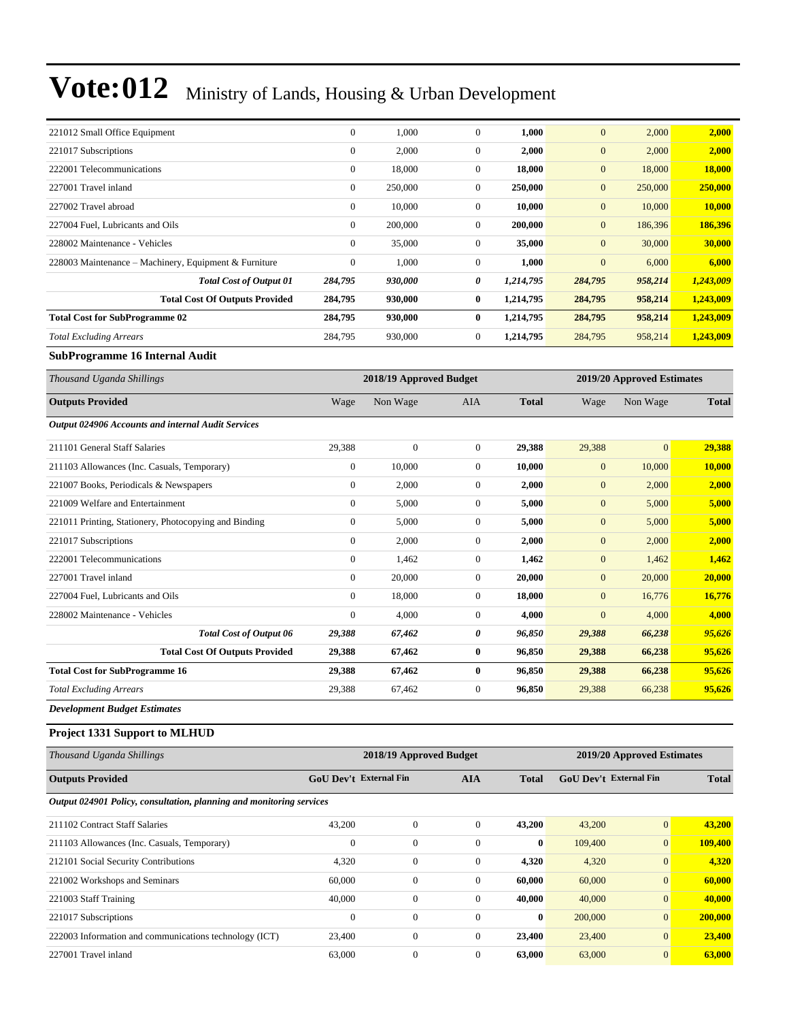| 221012 Small Office Equipment                         | $\boldsymbol{0}$ | 1,000                   | $\overline{0}$ | 1,000     | $\overline{0}$             | 2,000   | 2,000     |
|-------------------------------------------------------|------------------|-------------------------|----------------|-----------|----------------------------|---------|-----------|
| 221017 Subscriptions                                  | $\mathbf{0}$     | 2,000                   | $\overline{0}$ | 2,000     | $\mathbf{0}$               | 2,000   | 2,000     |
| 222001 Telecommunications                             | $\mathbf{0}$     | 18,000                  | $\overline{0}$ | 18,000    | $\mathbf{0}$               | 18,000  | 18,000    |
| 227001 Travel inland                                  | $\overline{0}$   | 250,000                 | $\overline{0}$ | 250,000   | $\mathbf{0}$               | 250,000 | 250,000   |
| 227002 Travel abroad                                  | $\mathbf{0}$     | 10,000                  | $\overline{0}$ | 10,000    | $\mathbf{0}$               | 10,000  | 10,000    |
| 227004 Fuel, Lubricants and Oils                      | $\overline{0}$   | 200,000                 | $\overline{0}$ | 200,000   | $\mathbf{0}$               | 186,396 | 186,396   |
| 228002 Maintenance - Vehicles                         | $\mathbf{0}$     | 35,000                  | $\overline{0}$ | 35,000    | $\mathbf{0}$               | 30,000  | 30,000    |
| 228003 Maintenance – Machinery, Equipment & Furniture | $\mathbf{0}$     | 1,000                   | $\overline{0}$ | 1,000     | $\mathbf{0}$               | 6,000   | 6,000     |
| <b>Total Cost of Output 01</b>                        | 284,795          | 930,000                 | 0              | 1,214,795 | 284,795                    | 958,214 | 1,243,009 |
| <b>Total Cost Of Outputs Provided</b>                 | 284,795          | 930,000                 | $\bf{0}$       | 1,214,795 | 284,795                    | 958,214 | 1,243,009 |
| <b>Total Cost for SubProgramme 02</b>                 | 284,795          | 930,000                 | $\bf{0}$       | 1,214,795 | 284,795                    | 958,214 | 1,243,009 |
| <b>Total Excluding Arrears</b>                        | 284,795          | 930,000                 | $\overline{0}$ | 1,214,795 | 284,795                    | 958,214 | 1,243,009 |
| SubProgramme 16 Internal Audit                        |                  |                         |                |           |                            |         |           |
| Thousand Uganda Shillings                             |                  | 2018/19 Approved Budget |                |           | 2019/20 Approved Estimates |         |           |

| <b>Outputs Provided</b>                               | Wage             | Non Wage         | <b>AIA</b>     | <b>Total</b> | Wage         | Non Wage       | <b>Total</b> |
|-------------------------------------------------------|------------------|------------------|----------------|--------------|--------------|----------------|--------------|
| Output 024906 Accounts and internal Audit Services    |                  |                  |                |              |              |                |              |
| 211101 General Staff Salaries                         | 29,388           | $\boldsymbol{0}$ | $\overline{0}$ | 29,388       | 29,388       | $\overline{0}$ | 29,388       |
| 211103 Allowances (Inc. Casuals, Temporary)           | 0                | 10,000           | $\overline{0}$ | 10,000       | $\mathbf{0}$ | 10,000         | 10,000       |
| 221007 Books, Periodicals & Newspapers                | $\overline{0}$   | 2,000            | 0              | 2,000        | $\mathbf{0}$ | 2,000          | 2,000        |
| 221009 Welfare and Entertainment                      | $\mathbf{0}$     | 5,000            | 0              | 5,000        | $\mathbf{0}$ | 5,000          | 5,000        |
| 221011 Printing, Stationery, Photocopying and Binding | $\mathbf{0}$     | 5,000            | $\overline{0}$ | 5,000        | $\mathbf{0}$ | 5,000          | 5,000        |
| 221017 Subscriptions                                  | $\boldsymbol{0}$ | 2,000            | 0              | 2,000        | $\mathbf{0}$ | 2,000          | 2,000        |
| 222001 Telecommunications                             | $\overline{0}$   | 1,462            | 0              | 1,462        | $\mathbf{0}$ | 1,462          | 1,462        |
| 227001 Travel inland                                  | $\overline{0}$   | 20,000           | $\overline{0}$ | 20,000       | $\mathbf{0}$ | 20,000         | 20,000       |
| 227004 Fuel, Lubricants and Oils                      | $\overline{0}$   | 18,000           | 0              | 18,000       | $\mathbf{0}$ | 16,776         | 16,776       |
| 228002 Maintenance - Vehicles                         | $\mathbf{0}$     | 4,000            | 0              | 4,000        | $\mathbf{0}$ | 4,000          | 4,000        |
| <b>Total Cost of Output 06</b>                        | 29,388           | 67,462           | 0              | 96,850       | 29,388       | 66,238         | 95,626       |
| <b>Total Cost Of Outputs Provided</b>                 | 29,388           | 67,462           | $\bf{0}$       | 96,850       | 29,388       | 66,238         | 95,626       |
| <b>Total Cost for SubProgramme 16</b>                 | 29,388           | 67,462           | $\bf{0}$       | 96,850       | 29,388       | 66,238         | 95,626       |
| <b>Total Excluding Arrears</b>                        | 29,388           | 67,462           | 0              | 96,850       | 29,388       | 66,238         | 95,626       |
|                                                       |                  |                  |                |              |              |                |              |

*Development Budget Estimates*

#### **Project 1331 Support to MLHUD**

| Thousand Uganda Shillings                                            |                               | 2018/19 Approved Budget |              |              | 2019/20 Approved Estimates    |              |              |  |
|----------------------------------------------------------------------|-------------------------------|-------------------------|--------------|--------------|-------------------------------|--------------|--------------|--|
| <b>Outputs Provided</b>                                              | <b>GoU Dev't External Fin</b> |                         | <b>AIA</b>   | <b>Total</b> | <b>GoU Dev't External Fin</b> |              | <b>Total</b> |  |
| Output 024901 Policy, consultation, planning and monitoring services |                               |                         |              |              |                               |              |              |  |
| 211102 Contract Staff Salaries                                       | 43,200                        | $\mathbf{0}$            | $\mathbf{0}$ | 43,200       | 43,200                        | $\mathbf{0}$ | 43,200       |  |
| 211103 Allowances (Inc. Casuals, Temporary)                          | $\theta$                      | $\mathbf{0}$            | $\mathbf{0}$ | $\bf{0}$     | 109,400                       | $\mathbf{0}$ | 109,400      |  |
| 212101 Social Security Contributions                                 | 4,320                         | $\boldsymbol{0}$        | $\mathbf{0}$ | 4,320        | 4,320                         | $\mathbf{0}$ | 4,320        |  |
| 221002 Workshops and Seminars                                        | 60,000                        | $\mathbf{0}$            | $\mathbf{0}$ | 60,000       | 60,000                        | $\mathbf{0}$ | 60,000       |  |
| 221003 Staff Training                                                | 40,000                        | $\mathbf{0}$            | $\Omega$     | 40,000       | 40,000                        | $\mathbf{0}$ | 40,000       |  |
| 221017 Subscriptions                                                 | $\theta$                      | $\mathbf{0}$            | $\mathbf{0}$ | $\mathbf{0}$ | 200,000                       | $\mathbf{0}$ | 200,000      |  |
| 222003 Information and communications technology (ICT)               | 23,400                        | $\mathbf{0}$            | $\mathbf{0}$ | 23,400       | 23,400                        | $\mathbf{0}$ | 23,400       |  |
| 227001 Travel inland                                                 | 63,000                        | $\mathbf{0}$            | $\mathbf{0}$ | 63,000       | 63,000                        | $\mathbf{0}$ | 63,000       |  |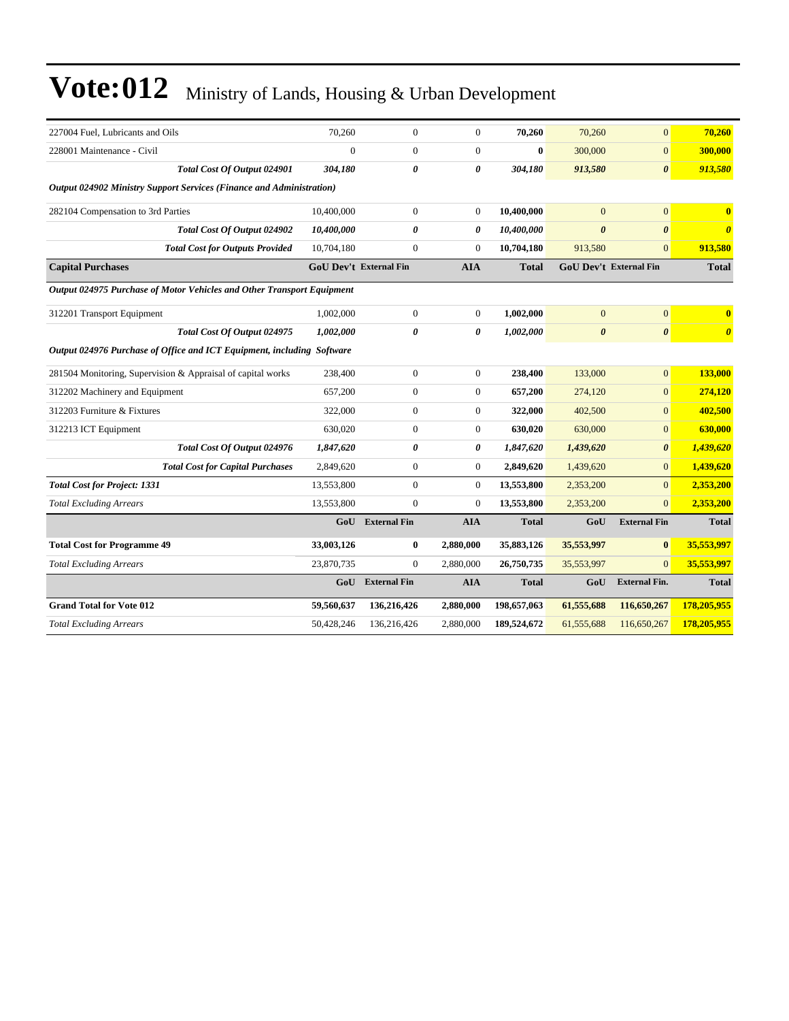| 227004 Fuel. Lubricants and Oils                                       | 70.260     | $\overline{0}$                | $\theta$              | 70,260       | 70,260                        | $\mathbf{0}$          | 70,260                |  |  |  |
|------------------------------------------------------------------------|------------|-------------------------------|-----------------------|--------------|-------------------------------|-----------------------|-----------------------|--|--|--|
| 228001 Maintenance - Civil                                             | $\theta$   | $\Omega$                      | $\theta$              | $\mathbf{0}$ | 300,000                       | $\Omega$              | 300,000               |  |  |  |
| Total Cost Of Output 024901                                            | 304,180    | 0                             | $\boldsymbol{\theta}$ | 304,180      | 913,580                       | $\boldsymbol{\theta}$ | 913,580               |  |  |  |
| Output 024902 Ministry Support Services (Finance and Administration)   |            |                               |                       |              |                               |                       |                       |  |  |  |
| 282104 Compensation to 3rd Parties                                     | 10,400,000 | $\overline{0}$                | $\mathbf{0}$          | 10,400,000   | $\overline{0}$                | $\overline{0}$        |                       |  |  |  |
| Total Cost Of Output 024902                                            | 10,400,000 | 0                             | 0                     | 10,400,000   | $\boldsymbol{\theta}$         | $\boldsymbol{\theta}$ | $\boldsymbol{\theta}$ |  |  |  |
| <b>Total Cost for Outputs Provided</b>                                 | 10,704,180 | $\overline{0}$                | $\overline{0}$        | 10,704,180   | 913,580                       | $\overline{0}$        | 913.580               |  |  |  |
| <b>Capital Purchases</b>                                               |            | <b>GoU Dev't External Fin</b> | <b>AIA</b>            | <b>Total</b> | <b>GoU Dev't External Fin</b> |                       | <b>Total</b>          |  |  |  |
| Output 024975 Purchase of Motor Vehicles and Other Transport Equipment |            |                               |                       |              |                               |                       |                       |  |  |  |
| 312201 Transport Equipment                                             | 1,002,000  | $\overline{0}$                | $\theta$              | 1,002,000    | $\overline{0}$                | $\overline{0}$        | $\mathbf{0}$          |  |  |  |
| Total Cost Of Output 024975                                            | 1,002,000  | 0                             | $\boldsymbol{\theta}$ | 1,002,000    | $\boldsymbol{\theta}$         | $\boldsymbol{\theta}$ | $\boldsymbol{\theta}$ |  |  |  |
| Output 024976 Purchase of Office and ICT Equipment, including Software |            |                               |                       |              |                               |                       |                       |  |  |  |
| 281504 Monitoring, Supervision & Appraisal of capital works            | 238,400    | $\overline{0}$                | $\theta$              | 238,400      | 133,000                       | $\overline{0}$        | 133,000               |  |  |  |
| 312202 Machinery and Equipment                                         | 657,200    | $\overline{0}$                | $\overline{0}$        | 657,200      | 274,120                       | $\overline{0}$        | 274,120               |  |  |  |
| 312203 Furniture & Fixtures                                            | 322,000    | $\overline{0}$                | $\theta$              | 322,000      | 402,500                       | $\Omega$              | 402,500               |  |  |  |
| 312213 ICT Equipment                                                   | 630,020    | $\overline{0}$                | $\mathbf{0}$          | 630,020      | 630,000                       | $\mathbf{0}$          | 630,000               |  |  |  |
| Total Cost Of Output 024976                                            | 1,847,620  | 0                             | 0                     | 1,847,620    | 1,439,620                     | $\boldsymbol{\theta}$ | 1,439,620             |  |  |  |
| <b>Total Cost for Capital Purchases</b>                                | 2,849,620  | $\overline{0}$                | $\boldsymbol{0}$      | 2,849,620    | 1,439,620                     | $\overline{0}$        | 1,439,620             |  |  |  |
| <b>Total Cost for Project: 1331</b>                                    | 13,553,800 | $\overline{0}$                | $\boldsymbol{0}$      | 13,553,800   | 2,353,200                     | $\overline{0}$        | 2,353,200             |  |  |  |
| <b>Total Excluding Arrears</b>                                         | 13,553,800 | $\overline{0}$                | $\overline{0}$        | 13,553,800   | 2,353,200                     | $\overline{0}$        | 2,353,200             |  |  |  |
|                                                                        | GoU        | <b>External Fin</b>           | <b>AIA</b>            | <b>Total</b> | GoU                           | <b>External Fin</b>   | <b>Total</b>          |  |  |  |
| <b>Total Cost for Programme 49</b>                                     | 33,003,126 | 0                             | 2,880,000             | 35,883,126   | 35,553,997                    | $\bf{0}$              | 35,553,997            |  |  |  |
| <b>Total Excluding Arrears</b>                                         | 23,870,735 | $\overline{0}$                | 2,880,000             | 26,750,735   | 35,553,997                    | $\Omega$              | 35,553,997            |  |  |  |
|                                                                        | GoU        | <b>External Fin</b>           | <b>AIA</b>            | <b>Total</b> | GoU                           | <b>External Fin.</b>  | <b>Total</b>          |  |  |  |
| <b>Grand Total for Vote 012</b>                                        | 59,560,637 | 136,216,426                   | 2,880,000             | 198,657,063  | 61,555,688                    | 116,650,267           | 178,205,955           |  |  |  |
| <b>Total Excluding Arrears</b>                                         | 50,428,246 | 136,216,426                   | 2,880,000             | 189,524,672  | 61,555,688                    | 116,650,267           | 178,205,955           |  |  |  |
|                                                                        |            |                               |                       |              |                               |                       |                       |  |  |  |